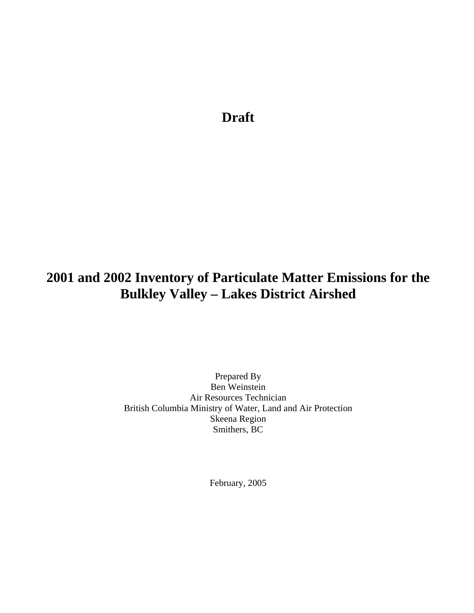**Draft** 

# **2001 and 2002 Inventory of Particulate Matter Emissions for the Bulkley Valley – Lakes District Airshed**

Prepared By Ben Weinstein Air Resources Technician British Columbia Ministry of Water, Land and Air Protection Skeena Region Smithers, BC

February, 2005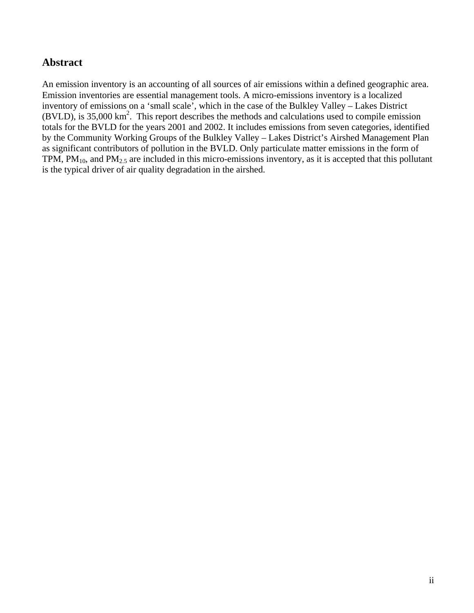### **Abstract**

An emission inventory is an accounting of all sources of air emissions within a defined geographic area. Emission inventories are essential management tools. A micro-emissions inventory is a localized inventory of emissions on a 'small scale', which in the case of the Bulkley Valley – Lakes District  $(BVLD)$ , is 35,000 km<sup>2</sup>. This report describes the methods and calculations used to compile emission totals for the BVLD for the years 2001 and 2002. It includes emissions from seven categories, identified by the Community Working Groups of the Bulkley Valley – Lakes District's Airshed Management Plan as significant contributors of pollution in the BVLD. Only particulate matter emissions in the form of TPM,  $PM_{10}$ , and  $PM_{2.5}$  are included in this micro-emissions inventory, as it is accepted that this pollutant is the typical driver of air quality degradation in the airshed.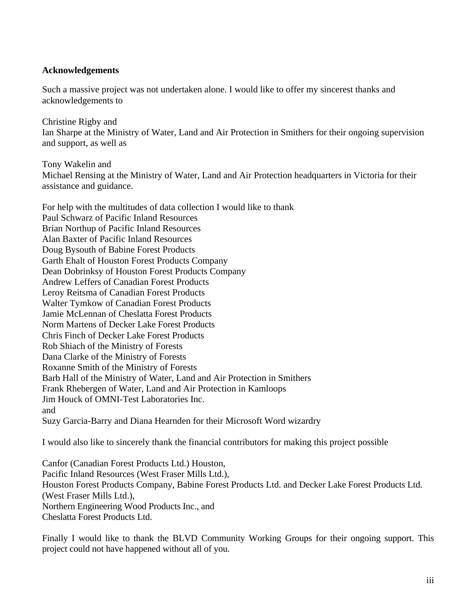#### **Acknowledgements**

Such a massive project was not undertaken alone. I would like to offer my sincerest thanks and acknowledgements to

Christine Rigby and Ian Sharpe at the Ministry of Water, Land and Air Protection in Smithers for their ongoing supervision and support, as well as

Tony Wakelin and Michael Rensing at the Ministry of Water, Land and Air Protection headquarters in Victoria for their assistance and guidance.

For help with the multitudes of data collection I would like to thank Paul Schwarz of Pacific Inland Resources Brian Northup of Pacific Inland Resources Alan Baxter of Pacific Inland Resources Doug Bysouth of Babine Forest Products Garth Ehalt of Houston Forest Products Company Dean Dobrinksy of Houston Forest Products Company Andrew Leffers of Canadian Forest Products Leroy Reitsma of Canadian Forest Products Walter Tymkow of Canadian Forest Products Jamie McLennan of Cheslatta Forest Products Norm Martens of Decker Lake Forest Products Chris Finch of Decker Lake Forest Products Rob Shiach of the Ministry of Forests Dana Clarke of the Ministry of Forests Roxanne Smith of the Ministry of Forests Barb Hall of the Ministry of Water, Land and Air Protection in Smithers Frank Rhebergen of Water, Land and Air Protection in Kamloops Jim Houck of OMNI-Test Laboratories Inc. and Suzy Garcia-Barry and Diana Hearnden for their Microsoft Word wizardry I would also like to sincerely thank the financial contributors for making this project possible

Canfor (Canadian Forest Products Ltd.) Houston, Pacific Inland Resources (West Fraser Mills Ltd.), Houston Forest Products Company, Babine Forest Products Ltd. and Decker Lake Forest Products Ltd. (West Fraser Mills Ltd.), Northern Engineering Wood Products Inc., and Cheslatta Forest Products Ltd.

Finally I would like to thank the BLVD Community Working Groups for their ongoing support. This project could not have happened without all of you.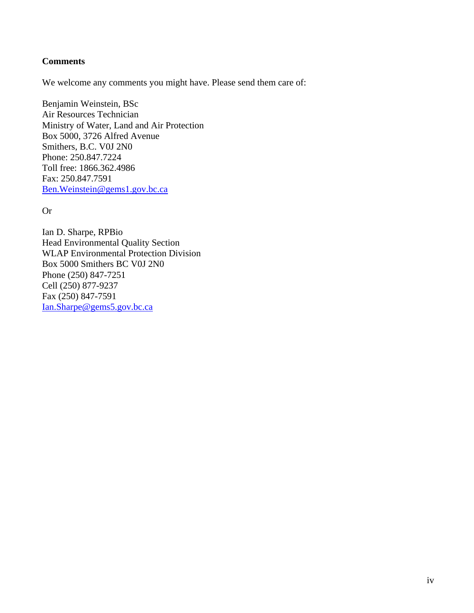#### **Comments**

We welcome any comments you might have. Please send them care of:

Benjamin Weinstein, BSc Air Resources Technician Ministry of Water, Land and Air Protection Box 5000, 3726 Alfred Avenue Smithers, B.C. V0J 2N0 Phone: 250.847.7224 Toll free: 1866.362.4986 Fax: 250.847.7591 Ben.Weinstein@gems1.gov.bc.ca

Or

Ian D. Sharpe, RPBio Head Environmental Quality Section WLAP Environmental Protection Division Box 5000 Smithers BC V0J 2N0 Phone (250) 847-7251 Cell (250) 877-9237 Fax (250) 847-7591 Ian.Sharpe@gems5.gov.bc.ca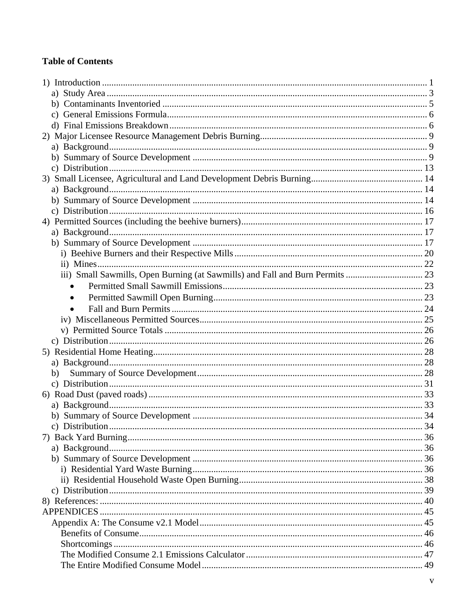### **Table of Contents**

| $\bullet$ |  |
|-----------|--|
|           |  |
| $\bullet$ |  |
|           |  |
|           |  |
|           |  |
|           |  |
|           |  |
| b)        |  |
|           |  |
|           |  |
|           |  |
|           |  |
|           |  |
|           |  |
|           |  |
|           |  |
|           |  |
|           |  |
|           |  |
|           |  |
|           |  |
|           |  |
|           |  |
|           |  |
|           |  |
|           |  |
|           |  |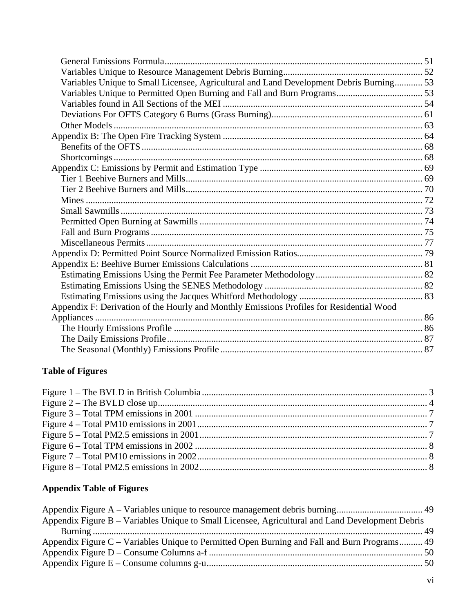| Variables Unique to Small Licensee, Agricultural and Land Development Debris Burning 53  |  |
|------------------------------------------------------------------------------------------|--|
|                                                                                          |  |
|                                                                                          |  |
|                                                                                          |  |
|                                                                                          |  |
|                                                                                          |  |
|                                                                                          |  |
|                                                                                          |  |
|                                                                                          |  |
|                                                                                          |  |
|                                                                                          |  |
|                                                                                          |  |
|                                                                                          |  |
|                                                                                          |  |
|                                                                                          |  |
|                                                                                          |  |
|                                                                                          |  |
|                                                                                          |  |
|                                                                                          |  |
|                                                                                          |  |
|                                                                                          |  |
|                                                                                          |  |
| Appendix F: Derivation of the Hourly and Monthly Emissions Profiles for Residential Wood |  |
|                                                                                          |  |
|                                                                                          |  |
|                                                                                          |  |
|                                                                                          |  |
|                                                                                          |  |

# **Table of Figures**

# **Appendix Table of Figures**

| Appendix Figure B – Variables Unique to Small Licensee, Agricultural and Land Development Debris |  |
|--------------------------------------------------------------------------------------------------|--|
|                                                                                                  |  |
| Appendix Figure C – Variables Unique to Permitted Open Burning and Fall and Burn Programs 49     |  |
|                                                                                                  |  |
|                                                                                                  |  |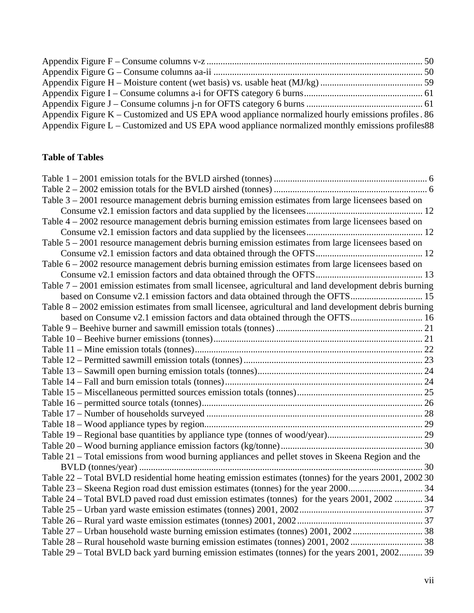| Appendix Figure $K$ – Customized and US EPA wood appliance normalized hourly emissions profiles. 86 |  |
|-----------------------------------------------------------------------------------------------------|--|
| Appendix Figure $L$ – Customized and US EPA wood appliance normalized monthly emissions profiles 88 |  |

# **Table of Tables**

| Table 3 – 2001 resource management debris burning emission estimates from large licensees based on        |  |
|-----------------------------------------------------------------------------------------------------------|--|
|                                                                                                           |  |
| Table 4 – 2002 resource management debris burning emission estimates from large licensees based on        |  |
|                                                                                                           |  |
| Table 5 – 2001 resource management debris burning emission estimates from large licensees based on        |  |
|                                                                                                           |  |
| Table 6 – 2002 resource management debris burning emission estimates from large licensees based on        |  |
|                                                                                                           |  |
| Table $7 - 2001$ emission estimates from small licensee, agricultural and land development debris burning |  |
|                                                                                                           |  |
| Table 8 – 2002 emission estimates from small licensee, agricultural and land development debris burning   |  |
|                                                                                                           |  |
|                                                                                                           |  |
|                                                                                                           |  |
|                                                                                                           |  |
|                                                                                                           |  |
|                                                                                                           |  |
|                                                                                                           |  |
|                                                                                                           |  |
|                                                                                                           |  |
|                                                                                                           |  |
|                                                                                                           |  |
|                                                                                                           |  |
|                                                                                                           |  |
| Table 21 – Total emissions from wood burning appliances and pellet stoves in Skeena Region and the        |  |
|                                                                                                           |  |
| Table 22 - Total BVLD residential home heating emission estimates (tonnes) for the years 2001, 2002 30    |  |
|                                                                                                           |  |
| Table 24 – Total BVLD paved road dust emission estimates (tonnes) for the years 2001, 2002  34            |  |
|                                                                                                           |  |
|                                                                                                           |  |
|                                                                                                           |  |
|                                                                                                           |  |
| Table 29 – Total BVLD back yard burning emission estimates (tonnes) for the years 2001, 2002 39           |  |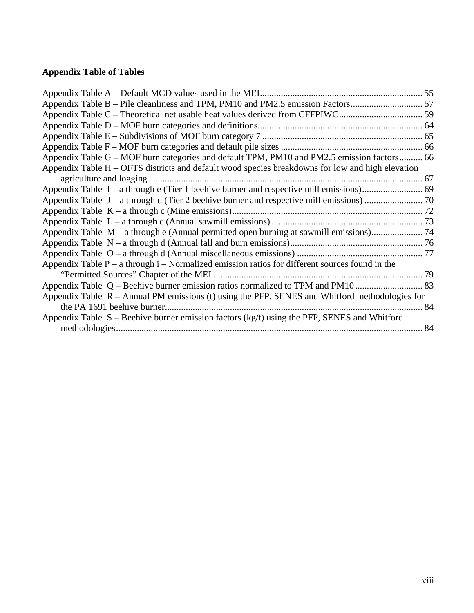# **Appendix Table of Tables**

| Appendix Table B – Pile cleanliness and TPM, PM10 and PM2.5 emission Factors                       |  |
|----------------------------------------------------------------------------------------------------|--|
|                                                                                                    |  |
|                                                                                                    |  |
|                                                                                                    |  |
|                                                                                                    |  |
| Appendix Table G – MOF burn categories and default TPM, PM10 and PM2.5 emission factors 66         |  |
| Appendix Table H – OFTS districts and default wood species breakdowns for low and high elevation   |  |
|                                                                                                    |  |
|                                                                                                    |  |
|                                                                                                    |  |
|                                                                                                    |  |
|                                                                                                    |  |
| Appendix Table M – a through e (Annual permitted open burning at sawmill emissions) 74             |  |
|                                                                                                    |  |
|                                                                                                    |  |
| Appendix Table $P - a$ through $i - Normalized$ emission ratios for different sources found in the |  |
|                                                                                                    |  |
|                                                                                                    |  |
| Appendix Table $R -$ Annual PM emissions (t) using the PFP, SENES and Whitford methodologies for   |  |
|                                                                                                    |  |
| Appendix Table $S$ – Beehive burner emission factors (kg/t) using the PFP, SENES and Whitford      |  |
|                                                                                                    |  |
|                                                                                                    |  |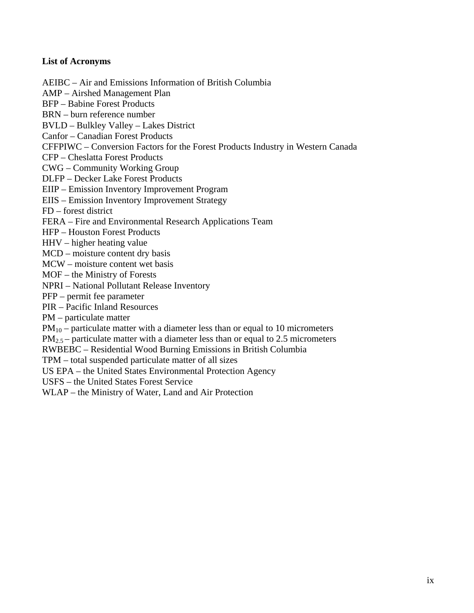#### **List of Acronyms**

AEIBC – Air and Emissions Information of British Columbia

- AMP Airshed Management Plan
- BFP Babine Forest Products
- BRN burn reference number
- BVLD Bulkley Valley Lakes District
- Canfor Canadian Forest Products
- CFFPIWC Conversion Factors for the Forest Products Industry in Western Canada
- CFP Cheslatta Forest Products
- CWG Community Working Group
- DLFP Decker Lake Forest Products
- EIIP Emission Inventory Improvement Program
- EIIS Emission Inventory Improvement Strategy
- FD forest district
- FERA Fire and Environmental Research Applications Team
- HFP Houston Forest Products
- HHV higher heating value
- MCD moisture content dry basis
- MCW moisture content wet basis
- MOF the Ministry of Forests
- NPRI National Pollutant Release Inventory
- PFP permit fee parameter
- PIR Pacific Inland Resources
- PM particulate matter
- $PM_{10}$  particulate matter with a diameter less than or equal to 10 micrometers
- $PM_{2.5}$  particulate matter with a diameter less than or equal to 2.5 micrometers
- RWBEBC Residential Wood Burning Emissions in British Columbia
- TPM total suspended particulate matter of all sizes
- US EPA the United States Environmental Protection Agency
- USFS the United States Forest Service
- WLAP the Ministry of Water, Land and Air Protection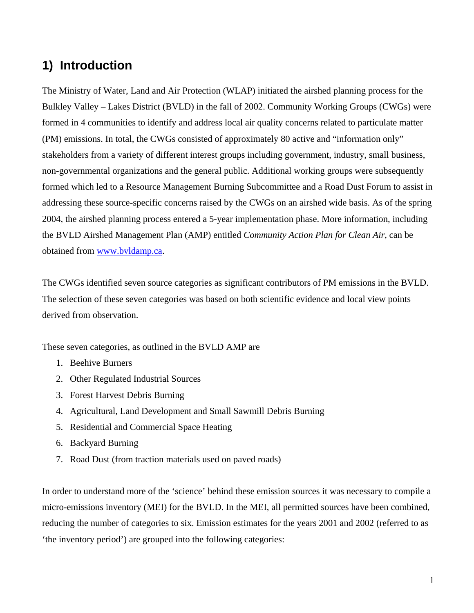# **1) Introduction**

The Ministry of Water, Land and Air Protection (WLAP) initiated the airshed planning process for the Bulkley Valley – Lakes District (BVLD) in the fall of 2002. Community Working Groups (CWGs) were formed in 4 communities to identify and address local air quality concerns related to particulate matter (PM) emissions. In total, the CWGs consisted of approximately 80 active and "information only" stakeholders from a variety of different interest groups including government, industry, small business, non-governmental organizations and the general public. Additional working groups were subsequently formed which led to a Resource Management Burning Subcommittee and a Road Dust Forum to assist in addressing these source-specific concerns raised by the CWGs on an airshed wide basis. As of the spring 2004, the airshed planning process entered a 5-year implementation phase. More information, including the BVLD Airshed Management Plan (AMP) entitled *Community Action Plan for Clean Air*, can be obtained from www.bvldamp.ca.

The CWGs identified seven source categories as significant contributors of PM emissions in the BVLD. The selection of these seven categories was based on both scientific evidence and local view points derived from observation.

These seven categories, as outlined in the BVLD AMP are

- 1. Beehive Burners
- 2. Other Regulated Industrial Sources
- 3. Forest Harvest Debris Burning
- 4. Agricultural, Land Development and Small Sawmill Debris Burning
- 5. Residential and Commercial Space Heating
- 6. Backyard Burning
- 7. Road Dust (from traction materials used on paved roads)

In order to understand more of the 'science' behind these emission sources it was necessary to compile a micro-emissions inventory (MEI) for the BVLD. In the MEI, all permitted sources have been combined, reducing the number of categories to six. Emission estimates for the years 2001 and 2002 (referred to as 'the inventory period') are grouped into the following categories: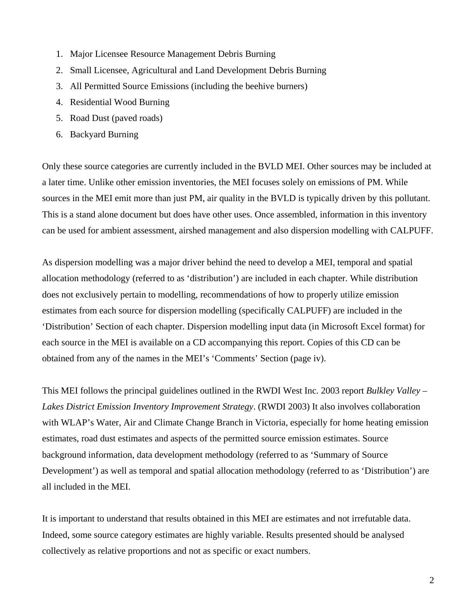- 1. Major Licensee Resource Management Debris Burning
- 2. Small Licensee, Agricultural and Land Development Debris Burning
- 3. All Permitted Source Emissions (including the beehive burners)
- 4. Residential Wood Burning
- 5. Road Dust (paved roads)
- 6. Backyard Burning

Only these source categories are currently included in the BVLD MEI. Other sources may be included at a later time. Unlike other emission inventories, the MEI focuses solely on emissions of PM. While sources in the MEI emit more than just PM, air quality in the BVLD is typically driven by this pollutant. This is a stand alone document but does have other uses. Once assembled, information in this inventory can be used for ambient assessment, airshed management and also dispersion modelling with CALPUFF.

As dispersion modelling was a major driver behind the need to develop a MEI, temporal and spatial allocation methodology (referred to as 'distribution') are included in each chapter. While distribution does not exclusively pertain to modelling, recommendations of how to properly utilize emission estimates from each source for dispersion modelling (specifically CALPUFF) are included in the 'Distribution' Section of each chapter. Dispersion modelling input data (in Microsoft Excel format) for each source in the MEI is available on a CD accompanying this report. Copies of this CD can be obtained from any of the names in the MEI's 'Comments' Section (page iv).

This MEI follows the principal guidelines outlined in the RWDI West Inc. 2003 report *Bulkley Valley – Lakes District Emission Inventory Improvement Strategy*. (RWDI 2003) It also involves collaboration with WLAP's Water, Air and Climate Change Branch in Victoria, especially for home heating emission estimates, road dust estimates and aspects of the permitted source emission estimates. Source background information, data development methodology (referred to as 'Summary of Source Development') as well as temporal and spatial allocation methodology (referred to as 'Distribution') are all included in the MEI.

It is important to understand that results obtained in this MEI are estimates and not irrefutable data. Indeed, some source category estimates are highly variable. Results presented should be analysed collectively as relative proportions and not as specific or exact numbers.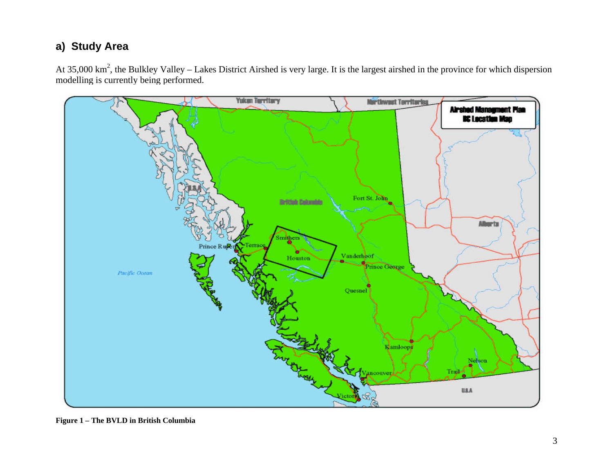# **a) Study Area**

At 35,000 km<sup>2</sup>, the Bulkley Valley – Lakes District Airshed is very large. It is the largest airshed in the province for which dispersion modelling is currently being performed.



**Figure 1 – The BVLD in British Columbia**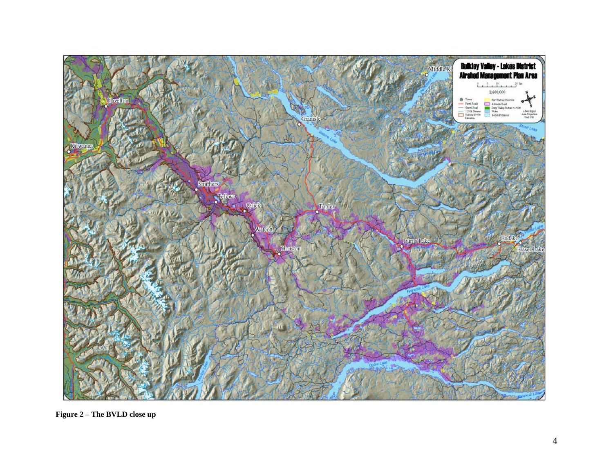

**Figure 2 – The BVLD close up**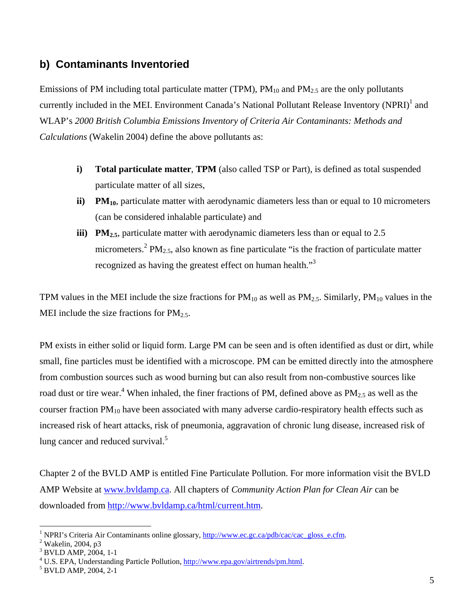## **b) Contaminants Inventoried**

Emissions of PM including total particulate matter (TPM),  $PM_{10}$  and  $PM_{2.5}$  are the only pollutants currently included in the MEI. Environment Canada's National Pollutant Release Inventory (NPRI)<sup>1</sup> and WLAP's *2000 British Columbia Emissions Inventory of Criteria Air Contaminants: Methods and Calculations* (Wakelin 2004) define the above pollutants as:

- **i) Total particulate matter**, **TPM** (also called TSP or Part), is defined as total suspended particulate matter of all sizes,
- **ii) PM**<sub>10</sub>, particulate matter with aerodynamic diameters less than or equal to 10 micrometers (can be considered inhalable particulate) and
- **iii) PM**<sub>2.5</sub>, particulate matter with aerodynamic diameters less than or equal to 2.5 micrometers.<sup>2</sup> PM<sub>2.5</sub>, also known as fine particulate "is the fraction of particulate matter recognized as having the greatest effect on human health."<sup>3</sup>

TPM values in the MEI include the size fractions for  $PM_{10}$  as well as  $PM_{2.5}$ . Similarly,  $PM_{10}$  values in the MEI include the size fractions for  $PM_{2.5}$ .

PM exists in either solid or liquid form. Large PM can be seen and is often identified as dust or dirt, while small, fine particles must be identified with a microscope. PM can be emitted directly into the atmosphere from combustion sources such as wood burning but can also result from non-combustive sources like road dust or tire wear.<sup>4</sup> When inhaled, the finer fractions of PM, defined above as  $PM_{2.5}$  as well as the courser fraction  $PM_{10}$  have been associated with many adverse cardio-respiratory health effects such as increased risk of heart attacks, risk of pneumonia, aggravation of chronic lung disease, increased risk of lung cancer and reduced survival. $5$ 

Chapter 2 of the BVLD AMP is entitled Fine Particulate Pollution. For more information visit the BVLD AMP Website at www.bvldamp.ca. All chapters of *Community Action Plan for Clean Air* can be downloaded from http://www.bvldamp.ca/html/current.htm.

 $\overline{a}$ <sup>1</sup> NPRI's Criteria Air Contaminants online glossary,  $\frac{http://www.ec.gc.ca/pdb/cac/cac-gloss_e.cfm.}{http://www.ec.gc.ca/pdb/cac/cac-gloss_e.cfm.}$ 

 $2$  Wakelin, 2004, p3

<sup>&</sup>lt;sup>3</sup> BVLD AMP, 2004, 1-1

<sup>&</sup>lt;sup>4</sup> U.S. EPA, Understanding Particle Pollution,  $\frac{http://www.epa.gov/air trends/pm.html}{http://www.epa.gov/air trends/pm.html}$ .

<sup>&</sup>lt;sup>5</sup> BVLD AMP, 2004, 2-1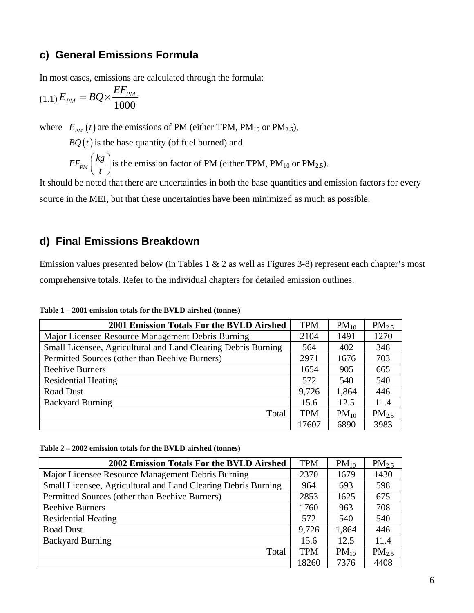# **c) General Emissions Formula**

In most cases, emissions are calculated through the formula:

$$
(1.1)\,E_{PM}=BQ\times\frac{EF_{PM}}{1000}
$$

where  $E_{pM}(t)$  are the emissions of PM (either TPM, PM<sub>10</sub> or PM<sub>2.5</sub>),

 $BQ(t)$  is the base quantity (of fuel burned) and

 $EF_{PM}$   $\Big(\frac{kg}{f}\Big)$  $\left(\frac{kg}{t}\right)$  is the emission factor of PM (either TPM, PM<sub>10</sub> or PM<sub>2.5</sub>).

It should be noted that there are uncertainties in both the base quantities and emission factors for every source in the MEI, but that these uncertainties have been minimized as much as possible.

### **d) Final Emissions Breakdown**

Emission values presented below (in Tables 1 & 2 as well as Figures 3-8) represent each chapter's most comprehensive totals. Refer to the individual chapters for detailed emission outlines.

| 2001 Emission Totals For the BVLD Airshed                     | <b>TPM</b> | $PM_{10}$ | PM <sub>2.5</sub> |
|---------------------------------------------------------------|------------|-----------|-------------------|
| Major Licensee Resource Management Debris Burning             |            | 1491      | 1270              |
| Small Licensee, Agricultural and Land Clearing Debris Burning |            | 402       | 348               |
| Permitted Sources (other than Beehive Burners)                | 2971       | 1676      | 703               |
| <b>Beehive Burners</b>                                        | 1654       | 905       | 665               |
| <b>Residential Heating</b>                                    | 572        | 540       | 540               |
| <b>Road Dust</b>                                              | 9,726      | 1,864     | 446               |
| <b>Backyard Burning</b>                                       | 15.6       | 12.5      | 11.4              |
| Total                                                         | <b>TPM</b> | $PM_{10}$ | PM <sub>2.5</sub> |
|                                                               | 17607      | 6890      | 3983              |

**Table 1 – 2001 emission totals for the BVLD airshed (tonnes)** 

| Table 2 - 2002 emission totals for the BVLD airshed (tonnes) |  |  |  |  |  |  |
|--------------------------------------------------------------|--|--|--|--|--|--|
|--------------------------------------------------------------|--|--|--|--|--|--|

| 2002 Emission Totals For the BVLD Airshed                     | <b>TPM</b> | $PM_{10}$ | PM <sub>2.5</sub> |
|---------------------------------------------------------------|------------|-----------|-------------------|
| Major Licensee Resource Management Debris Burning             | 2370       | 1679      | 1430              |
| Small Licensee, Agricultural and Land Clearing Debris Burning | 964        | 693       | 598               |
| Permitted Sources (other than Beehive Burners)                | 2853       | 1625      | 675               |
| <b>Beehive Burners</b>                                        | 1760       | 963       | 708               |
| <b>Residential Heating</b>                                    | 572        | 540       | 540               |
| Road Dust                                                     | 9,726      | 1,864     | 446               |
| <b>Backyard Burning</b>                                       | 15.6       | 12.5      | 11.4              |
| Total                                                         | <b>TPM</b> | $PM_{10}$ | PM <sub>2.5</sub> |
|                                                               | 18260      | 7376      | 4408              |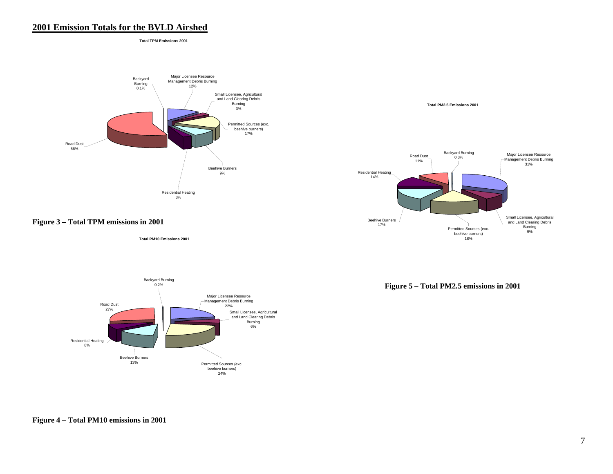#### **2001 Emission Totals for the BVLD Airshed**

**Total TPM Emissions 2001**





 **Total PM10 Emissions 2001**





**Figure 5 – Total PM2.5 emissions in 2001** 

**Figure 4 – Total PM10 emissions in 2001**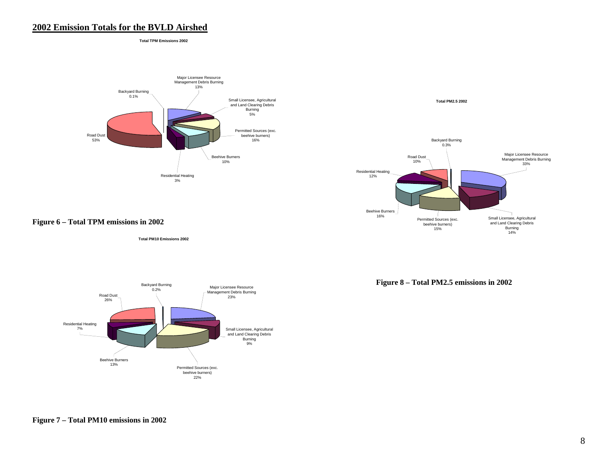#### **2002 Emission Totals for the BVLD Airshed**

**Total TPM Emissions 2002**





**Figure 6 – Total TPM emissions in 2002** 

**Total PM10 Emissions 2002**



**Figure 8 – Total PM2.5 emissions in 2002** 

**Figure 7 – Total PM10 emissions in 2002**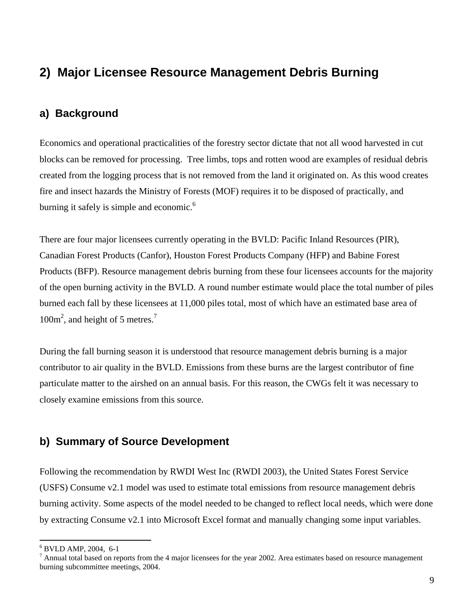# **2) Major Licensee Resource Management Debris Burning**

# **a) Background**

Economics and operational practicalities of the forestry sector dictate that not all wood harvested in cut blocks can be removed for processing. Tree limbs, tops and rotten wood are examples of residual debris created from the logging process that is not removed from the land it originated on. As this wood creates fire and insect hazards the Ministry of Forests (MOF) requires it to be disposed of practically, and burning it safely is simple and economic.<sup>6</sup>

There are four major licensees currently operating in the BVLD: Pacific Inland Resources (PIR), Canadian Forest Products (Canfor), Houston Forest Products Company (HFP) and Babine Forest Products (BFP). Resource management debris burning from these four licensees accounts for the majority of the open burning activity in the BVLD. A round number estimate would place the total number of piles burned each fall by these licensees at 11,000 piles total, most of which have an estimated base area of 100m<sup>2</sup>, and height of 5 metres.<sup>7</sup>

During the fall burning season it is understood that resource management debris burning is a major contributor to air quality in the BVLD. Emissions from these burns are the largest contributor of fine particulate matter to the airshed on an annual basis. For this reason, the CWGs felt it was necessary to closely examine emissions from this source.

## **b) Summary of Source Development**

Following the recommendation by RWDI West Inc (RWDI 2003), the United States Forest Service (USFS) Consume v2.1 model was used to estimate total emissions from resource management debris burning activity. Some aspects of the model needed to be changed to reflect local needs, which were done by extracting Consume v2.1 into Microsoft Excel format and manually changing some input variables.

 $\overline{a}$ 

<sup>6</sup> BVLD AMP, 2004, 6-1

 $<sup>7</sup>$  Annual total based on reports from the 4 major licensees for the year 2002. Area estimates based on resource management</sup> burning subcommittee meetings, 2004.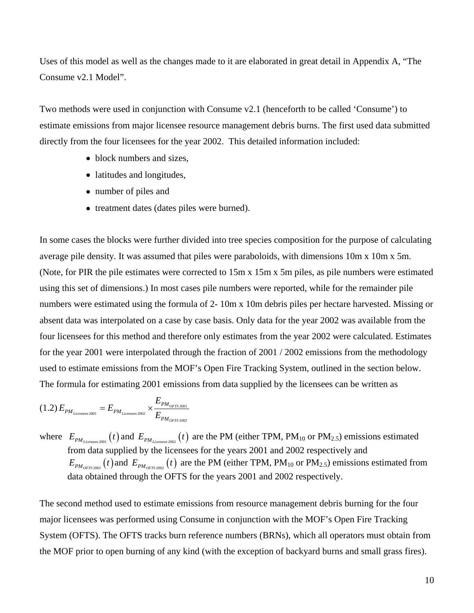Uses of this model as well as the changes made to it are elaborated in great detail in Appendix A, "The Consume v2.1 Model".

Two methods were used in conjunction with Consume v2.1 (henceforth to be called 'Consume') to estimate emissions from major licensee resource management debris burns. The first used data submitted directly from the four licensees for the year 2002. This detailed information included:

- block numbers and sizes,
- latitudes and longitudes,
- number of piles and
- treatment dates (dates piles were burned).

In some cases the blocks were further divided into tree species composition for the purpose of calculating average pile density. It was assumed that piles were paraboloids, with dimensions 10m x 10m x 5m. (Note, for PIR the pile estimates were corrected to 15m x 15m x 5m piles, as pile numbers were estimated using this set of dimensions.) In most cases pile numbers were reported, while for the remainder pile numbers were estimated using the formula of 2- 10m x 10m debris piles per hectare harvested. Missing or absent data was interpolated on a case by case basis. Only data for the year 2002 was available from the four licensees for this method and therefore only estimates from the year 2002 were calculated. Estimates for the year 2001 were interpolated through the fraction of 2001 / 2002 emissions from the methodology used to estimate emissions from the MOF's Open Fire Tracking System, outlined in the section below. The formula for estimating 2001 emissions from data supplied by the licensees can be written as

$$
(1.2) E_{PM_{\text{Licenses 2001}}} = E_{PM_{\text{Licenses 2002}}} \times \frac{E_{PM_{\text{OTTS 2001}}}}{E_{PM_{\text{OTTS 2002}}}}
$$

where  $E_{PM_{Lieemsees 2001}}(t)$  and  $E_{PM_{Lieemsees 2002}}(t)$  are the PM (either TPM, PM<sub>10</sub> or PM<sub>2.5</sub>) emissions estimated from data supplied by the licensees for the years 2001 and 2002 respectively and  $E_{PM_{OFTS2001}}(t)$  and  $E_{PM_{OFTS2002}}(t)$  are the PM (either TPM, PM<sub>10</sub> or PM<sub>2.5</sub>) emissions estimated from data obtained through the OFTS for the years 2001 and 2002 respectively.

The second method used to estimate emissions from resource management debris burning for the four major licensees was performed using Consume in conjunction with the MOF's Open Fire Tracking System (OFTS). The OFTS tracks burn reference numbers (BRNs), which all operators must obtain from the MOF prior to open burning of any kind (with the exception of backyard burns and small grass fires).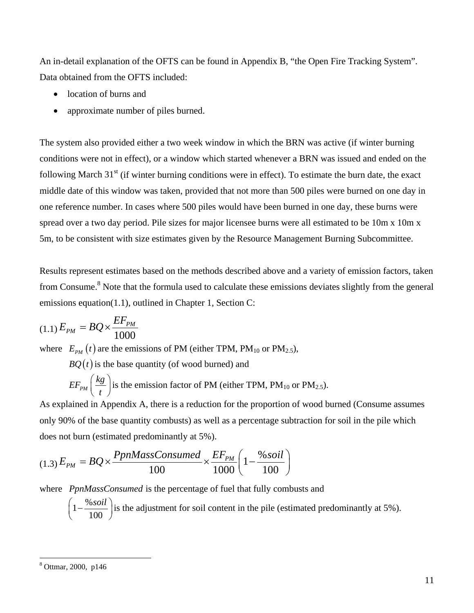An in-detail explanation of the OFTS can be found in Appendix B, "the Open Fire Tracking System". Data obtained from the OFTS included:

- location of burns and
- approximate number of piles burned.

The system also provided either a two week window in which the BRN was active (if winter burning conditions were not in effect), or a window which started whenever a BRN was issued and ended on the following March  $31<sup>st</sup>$  (if winter burning conditions were in effect). To estimate the burn date, the exact middle date of this window was taken, provided that not more than 500 piles were burned on one day in one reference number. In cases where 500 piles would have been burned in one day, these burns were spread over a two day period. Pile sizes for major licensee burns were all estimated to be 10m x 10m x 5m, to be consistent with size estimates given by the Resource Management Burning Subcommittee.

Results represent estimates based on the methods described above and a variety of emission factors, taken from Consume.<sup>8</sup> Note that the formula used to calculate these emissions deviates slightly from the general emissions equation(1.1), outlined in Chapter 1, Section C:

$$
(1.1) E_{PM} = BQ \times \frac{EF_{PM}}{1000}
$$

where  $E_{PM}(t)$  are the emissions of PM (either TPM, PM<sub>10</sub> or PM<sub>2.5</sub>),

 $BQ(t)$  is the base quantity (of wood burned) and

$$
EF_{PM}\left(\frac{kg}{t}\right)
$$
 is the emission factor of PM (either TPM, PM<sub>10</sub> or PM<sub>2.5</sub>).

As explained in Appendix A, there is a reduction for the proportion of wood burned (Consume assumes only 90% of the base quantity combusts) as well as a percentage subtraction for soil in the pile which does not burn (estimated predominantly at 5%).

$$
(1.3) E_{PM} = BQ \times \frac{PpnMassConsumed}{100} \times \frac{EF_{PM}}{1000} \left(1 - \frac{\% \, soil}{100}\right)
$$

where *PpnMassConsumed* is the percentage of fuel that fully combusts and

 $1-\frac{\%}{4}$  $\left(1-\frac{\% \, soil}{100}\right)$  is the adjustment for soil content in the pile (estimated predominantly at 5%).

 $\overline{a}$ 

<sup>8</sup> Ottmar, 2000, p146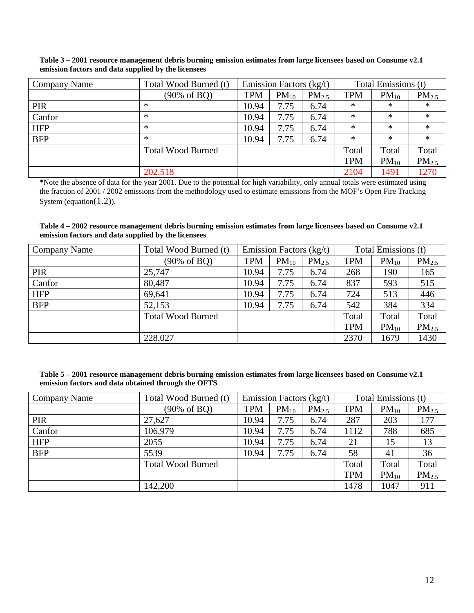**Table 3 – 2001 resource management debris burning emission estimates from large licensees based on Consume v2.1 emission factors and data supplied by the licensees** 

| Company Name | Total Wood Burned (t)    |            | Total Emissions (t)<br>Emission Factors (kg/t) |            |            |           |                   |
|--------------|--------------------------|------------|------------------------------------------------|------------|------------|-----------|-------------------|
|              | (90% of BQ)              | <b>TPM</b> | $PM_{10}$                                      | $PM_{2.5}$ | <b>TPM</b> | $PM_{10}$ | PM <sub>2.5</sub> |
| <b>PIR</b>   | ∗                        | 10.94      | 7.75                                           | 6.74       | ∗          | *         | $\ast$            |
| Canfor       | *                        | 10.94      | 7.75                                           | 6.74       | ∗          | $\ast$    | $\ast$            |
| <b>HFP</b>   | $\ast$                   | 10.94      | 7.75                                           | 6.74       | $\ast$     | $\ast$    | $\ast$            |
| <b>BFP</b>   | ∗                        | 10.94      | 7.75                                           | 6.74       | $\ast$     | $\ast$    | $\ast$            |
|              | <b>Total Wood Burned</b> |            |                                                |            | Total      | Total     | Total             |
|              |                          |            |                                                |            | <b>TPM</b> | $PM_{10}$ | $PM_{2.5}$        |
|              | 202,518                  |            |                                                |            | 2104       | 1491      | 1270              |

\*Note the absence of data for the year 2001. Due to the potential for high variability, only annual totals were estimated using the fraction of 2001 / 2002 emissions from the methodology used to estimate emissions from the MOF's Open Fire Tracking System (equation(1.2)).

#### **Table 4 – 2002 resource management debris burning emission estimates from large licensees based on Consume v2.1 emission factors and data supplied by the licensees**

| Company Name | Total Wood Burned (t)    | Emission Factors $(kg/t)$ |           |                   | Total Emissions (t) |           |                   |
|--------------|--------------------------|---------------------------|-----------|-------------------|---------------------|-----------|-------------------|
|              | (90% of BQ)              | <b>TPM</b>                | $PM_{10}$ | PM <sub>2.5</sub> | <b>TPM</b>          | $PM_{10}$ | $PM_{2.5}$        |
| <b>PIR</b>   | 25,747                   | 10.94                     | 7.75      | 6.74              | 268                 | 190       | 165               |
| Canfor       | 80,487                   | 10.94                     | 7.75      | 6.74              | 837                 | 593       | 515               |
| <b>HFP</b>   | 69,641                   | 10.94                     | 7.75      | 6.74              | 724                 | 513       | 446               |
| <b>BFP</b>   | 52,153                   | 10.94                     | 7.75      | 6.74              | 542                 | 384       | 334               |
|              | <b>Total Wood Burned</b> |                           |           |                   | Total               | Total     | Total             |
|              |                          |                           |           |                   | <b>TPM</b>          | $PM_{10}$ | PM <sub>2.5</sub> |
|              | 228,027                  |                           |           | 2370              | 1679                | 1430      |                   |

| Table 5 – 2001 resource management debris burning emission estimates from large licensees based on Consume v2.1 |  |
|-----------------------------------------------------------------------------------------------------------------|--|
| emission factors and data obtained through the OFTS                                                             |  |

| Company Name | Total Wood Burned (t)    |            | Emission Factors (kg/t) |            | Total Emissions (t) |           |            |
|--------------|--------------------------|------------|-------------------------|------------|---------------------|-----------|------------|
|              | $(90\% \text{ of } BQ)$  | <b>TPM</b> | $PM_{10}$               | $PM_{2.5}$ | <b>TPM</b>          | $PM_{10}$ | $PM_{2.5}$ |
| <b>PIR</b>   | 27,627                   | 10.94      | 7.75                    | 6.74       | 287                 | 203       | 177        |
| Canfor       | 106,979                  | 10.94      | 7.75                    | 6.74       | 1112                | 788       | 685        |
| <b>HFP</b>   | 2055                     | 10.94      | 7.75                    | 6.74       | 21                  | 15        | 13         |
| <b>BFP</b>   | 5539                     | 10.94      | 7.75                    | 6.74       | 58                  | 41        | 36         |
|              | <b>Total Wood Burned</b> |            |                         |            | Total               | Total     | Total      |
|              |                          |            |                         |            | <b>TPM</b>          | $PM_{10}$ | $PM_{2.5}$ |
|              | 142,200                  |            |                         |            | 1478                | 1047      | 911        |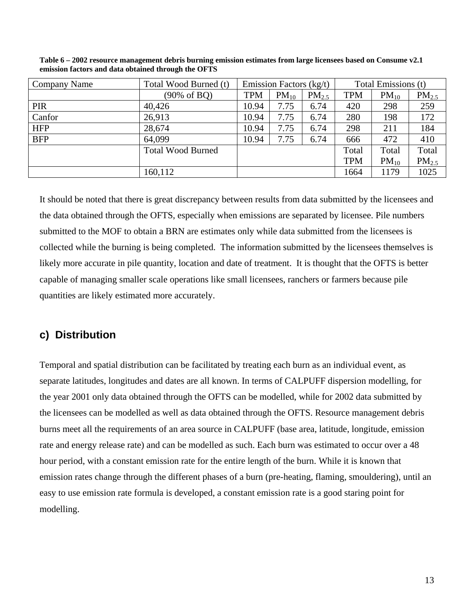| Company Name | Total Wood Burned (t)    |            | Emission Factors (kg/t) |            | Total Emissions (t) |           |            |
|--------------|--------------------------|------------|-------------------------|------------|---------------------|-----------|------------|
|              | (90% of BQ)              | <b>TPM</b> | $PM_{10}$               | $PM_{2.5}$ | <b>TPM</b>          | $PM_{10}$ | $PM_{2.5}$ |
| <b>PIR</b>   | 40,426                   | 10.94      | 7.75                    | 6.74       | 420                 | 298       | 259        |
| Canfor       | 26,913                   | 10.94      | 7.75                    | 6.74       | 280                 | 198       | 172        |
| <b>HFP</b>   | 28,674                   | 10.94      | 7.75                    | 6.74       | 298                 | 211       | 184        |
| <b>BFP</b>   | 64,099                   | 10.94      | 7.75                    | 6.74       | 666                 | 472       | 410        |
|              | <b>Total Wood Burned</b> |            |                         |            | Total               | Total     | Total      |
|              |                          |            |                         |            | <b>TPM</b>          | $PM_{10}$ | $PM_{2.5}$ |
|              | 160,112                  |            |                         |            | 1664                | 1179      | 1025       |

**Table 6 – 2002 resource management debris burning emission estimates from large licensees based on Consume v2.1 emission factors and data obtained through the OFTS** 

It should be noted that there is great discrepancy between results from data submitted by the licensees and the data obtained through the OFTS, especially when emissions are separated by licensee. Pile numbers submitted to the MOF to obtain a BRN are estimates only while data submitted from the licensees is collected while the burning is being completed. The information submitted by the licensees themselves is likely more accurate in pile quantity, location and date of treatment. It is thought that the OFTS is better capable of managing smaller scale operations like small licensees, ranchers or farmers because pile quantities are likely estimated more accurately.

## **c) Distribution**

Temporal and spatial distribution can be facilitated by treating each burn as an individual event, as separate latitudes, longitudes and dates are all known. In terms of CALPUFF dispersion modelling, for the year 2001 only data obtained through the OFTS can be modelled, while for 2002 data submitted by the licensees can be modelled as well as data obtained through the OFTS. Resource management debris burns meet all the requirements of an area source in CALPUFF (base area, latitude, longitude, emission rate and energy release rate) and can be modelled as such. Each burn was estimated to occur over a 48 hour period, with a constant emission rate for the entire length of the burn. While it is known that emission rates change through the different phases of a burn (pre-heating, flaming, smouldering), until an easy to use emission rate formula is developed, a constant emission rate is a good staring point for modelling.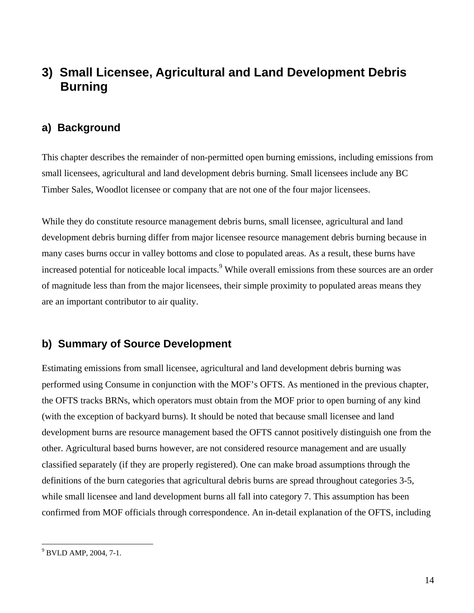# **3) Small Licensee, Agricultural and Land Development Debris Burning**

### **a) Background**

This chapter describes the remainder of non-permitted open burning emissions, including emissions from small licensees, agricultural and land development debris burning. Small licensees include any BC Timber Sales, Woodlot licensee or company that are not one of the four major licensees.

While they do constitute resource management debris burns, small licensee, agricultural and land development debris burning differ from major licensee resource management debris burning because in many cases burns occur in valley bottoms and close to populated areas. As a result, these burns have increased potential for noticeable local impacts.<sup>9</sup> While overall emissions from these sources are an order of magnitude less than from the major licensees, their simple proximity to populated areas means they are an important contributor to air quality.

## **b) Summary of Source Development**

Estimating emissions from small licensee, agricultural and land development debris burning was performed using Consume in conjunction with the MOF's OFTS. As mentioned in the previous chapter, the OFTS tracks BRNs, which operators must obtain from the MOF prior to open burning of any kind (with the exception of backyard burns). It should be noted that because small licensee and land development burns are resource management based the OFTS cannot positively distinguish one from the other. Agricultural based burns however, are not considered resource management and are usually classified separately (if they are properly registered). One can make broad assumptions through the definitions of the burn categories that agricultural debris burns are spread throughout categories 3-5, while small licensee and land development burns all fall into category 7. This assumption has been confirmed from MOF officials through correspondence. An in-detail explanation of the OFTS, including

 $\overline{a}$ 

<sup>9</sup> BVLD AMP, 2004, 7-1.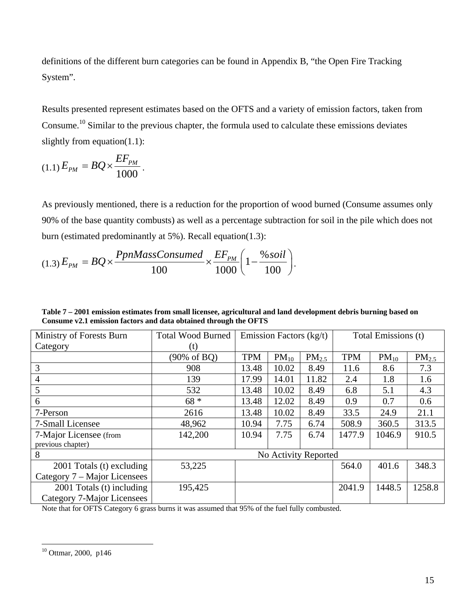definitions of the different burn categories can be found in Appendix B, "the Open Fire Tracking System".

Results presented represent estimates based on the OFTS and a variety of emission factors, taken from Consume.10 Similar to the previous chapter, the formula used to calculate these emissions deviates slightly from equation(1.1):

$$
(1.1)\,E_{PM} = BQ \times \frac{EF_{PM}}{1000} \,.
$$

As previously mentioned, there is a reduction for the proportion of wood burned (Consume assumes only 90% of the base quantity combusts) as well as a percentage subtraction for soil in the pile which does not burn (estimated predominantly at 5%). Recall equation(1.3):

$$
(1.3)\,E_{PM} = BQ \times \frac{PpnMassConsumed}{100} \times \frac{EF_{PM}}{1000} \bigg(1 - \frac{\% \, soil}{100}\bigg).
$$

**Table 7 – 2001 emission estimates from small licensee, agricultural and land development debris burning based on Consume v2.1 emission factors and data obtained through the OFTS** 

| Ministry of Forests Burn                                | <b>Total Wood Burned</b> |            | Emission Factors (kg/t) |                      | Total Emissions (t) |           |                   |  |
|---------------------------------------------------------|--------------------------|------------|-------------------------|----------------------|---------------------|-----------|-------------------|--|
| Category                                                | (t)                      |            |                         |                      |                     |           |                   |  |
|                                                         | (90% of BQ)              | <b>TPM</b> | $PM_{10}$               | $PM_{2.5}$           | <b>TPM</b>          | $PM_{10}$ | PM <sub>2.5</sub> |  |
| 3                                                       | 908                      | 13.48      | 10.02                   | 8.49                 | 11.6                | 8.6       | 7.3               |  |
| $\overline{4}$                                          | 139                      | 17.99      | 14.01                   | 11.82                | 2.4                 | 1.8       | 1.6               |  |
| 5                                                       | 532                      | 13.48      | 10.02                   | 8.49                 | 6.8                 | 5.1       | 4.3               |  |
| 6                                                       | $68 *$                   | 13.48      | 12.02                   | 8.49                 | 0.9                 | 0.7       | 0.6               |  |
| 7-Person                                                | 2616                     | 13.48      | 10.02                   | 8.49                 | 33.5                | 24.9      | 21.1              |  |
| 7-Small Licensee                                        | 48,962                   | 10.94      | 7.75                    | 6.74                 | 508.9               | 360.5     | 313.5             |  |
| 7-Major Licensee (from<br>previous chapter)             | 142,200                  | 10.94      | 7.75                    | 6.74                 | 1477.9              | 1046.9    | 910.5             |  |
| 8                                                       |                          |            |                         | No Activity Reported |                     |           |                   |  |
| $2001$ Totals (t) excluding                             | 53,225                   |            |                         |                      | 564.0               | 401.6     | 348.3             |  |
| Category 7 – Major Licensees                            |                          |            |                         |                      |                     |           |                   |  |
| 2001 Totals (t) including<br>Category 7-Major Licensees | 195,425                  |            |                         |                      | 2041.9              | 1448.5    | 1258.8            |  |

Note that for OFTS Category 6 grass burns it was assumed that 95% of the fuel fully combusted.

 $\overline{a}$ 

 $10$  Ottmar, 2000, p146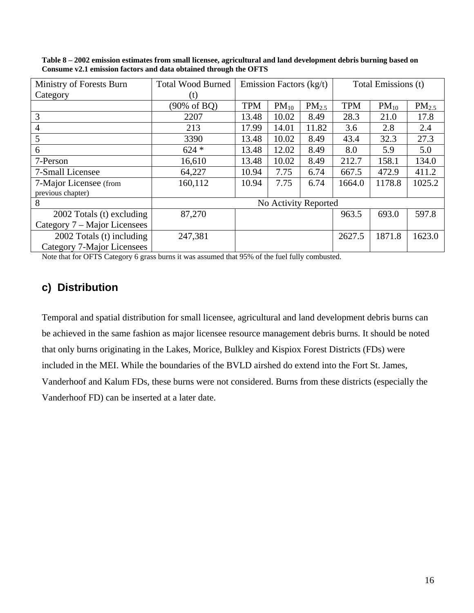| Ministry of Forests Burn     | <b>Total Wood Burned</b> | Emission Factors $(kg/t)$<br>Total Emissions (t) |           |                      |            |           |            |  |  |
|------------------------------|--------------------------|--------------------------------------------------|-----------|----------------------|------------|-----------|------------|--|--|
| Category                     | (t)                      |                                                  |           |                      |            |           |            |  |  |
|                              | (90% of BQ)              | <b>TPM</b>                                       | $PM_{10}$ | $PM_{2.5}$           | <b>TPM</b> | $PM_{10}$ | $PM_{2.5}$ |  |  |
| 3                            | 2207                     | 13.48                                            | 10.02     | 8.49                 | 28.3       | 21.0      | 17.8       |  |  |
| $\overline{4}$               | 213                      | 17.99                                            | 14.01     | 11.82                | 3.6        | 2.8       | 2.4        |  |  |
| 5                            | 3390                     | 13.48                                            | 10.02     | 8.49                 | 43.4       | 32.3      | 27.3       |  |  |
| 6                            | $624 *$                  | 13.48                                            | 12.02     | 8.49                 | 8.0        | 5.9       | 5.0        |  |  |
| 7-Person                     | 16,610                   | 13.48                                            | 10.02     | 8.49                 | 212.7      | 158.1     | 134.0      |  |  |
| 7-Small Licensee             | 64,227                   | 10.94                                            | 7.75      | 6.74                 | 667.5      | 472.9     | 411.2      |  |  |
| 7-Major Licensee (from       | 160,112                  | 10.94                                            | 7.75      | 6.74                 | 1664.0     | 1178.8    | 1025.2     |  |  |
| previous chapter)            |                          |                                                  |           |                      |            |           |            |  |  |
| 8                            |                          |                                                  |           | No Activity Reported |            |           |            |  |  |
| 2002 Totals (t) excluding    | 87,270                   | 963.5<br>693.0                                   |           |                      |            |           |            |  |  |
| Category 7 – Major Licensees |                          |                                                  |           |                      |            |           |            |  |  |
| 2002 Totals (t) including    | 247,381                  | 1871.8<br>2627.5<br>1623.0                       |           |                      |            |           |            |  |  |
| Category 7-Major Licensees   |                          |                                                  |           |                      |            |           |            |  |  |

**Table 8 – 2002 emission estimates from small licensee, agricultural and land development debris burning based on Consume v2.1 emission factors and data obtained through the OFTS** 

Note that for OFTS Category 6 grass burns it was assumed that 95% of the fuel fully combusted.

# **c) Distribution**

Temporal and spatial distribution for small licensee, agricultural and land development debris burns can be achieved in the same fashion as major licensee resource management debris burns. It should be noted that only burns originating in the Lakes, Morice, Bulkley and Kispiox Forest Districts (FDs) were included in the MEI. While the boundaries of the BVLD airshed do extend into the Fort St. James, Vanderhoof and Kalum FDs, these burns were not considered. Burns from these districts (especially the Vanderhoof FD) can be inserted at a later date.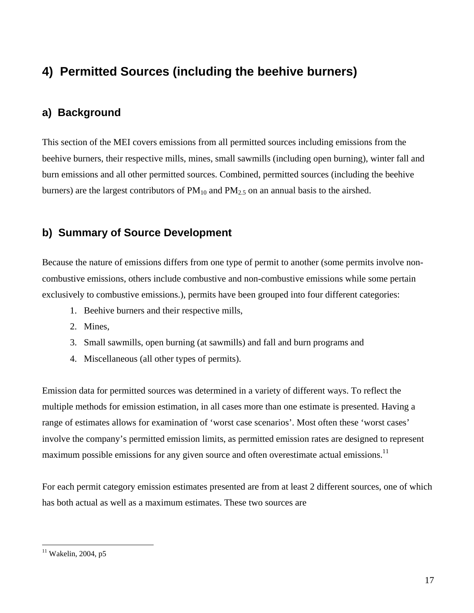# **4) Permitted Sources (including the beehive burners)**

# **a) Background**

This section of the MEI covers emissions from all permitted sources including emissions from the beehive burners, their respective mills, mines, small sawmills (including open burning), winter fall and burn emissions and all other permitted sources. Combined, permitted sources (including the beehive burners) are the largest contributors of  $PM_{10}$  and  $PM_{2.5}$  on an annual basis to the airshed.

## **b) Summary of Source Development**

Because the nature of emissions differs from one type of permit to another (some permits involve noncombustive emissions, others include combustive and non-combustive emissions while some pertain exclusively to combustive emissions.), permits have been grouped into four different categories:

- 1. Beehive burners and their respective mills,
- 2. Mines,
- 3. Small sawmills, open burning (at sawmills) and fall and burn programs and
- 4. Miscellaneous (all other types of permits).

Emission data for permitted sources was determined in a variety of different ways. To reflect the multiple methods for emission estimation, in all cases more than one estimate is presented. Having a range of estimates allows for examination of 'worst case scenarios'. Most often these 'worst cases' involve the company's permitted emission limits, as permitted emission rates are designed to represent maximum possible emissions for any given source and often overestimate actual emissions.<sup>11</sup>

For each permit category emission estimates presented are from at least 2 different sources, one of which has both actual as well as a maximum estimates. These two sources are

 $\overline{a}$ 

 $11$  Wakelin, 2004, p5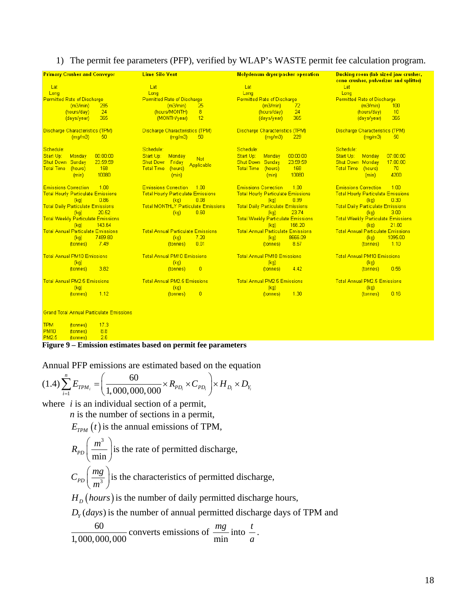#### 1) The permit fee parameters (PFP), verified by WLAP's WASTE permit fee calculation program.

| <b>Lime Silo Vent</b><br><b>Primary Crusher and Conveyor</b> |                                            | Molydenum dryer/packer operation          | <b>Bucking room (lab sized jaw crusher,</b><br>cone crusher, pulverizer and splitter) |  |  |  |
|--------------------------------------------------------------|--------------------------------------------|-------------------------------------------|---------------------------------------------------------------------------------------|--|--|--|
| Lat                                                          | Lat                                        | Lat                                       | Lat                                                                                   |  |  |  |
| Long                                                         | Long                                       | Long                                      | Long                                                                                  |  |  |  |
| <b>Permitted Rate of Discharge</b>                           | <b>Permitted Rate of Discharge</b>         | <b>Permitted Rate of Discharge</b>        | <b>Permitted Rate of Discharge</b>                                                    |  |  |  |
| (m3/min)                                                     | (m3/min)                                   | 72                                        | (m3/min)                                                                              |  |  |  |
| 285                                                          | 25                                         | (m3/min)                                  | 100                                                                                   |  |  |  |
| 24                                                           | 8                                          | 24                                        | 10                                                                                    |  |  |  |
| (hours/day)                                                  | (hours/MONTH)                              | (hours/day)                               | (hours/day)                                                                           |  |  |  |
| 365                                                          | 12                                         | (days/year)                               | 365                                                                                   |  |  |  |
| (days/year)                                                  | (MONTH/year)                               | 365                                       | (days/year)                                                                           |  |  |  |
| Discharge Characteristics (TPM)                              | Discharge Characteristics (TPM)            | <b>Discharge Characteristics (TPM)</b>    | <b>Discharge Characteristics (TPM)</b>                                                |  |  |  |
| (mq/m3)                                                      | (mq/m3)                                    | (mq/m3)                                   | 50                                                                                    |  |  |  |
| 50                                                           | 50                                         | 229                                       | (mq/m3)                                                                               |  |  |  |
| Schedule:                                                    | Schedule:                                  | Schedule:                                 | Schedule:                                                                             |  |  |  |
| 00:00:00                                                     | Start Up:                                  | 00:00:00                                  | Start Up:                                                                             |  |  |  |
| Start Up:                                                    | Monday                                     | Start Up:                                 | 07:00:00                                                                              |  |  |  |
| Monday                                                       | <b>Not</b>                                 | Monday                                    | Monday                                                                                |  |  |  |
| 23:59:59<br>Shut Down<br>Sunday                              | <b>Shut Down</b><br>Friday                 | 23:59:59<br><b>Shut Down Sunday</b>       | <b>Shut Down Monday</b><br>17:00:00                                                   |  |  |  |
| 168                                                          | Applicable                                 | 168                                       | 70                                                                                    |  |  |  |
| <b>Total Time</b>                                            | <b>Total Time</b>                          | <b>Total Time</b>                         | <b>Total Time</b>                                                                     |  |  |  |
| (hours)                                                      | (hours)                                    | (hours)                                   | (hours)                                                                               |  |  |  |
| 10080                                                        | (min)                                      | 10080                                     | 4200                                                                                  |  |  |  |
| (min)                                                        |                                            | (min)                                     | (min)                                                                                 |  |  |  |
| <b>Emissions Correction</b>                                  | <b>Emissions Correction</b>                | <b>Emissions Correction</b>               | <b>Emissions Correction</b>                                                           |  |  |  |
| 1.00                                                         | 1.00                                       | 1.00                                      | 1.00                                                                                  |  |  |  |
| <b>Total Hourly Particulate Emissions</b>                    | <b>Total Hourly Particulate Emissions</b>  | <b>Total Hourly Particulate Emissions</b> | <b>Total Hourly Particulate Emissions</b>                                             |  |  |  |
| (kq)                                                         | 0.08                                       | 0.99                                      | 0.30                                                                                  |  |  |  |
| 0.86                                                         | (kq)                                       | (kq)                                      | (kq)                                                                                  |  |  |  |
| <b>Total Daily Particulate Emissions</b>                     | <b>Total MONTHLY Particulate Emissions</b> | <b>Total Daily Particulate Emissions</b>  | <b>Total Daily Particulate Emissions</b>                                              |  |  |  |
| 20.52                                                        | 0.60                                       | 23.74                                     | 3.00                                                                                  |  |  |  |
| (kg)                                                         | (kg)                                       | (kg)                                      | (kq)                                                                                  |  |  |  |
| <b>Total Weekly Particulate Emissions</b>                    |                                            | <b>Total Weekly Particulate Emissions</b> | <b>Total Weekly Particulate Emissions</b>                                             |  |  |  |
| (kg)                                                         |                                            | 166.20                                    | 21.00                                                                                 |  |  |  |
| 143.64                                                       |                                            | (kq)                                      | (kq)                                                                                  |  |  |  |
| <b>Total Annual Particulate Emissions</b>                    | <b>Total Annual Particulate Emissions</b>  | <b>Total Annual Particulate Emissions</b> | <b>Total Annual Particulate Emissions</b>                                             |  |  |  |
| 7489.80                                                      | 7.20                                       | 8666.09                                   | 1095.00                                                                               |  |  |  |
| (kg)                                                         | (kq)                                       | (kq)                                      | (kg)                                                                                  |  |  |  |
| 7.49                                                         | 0.01                                       | 8.67                                      | 1.10                                                                                  |  |  |  |
| (tonnes)                                                     | (tonnes)                                   | (tonnes)                                  | (tonnes)                                                                              |  |  |  |
| <b>Total Annual PM10 Emissions</b>                           | <b>Total Annual PM10 Emissions</b>         | <b>Total Annual PM10 Emissions</b>        | <b>Total Annual PM10 Emissions</b>                                                    |  |  |  |
| (kq)                                                         | (kq)                                       | (kq)                                      | (kq)                                                                                  |  |  |  |
| 3.82                                                         | $\overline{0}$                             | 4.42                                      | 0.56                                                                                  |  |  |  |
| (tonnes)                                                     | (tonnes)                                   | (tonnes)                                  | (tonnes)                                                                              |  |  |  |
| <b>Total Annual PM2.5 Emissions</b>                          | <b>Total Annual PM2.5 Emissions</b>        | <b>Total Annual PM2.5 Emissions</b>       | <b>Total Annual PM2.5 Emissions</b>                                                   |  |  |  |
| (kq)                                                         | (kq)                                       | (kq)                                      | (kq)                                                                                  |  |  |  |
| 1.12                                                         | $\overline{0}$                             | 1,30                                      | 0.16                                                                                  |  |  |  |
| (tonnes)                                                     | (tonnes)                                   | (tonnes)                                  | (tonnes)                                                                              |  |  |  |

.<br>Grand Total Annual Particulate Emissions

| <b>TPM</b>   | (tonnes)        | 17.3 |
|--------------|-----------------|------|
| <b>PM10</b>  | (tonnes)        | 88   |
| <b>PM2.5</b> | <i>(tonnes)</i> | 26   |

#### **Figure 9 – Emission estimates based on permit fee parameters**

Annual PFP emissions are estimated based on the equation

$$
(1.4)\sum_{i=1}^{n} E_{TPM_i} = \left(\frac{60}{1,000,000,000} \times R_{PD_i} \times C_{PD_i}\right) \times H_{D_i} \times D_{Y_i}
$$

where *i* is an individual section of a permit,

*n* is the number of sections in a permit,

 $E_{TPM}(t)$  is the annual emissions of TPM,

$$
R_{PD}\left(\frac{m^3}{\min}\right)
$$
 is the rate of permitted discharge,  

$$
C_{PD}\left(\frac{mg}{m^3}\right)
$$
 is the characteristics of permitted discharge,

 $H_D$  (*hours*) is the number of daily permitted discharge hours,

 $D<sub>y</sub>(days)$  is the number of annual permitted discharge days of TPM and

 $60$ 1,000,000,000 converts emissions of min  $\frac{mg}{dt}$  into  $\frac{t}{t}$ *a* .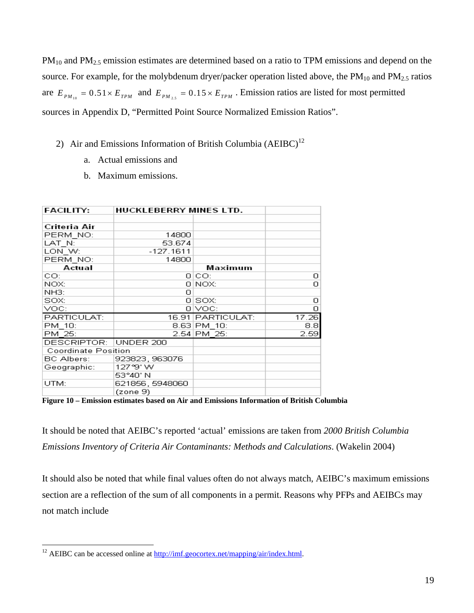$PM_{10}$  and  $PM_{2.5}$  emission estimates are determined based on a ratio to TPM emissions and depend on the source. For example, for the molybdenum dryer/packer operation listed above, the  $PM_{10}$  and  $PM_{2.5}$  ratios are  $E_{PM_{10}} = 0.51 \times E_{TPM}$  and  $E_{PM_{25}} = 0.15 \times E_{TPM}$ . Emission ratios are listed for most permitted sources in Appendix D, "Permitted Point Source Normalized Emission Ratios".

- 2) Air and Emissions Information of British Columbia  $(AEIBC)^{12}$ 
	- a. Actual emissions and
	- b. Maximum emissions.

| <b>FACILITY:</b>           | <b>HUCKLEBERRY MINES LTD.</b> |                   |       |
|----------------------------|-------------------------------|-------------------|-------|
|                            |                               |                   |       |
| Criteria Air               |                               |                   |       |
| PERM NO:                   | 14800                         |                   |       |
| LAT N:                     | 53.674                        |                   |       |
| LON W:                     | $-127.1611$                   |                   |       |
| PERM NO:                   | 14800                         |                   |       |
| Actual                     |                               | Maximum           |       |
| CO:                        |                               | 0 CO:             | 0     |
| NOX:                       |                               | 0 NOX:            | о     |
| NH3:                       | о                             |                   |       |
| SOX:                       |                               | 0 SOX:            | о     |
| VOC:                       |                               | 0 IVOC:           | ο     |
| PARTICULAT:                |                               | 16.91 PARTICULAT: | 17.26 |
| PM 10:                     |                               | 8.63 PM 10:       | 8.81  |
| PM 25:                     |                               | 2.54 PM 25:       | 2.59  |
| DESCRIPTOR:                | UNDER 200                     |                   |       |
| <b>Coordinate Position</b> |                               |                   |       |
| <b>BC Albers:</b>          | 923823, 963076                |                   |       |
| Geographic:                | 127°9' W                      |                   |       |
|                            | 53°40' N                      |                   |       |
| UTM:                       | 621856, 5948060               |                   |       |
|                            | (zone 9)                      |                   |       |

**Figure 10 – Emission estimates based on Air and Emissions Information of British Columbia**

It should be noted that AEIBC's reported 'actual' emissions are taken from *2000 British Columbia Emissions Inventory of Criteria Air Contaminants: Methods and Calculations*. (Wakelin 2004)

It should also be noted that while final values often do not always match, AEIBC's maximum emissions section are a reflection of the sum of all components in a permit. Reasons why PFPs and AEIBCs may not match include

 $\overline{a}$ <sup>12</sup> AEIBC can be accessed online at  $\frac{http://imf.geocortex.net/mapping/air/index.html}{http://imf.geocortex.net/mapping/air/index.html}.$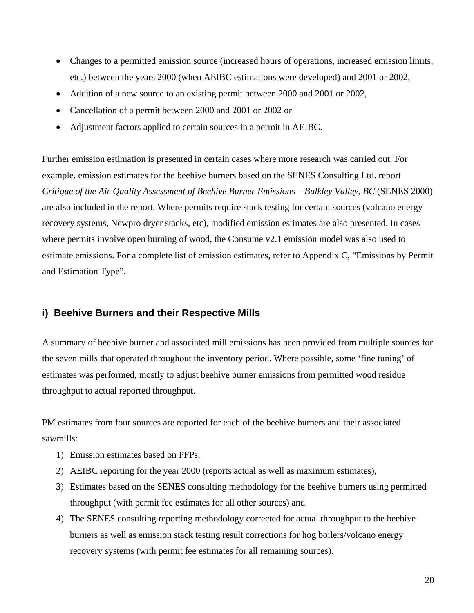- Changes to a permitted emission source (increased hours of operations, increased emission limits, etc.) between the years 2000 (when AEIBC estimations were developed) and 2001 or 2002,
- Addition of a new source to an existing permit between 2000 and 2001 or 2002,
- Cancellation of a permit between 2000 and 2001 or 2002 or
- Adjustment factors applied to certain sources in a permit in AEIBC.

Further emission estimation is presented in certain cases where more research was carried out. For example, emission estimates for the beehive burners based on the SENES Consulting Ltd. report *Critique of the Air Quality Assessment of Beehive Burner Emissions – Bulkley Valley, BC* (SENES 2000) are also included in the report. Where permits require stack testing for certain sources (volcano energy recovery systems, Newpro dryer stacks, etc), modified emission estimates are also presented. In cases where permits involve open burning of wood, the Consume v2.1 emission model was also used to estimate emissions. For a complete list of emission estimates, refer to Appendix C, "Emissions by Permit and Estimation Type".

#### **i) Beehive Burners and their Respective Mills**

A summary of beehive burner and associated mill emissions has been provided from multiple sources for the seven mills that operated throughout the inventory period. Where possible, some 'fine tuning' of estimates was performed, mostly to adjust beehive burner emissions from permitted wood residue throughput to actual reported throughput.

PM estimates from four sources are reported for each of the beehive burners and their associated sawmills:

- 1) Emission estimates based on PFPs,
- 2) AEIBC reporting for the year 2000 (reports actual as well as maximum estimates),
- 3) Estimates based on the SENES consulting methodology for the beehive burners using permitted throughput (with permit fee estimates for all other sources) and
- 4) The SENES consulting reporting methodology corrected for actual throughput to the beehive burners as well as emission stack testing result corrections for hog boilers/volcano energy recovery systems (with permit fee estimates for all remaining sources).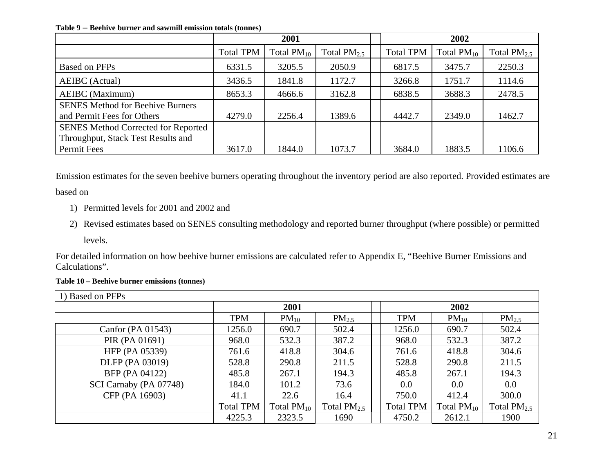**Table 9 – Beehive burner and sawmill emission totals (tonnes)** 

|                                                                       | 2001             |                 |                  |  | 2002             |                 |                  |  |
|-----------------------------------------------------------------------|------------------|-----------------|------------------|--|------------------|-----------------|------------------|--|
|                                                                       | <b>Total TPM</b> | Total $PM_{10}$ | Total $PM_{2.5}$ |  | <b>Total TPM</b> | Total $PM_{10}$ | Total $PM_{2.5}$ |  |
| Based on PFPs                                                         | 6331.5           | 3205.5          | 2050.9           |  | 6817.5           | 3475.7          | 2250.3           |  |
| <b>AEIBC</b> (Actual)                                                 | 3436.5           | 1841.8          | 1172.7           |  | 3266.8           | 1751.7          | 1114.6           |  |
| <b>AEIBC</b> (Maximum)                                                | 8653.3           | 4666.6          | 3162.8           |  | 6838.5           | 3688.3          | 2478.5           |  |
| <b>SENES Method for Beehive Burners</b><br>and Permit Fees for Others | 4279.0           | 2256.4          | 1389.6           |  | 4442.7           | 2349.0          | 1462.7           |  |
| <b>SENES Method Corrected for Reported</b>                            |                  |                 |                  |  |                  |                 |                  |  |
| Throughput, Stack Test Results and                                    |                  |                 |                  |  |                  |                 |                  |  |
| Permit Fees                                                           | 3617.0           | 1844.0          | 1073.7           |  | 3684.0           | 1883.5          | 1106.6           |  |

Emission estimates for the seven beehive burners operating throughout the inventory period are also reported. Provided estimates are based on

- 1) Permitted levels for 2001 and 2002 and
- 2) Revised estimates based on SENES consulting methodology and reported burner throughput (where possible) or permitted levels.

For detailed information on how beehive burner emissions are calculated refer to Appendix E, "Beehive Burner Emissions and Calculations".

#### **Table 10 – Beehive burner emissions (tonnes)**

| 1) Based on PFPs       |                  |                 |                  |  |                  |                 |                  |  |  |
|------------------------|------------------|-----------------|------------------|--|------------------|-----------------|------------------|--|--|
|                        |                  | 2001            |                  |  |                  | 2002            |                  |  |  |
|                        | <b>TPM</b>       | $PM_{10}$       | $PM_{2.5}$       |  | <b>TPM</b>       | $PM_{10}$       | $PM_{2.5}$       |  |  |
| Canfor (PA $01543$ )   | 1256.0           | 690.7           | 502.4            |  | 1256.0           | 690.7           | 502.4            |  |  |
| PIR (PA 01691)         | 968.0            | 532.3           | 387.2            |  | 968.0            | 532.3           | 387.2            |  |  |
| HFP (PA 05339)         | 761.6            | 418.8           | 304.6            |  | 761.6            | 418.8           | 304.6            |  |  |
| DLFP (PA 03019)        | 528.8            | 290.8           | 211.5            |  | 528.8            | 290.8           | 211.5            |  |  |
| BFP (PA 04122)         | 485.8            | 267.1           | 194.3            |  | 485.8            | 267.1           | 194.3            |  |  |
| SCI Carnaby (PA 07748) | 184.0            | 101.2           | 73.6             |  | 0.0              | $0.0\,$         | 0.0              |  |  |
| CFP (PA 16903)         | 41.1             | 22.6            | 16.4             |  | 750.0            | 412.4           | 300.0            |  |  |
|                        | <b>Total TPM</b> | Total $PM_{10}$ | Total $PM_{2.5}$ |  | <b>Total TPM</b> | Total $PM_{10}$ | Total $PM_{2.5}$ |  |  |
|                        | 4225.3           | 2323.5          | 1690             |  | 4750.2           | 2612.1          | 1900             |  |  |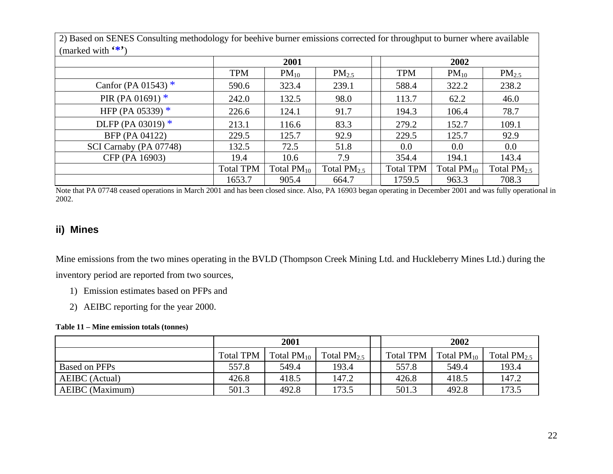| (marked with $(*)$ )   |                  |                 |                  |  |                  |                 |                  |  |  |
|------------------------|------------------|-----------------|------------------|--|------------------|-----------------|------------------|--|--|
|                        |                  | 2001            |                  |  |                  | 2002            |                  |  |  |
|                        | <b>TPM</b>       | $PM_{10}$       | $PM_{2.5}$       |  | <b>TPM</b>       | $PM_{10}$       | $PM_{2.5}$       |  |  |
| Canfor (PA 01543) $*$  | 590.6            | 323.4           | 239.1            |  | 588.4            | 322.2           | 238.2            |  |  |
| PIR (PA 01691) $*$     | 242.0            | 132.5           | 98.0             |  | 113.7            | 62.2            | 46.0             |  |  |
| HFP (PA 05339) $*$     | 226.6            | 124.1           | 91.7             |  | 194.3            | 106.4           | 78.7             |  |  |
| DLFP (PA 03019) $*$    | 213.1            | 116.6           | 83.3             |  | 279.2            | 152.7           | 109.1            |  |  |
| BFP (PA 04122)         | 229.5            | 125.7           | 92.9             |  | 229.5            | 125.7           | 92.9             |  |  |
| SCI Carnaby (PA 07748) | 132.5            | 72.5            | 51.8             |  | $0.0\,$          | $0.0\,$         | 0.0              |  |  |
| CFP (PA 16903)         | 19.4             | 10.6            | 7.9              |  | 354.4            | 194.1           | 143.4            |  |  |
|                        | <b>Total TPM</b> | Total $PM_{10}$ | Total $PM_{2.5}$ |  | <b>Total TPM</b> | Total $PM_{10}$ | Total $PM_{2.5}$ |  |  |
|                        | 1653.7           | 905.4           | 664.7            |  | 1759.5           | 963.3           | 708.3            |  |  |

2) Based on SENES Consulting methodology for beehive burner emissions corrected for throughput to burner where available

Note that PA 07748 ceased operations in March 2001 and has been closed since. Also, PA 16903 began operating in December 2001 and was fully operational in 2002.

#### **ii) Mines**

Mine emissions from the two mines operating in the BVLD (Thompson Creek Mining Ltd. and Huckleberry Mines Ltd.) during the inventory period are reported from two sources,

- 1) Emission estimates based on PFPs and
- 2) AEIBC reporting for the year 2000.

#### **Table 11 – Mine emission totals (tonnes)**

|                        | 2001      |                 |                  |  | 2002             |                 |                  |  |
|------------------------|-----------|-----------------|------------------|--|------------------|-----------------|------------------|--|
|                        | Total TPM | Total $PM_{10}$ | Total $PM_{2.5}$ |  | <b>Total TPM</b> | Total $PM_{10}$ | Total $PM_{2.5}$ |  |
| Based on PFPs          | 557.8     | 549.4           | 193.4            |  | 557.8            | 549.4           | 193.4            |  |
| AEIBC (Actual)         | 426.8     | 418.5           | 147.2            |  | 426.8            | 418.5           | 147.2            |  |
| <b>AEIBC</b> (Maximum) | 501.3     | 492.8           | 173.5            |  | 501.3            | 492.8           | 173.5            |  |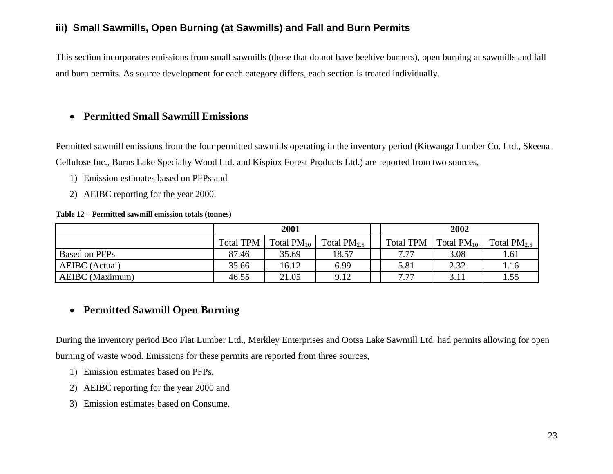### **iii) Small Sawmills, Open Burning (at Sawmills) and Fall and Burn Permits**

This section incorporates emissions from small sawmills (those that do not have beehive burners), open burning at sawmills and fall and burn permits. As source development for each category differs, each section is treated individually.

### • **Permitted Small Sawmill Emissions**

Permitted sawmill emissions from the four permitted sawmills operating in the inventory period (Kitwanga Lumber Co. Ltd., Skeena Cellulose Inc., Burns Lake Specialty Wood Ltd. and Kispiox Forest Products Ltd.) are reported from two sources,

- 1) Emission estimates based on PFPs and
- 2) AEIBC reporting for the year 2000.

#### **Table 12 – Permitted sawmill emission totals (tonnes)**

|                        | 2001             |                 |                         | 2002             |                 |                  |  |
|------------------------|------------------|-----------------|-------------------------|------------------|-----------------|------------------|--|
|                        | <b>Total TPM</b> | Total $PM_{10}$ | Total PM <sub>2.5</sub> | <b>Total TPM</b> | Total $PM_{10}$ | Total $PM_{2.5}$ |  |
| Based on PFPs          | 87.46            | 35.69           | 18.57                   | 7.77             | 3.08            | 1.61             |  |
| AEIBC (Actual)         | 35.66            | 16.12           | 6.99                    | 5.81             | 2.32            | 1.16             |  |
| <b>AEIBC</b> (Maximum) | 46.55            | 21.05           | 9.12                    | 7.77             | 3.11            | 1.55             |  |

### • **Permitted Sawmill Open Burning**

During the inventory period Boo Flat Lumber Ltd., Merkley Enterprises and Ootsa Lake Sawmill Ltd. had permits allowing for open burning of waste wood. Emissions for these permits are reported from three sources,

- 1) Emission estimates based on PFPs,
- 2) AEIBC reporting for the year 2000 and
- 3) Emission estimates based on Consume.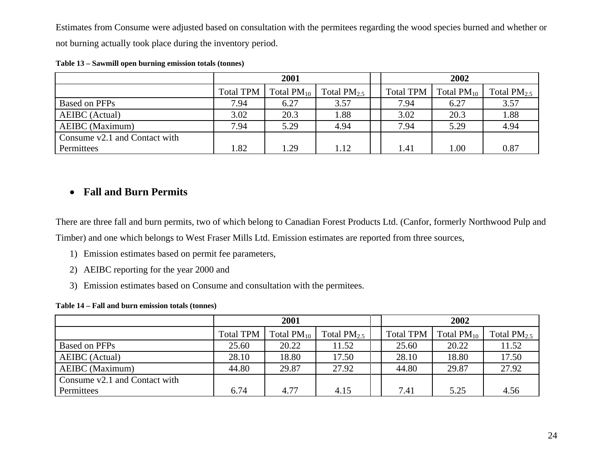Estimates from Consume were adjusted based on consultation with the permitees regarding the wood species burned and whether or not burning actually took place during the inventory period.

|                               | 2001             |                 |                  | 2002             |                 |                  |  |
|-------------------------------|------------------|-----------------|------------------|------------------|-----------------|------------------|--|
|                               | <b>Total TPM</b> | Total $PM_{10}$ | Total $PM_{2.5}$ | <b>Total TPM</b> | Total $PM_{10}$ | Total $PM_{2.5}$ |  |
| Based on PFPs                 | 7.94             | 6.27            | 3.57             | 7.94             | 6.27            | 3.57             |  |
| <b>AEIBC</b> (Actual)         | 3.02             | 20.3            | 1.88             | 3.02             | 20.3            | 1.88             |  |
| <b>AEIBC</b> (Maximum)        | 7.94             | 5.29            | 4.94             | 7.94             | 5.29            | 4.94             |  |
| Consume v2.1 and Contact with |                  |                 |                  |                  |                 |                  |  |
| Permittees                    | 1.82             | 1.29            | 1.12             | 1.41             | 1.00            | 0.87             |  |

#### **Table 13 – Sawmill open burning emission totals (tonnes)**

#### • **Fall and Burn Permits**

There are three fall and burn permits, two of which belong to Canadian Forest Products Ltd. (Canfor, formerly Northwood Pulp and Timber) and one which belongs to West Fraser Mills Ltd. Emission estimates are reported from three sources,

- 1) Emission estimates based on permit fee parameters,
- 2) AEIBC reporting for the year 2000 and
- 3) Emission estimates based on Consume and consultation with the permitees.

#### **Table 14 – Fall and burn emission totals (tonnes)**

|                               | 2001             |                 |                  | 2002             |                 |                  |  |
|-------------------------------|------------------|-----------------|------------------|------------------|-----------------|------------------|--|
|                               | <b>Total TPM</b> | Total $PM_{10}$ | Total $PM_{2.5}$ | <b>Total TPM</b> | Total $PM_{10}$ | Total $PM_{2.5}$ |  |
| Based on PFPs                 | 25.60            | 20.22           | 11.52            | 25.60            | 20.22           | 11.52            |  |
| AEIBC (Actual)                | 28.10            | 18.80           | 17.50            | 28.10            | 18.80           | 17.50            |  |
| <b>AEIBC</b> (Maximum)        | 44.80            | 29.87           | 27.92            | 44.80            | 29.87           | 27.92            |  |
| Consume v2.1 and Contact with |                  |                 |                  |                  |                 |                  |  |
| Permittees                    | 6.74             | 4.77            | 4.15             | 7.41             | 5.25            | 4.56             |  |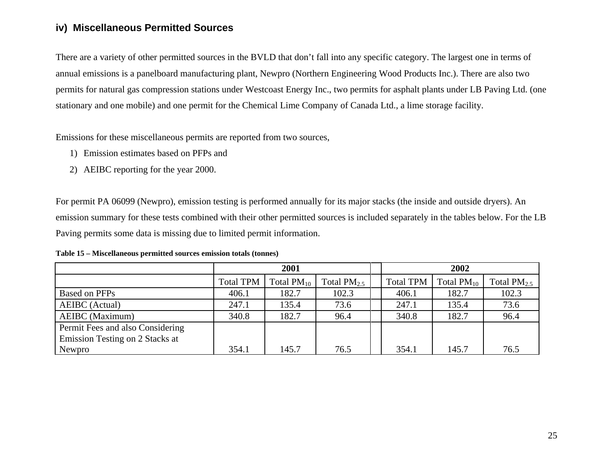#### **iv) Miscellaneous Permitted Sources**

There are a variety of other permitted sources in the BVLD that don't fall into any specific category. The largest one in terms of annual emissions is a panelboard manufacturing plant, Newpro (Northern Engineering Wood Products Inc.). There are also two permits for natural gas compression stations under Westcoast Energy Inc., two permits for asphalt plants under LB Paving Ltd. (one stationary and one mobile) and one permit for the Chemical Lime Company of Canada Ltd., a lime storage facility.

Emissions for these miscellaneous permits are reported from two sources,

- 1) Emission estimates based on PFPs and
- 2) AEIBC reporting for the year 2000.

For permit PA 06099 (Newpro), emission testing is performed annually for its major stacks (the inside and outside dryers). An emission summary for these tests combined with their other permitted sources is included separately in the tables below. For the LB Paving permits some data is missing due to limited permit information.

|                                  | 2001             |                 |                  | 2002             |                 |                  |  |
|----------------------------------|------------------|-----------------|------------------|------------------|-----------------|------------------|--|
|                                  | <b>Total TPM</b> | Total $PM_{10}$ | Total $PM_{2.5}$ | <b>Total TPM</b> | Total $PM_{10}$ | Total $PM_{2.5}$ |  |
| Based on PFPs                    | 406.1            | 182.7           | 102.3            | 406.1            | 182.7           | 102.3            |  |
| <b>AEIBC</b> (Actual)            | 247.1            | 135.4           | 73.6             | 247.1            | 135.4           | 73.6             |  |
| <b>AEIBC</b> (Maximum)           | 340.8            | 182.7           | 96.4             | 340.8            | 182.7           | 96.4             |  |
| Permit Fees and also Considering |                  |                 |                  |                  |                 |                  |  |
| Emission Testing on 2 Stacks at  |                  |                 |                  |                  |                 |                  |  |
| Newpro                           | 354.1            | 145.7           | 76.5             | 354.1            | 145.7           | 76.5             |  |

**Table 15 – Miscellaneous permitted sources emission totals (tonnes)**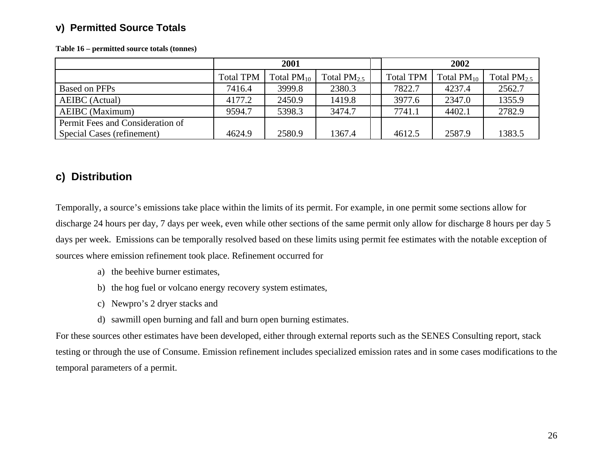### **v) Permitted Source Totals**

|                                  | 2001             |                 |                  | 2002             |                 |                  |  |
|----------------------------------|------------------|-----------------|------------------|------------------|-----------------|------------------|--|
|                                  | <b>Total TPM</b> | Total $PM_{10}$ | Total $PM_{2.5}$ | <b>Total TPM</b> | Total $PM_{10}$ | Total $PM_{2.5}$ |  |
| Based on PFPs                    | 7416.4           | 3999.8          | 2380.3           | 7822.7           | 4237.4          | 2562.7           |  |
| AEIBC (Actual)                   | 4177.2           | 2450.9          | 1419.8           | 3977.6           | 2347.0          | 1355.9           |  |
| AEIBC (Maximum)                  | 9594.7           | 5398.3          | 3474.7           | 7741.1           | 4402.1          | 2782.9           |  |
| Permit Fees and Consideration of |                  |                 |                  |                  |                 |                  |  |
| Special Cases (refinement)       | 4624.9           | 2580.9          | 1367.4           | 4612.5           | 2587.9          | 1383.5           |  |

**Table 16 – permitted source totals (tonnes)** 

## **c) Distribution**

Temporally, a source's emissions take place within the limits of its permit. For example, in one permit some sections allow for discharge 24 hours per day, 7 days per week, even while other sections of the same permit only allow for discharge 8 hours per day 5 days per week. Emissions can be temporally resolved based on these limits using permit fee estimates with the notable exception of sources where emission refinement took place. Refinement occurred for

- a) the beehive burner estimates,
- b) the hog fuel or volcano energy recovery system estimates,
- c) Newpro's 2 dryer stacks and
- d) sawmill open burning and fall and burn open burning estimates.

For these sources other estimates have been developed, either through external reports such as the SENES Consulting report, stack testing or through the use of Consume. Emission refinement includes specialized emission rates and in some cases modifications to the temporal parameters of a permit.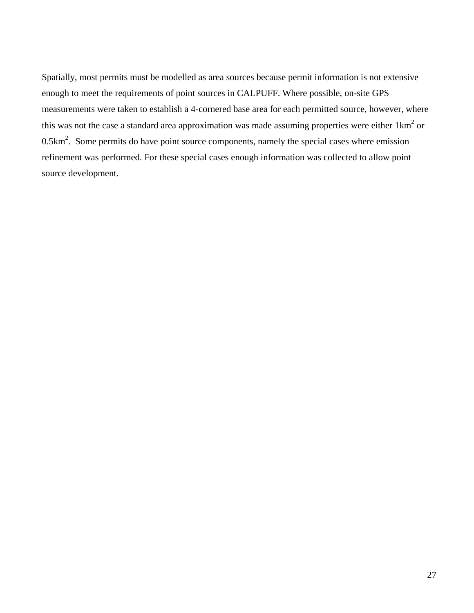Spatially, most permits must be modelled as area sources because permit information is not extensive enough to meet the requirements of point sources in CALPUFF. Where possible, on-site GPS measurements were taken to establish a 4-cornered base area for each permitted source, however, where this was not the case a standard area approximation was made assuming properties were either  $1 \text{km}^2$  or  $0.5 \text{km}^2$ . Some permits do have point source components, namely the special cases where emission refinement was performed. For these special cases enough information was collected to allow point source development.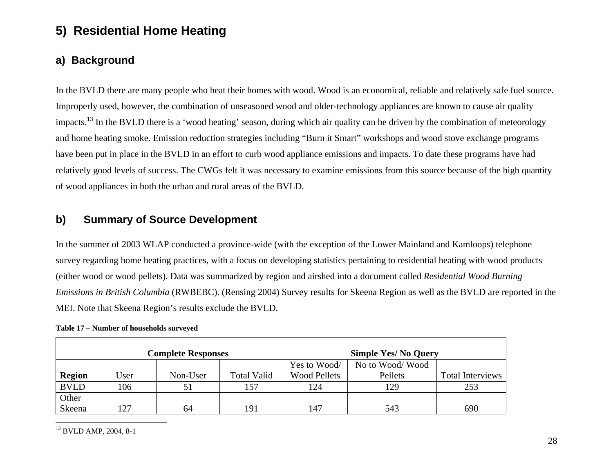# **5) Residential Home Heating**

## **a) Background**

In the BVLD there are many people who heat their homes with wood. Wood is an economical, reliable and relatively safe fuel source. Improperly used, however, the combination of unseasoned wood and older-technology appliances are known to cause air quality impacts.<sup>13</sup> In the BVLD there is a 'wood heating' season, during which air quality can be driven by the combination of meteorology and home heating smoke. Emission reduction strategies including "Burn it Smart" workshops and wood stove exchange programs have been put in place in the BVLD in an effort to curb wood appliance emissions and impacts. To date these programs have had relatively good levels of success. The CWGs felt it was necessary to examine emissions from this source because of the high quantity of wood appliances in both the urban and rural areas of the BVLD.

### **b) Summary of Source Development**

In the summer of 2003 WLAP conducted a province-wide (with the exception of the Lower Mainland and Kamloops) telephone survey regarding home heating practices, with a focus on developing statistics pertaining to residential heating with wood products (either wood or wood pellets). Data was summarized by region and airshed into a document called *Residential Wood Burning Emissions in British Columbia* (RWBEBC). (Rensing 2004) Survey results for Skeena Region as well as the BVLD are reported in the MEI. Note that Skeena Region's results exclude the BVLD.

|               |      | <b>Complete Responses</b> |                    |                     | <b>Simple Yes/ No Query</b> |                         |
|---------------|------|---------------------------|--------------------|---------------------|-----------------------------|-------------------------|
|               |      |                           |                    | Yes to Wood/        | No to Wood/Wood             |                         |
| <b>Region</b> | Jser | Non-User                  | <b>Total Valid</b> | <b>Wood Pellets</b> | Pellets                     | <b>Total Interviews</b> |
| <b>BVLD</b>   | 106  | 51                        | 157                | 124                 | 129                         | 253                     |
| Other         |      |                           |                    |                     |                             |                         |
| Skeena        | 127  | 64                        | 191                | 147                 | 543                         | 690                     |

**Table 17 – Number of households surveyed** 

13 BVLD AMP, 2004, 8-1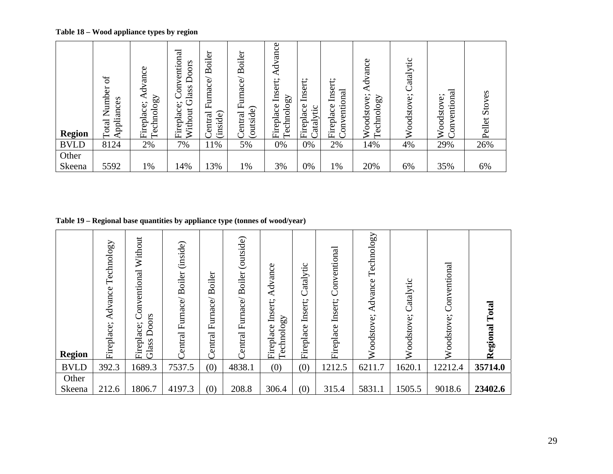**Table 18 – Wood appliance types by region** 

| <b>Region</b> | $\sigma$<br>Number<br>Appliances<br>Total | Advance<br>Technology<br>Fireplace; | Conventional<br>Doors<br>Glass<br>Fireplace;<br>Without | Boiler<br>Furnace/<br>(inside)<br>entral | Boiler<br>urnace/<br>山<br>(outside)<br>entral | Advance<br>Insert;<br>$\Omega$<br>Technolo<br>Fireplace | $\cdot$ $\cdot$<br>Insert<br>Fireplace<br>atalytic | Insert;<br>nal<br>Č<br>Fireplace<br>É<br>$\omega$<br>$\overline{\rm s}$ | Advance<br>Woodstove;<br>$\Omega$<br>Technolo | Catalytic<br>Woodstove; | ntional<br>ÿ<br>oodsto<br>٥<br>⋗<br>$\overline{5}$<br>⋧ | Stoves<br>Pellet |
|---------------|-------------------------------------------|-------------------------------------|---------------------------------------------------------|------------------------------------------|-----------------------------------------------|---------------------------------------------------------|----------------------------------------------------|-------------------------------------------------------------------------|-----------------------------------------------|-------------------------|---------------------------------------------------------|------------------|
| <b>BVLD</b>   | 8124                                      | 2%                                  | 7%                                                      | 11%                                      | 5%                                            | 0%                                                      | 0%                                                 | 2%                                                                      | 14%                                           | 4%                      | 29%                                                     | 26%              |
| Other         |                                           |                                     |                                                         |                                          |                                               |                                                         |                                                    |                                                                         |                                               |                         |                                                         |                  |
| Skeena        | 5592                                      | 1%                                  | 14%                                                     | 13%                                      | 1%                                            | 3%                                                      | 0%                                                 | 1%                                                                      | 20%                                           | 6%                      | 35%                                                     | 6%               |

**Table 19 – Regional base quantities by appliance type (tonnes of wood/year)** 

| <b>Region</b> | Technology<br>Advance<br>Fireplace; | Without<br>Conventional<br>Doors<br>ace;<br>Firepla<br>Glass | (inside)<br><b>Boiler</b><br>Furnace/<br>Central | oiler<br>Ă<br>Furnace/<br>Central | (outside)<br><b>Boiler</b><br>Furnace/<br>Central | Advance<br>Insert;<br>Technology<br>Fireplace | Catalytic<br>Insert;<br>Fireplace | Conventional<br>Insert;<br>Fireplace | Technology<br>Advance<br>Woodstove; | Catalytic<br>Woodstove; | Conventional<br>Woodstove; | Total<br>Regional |
|---------------|-------------------------------------|--------------------------------------------------------------|--------------------------------------------------|-----------------------------------|---------------------------------------------------|-----------------------------------------------|-----------------------------------|--------------------------------------|-------------------------------------|-------------------------|----------------------------|-------------------|
| <b>BVLD</b>   | 392.3                               | 1689.3                                                       | 7537.5                                           | (0)                               | 4838.1                                            | (0)                                           | (0)                               | 1212.5                               | 6211.7                              | 1620.1                  | 12212.4                    | 35714.0           |
| Other         |                                     |                                                              |                                                  |                                   |                                                   |                                               |                                   |                                      |                                     |                         |                            |                   |
| Skeena        | 212.6                               | 1806.7                                                       | 4197.3                                           | (0)                               | 208.8                                             | 306.4                                         | (0)                               | 315.4                                | 5831.1                              | 1505.5                  | 9018.6                     | 23402.6           |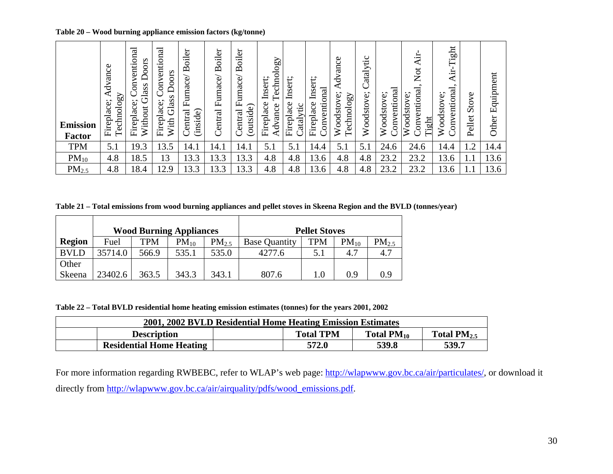**Table 20 – Wood burning appliance emission factors (kg/tonne)** 

| <b>Emission</b><br>Factor | dvance<br>◀<br>Technology<br>Fireplace; | entional<br>Doors<br>g<br>Glass<br>$\cdot$ $\cdot$<br>Fireplace<br>Without | Conventional<br>Doors<br>Glass<br>Fireplace;<br>With | oiler<br>$\tilde{\mathbf{p}}$<br>Furnace<br>entral<br>(inside) | oiler<br>Ă<br>Furnace<br>entral<br>Ò | Boiler<br>$\overline{\phantom{0}}$<br>Furnace<br>(outside)<br>Central | Technology<br>Insert;<br>Fireplace<br>dvance | Insert;<br>Fireplace<br>atalytic | Insert;<br>onventional<br>ace<br>Firepla | Φ<br>anc<br>ď<br>echnology<br>oodstove<br>⋧<br>╼ | Catalytic<br>Woodstove; | onventional<br>Woodstove;<br>C | Áir<br>$\rm Not$<br>onventional<br>oodstove<br><b>sht</b><br>⋝ | Tight<br>onal<br>ÿ<br>oodsto<br>enti<br>$\sum_{i=1}^{n}$<br>⋧ | S<br>Sto<br>Pellet | Equipment<br>Other |
|---------------------------|-----------------------------------------|----------------------------------------------------------------------------|------------------------------------------------------|----------------------------------------------------------------|--------------------------------------|-----------------------------------------------------------------------|----------------------------------------------|----------------------------------|------------------------------------------|--------------------------------------------------|-------------------------|--------------------------------|----------------------------------------------------------------|---------------------------------------------------------------|--------------------|--------------------|
| <b>TPM</b>                | 5.1                                     | 19.3                                                                       | 13.5                                                 | 14.1                                                           | 14.1                                 | 14.1                                                                  | 5.1                                          | 5.1                              | 14.4                                     | 5.1                                              | 5.1                     | 24.6                           | 24.6                                                           | 14.4                                                          | 1.2                | 14.4               |
| $PM_{10}$                 | 4.8                                     | 18.5                                                                       | 13                                                   | 13.3                                                           | 13.3                                 | 13.3                                                                  | 4.8                                          | 4.8                              | 13.6                                     | 4.8                                              | 4.8                     | 23.2                           | 23.2                                                           | 13.6                                                          | 1.                 | 13.6               |
| PM <sub>2.5</sub>         | 4.8                                     | 18.4                                                                       | 12.9                                                 | 13.3                                                           | 13.3                                 | 13.3                                                                  | 4.8                                          | 4.8                              | 13.6                                     | 4.8                                              | 4.8                     | 23.2                           | 23.2                                                           | 13.6                                                          |                    | 13.6               |

**Table 21 – Total emissions from wood burning appliances and pellet stoves in Skeena Region and the BVLD (tonnes/year)** 

|               |         |       | <b>Wood Burning Appliances</b> |            |                      | <b>Pellet Stoves</b> |           |                   |  |  |  |
|---------------|---------|-------|--------------------------------|------------|----------------------|----------------------|-----------|-------------------|--|--|--|
| <b>Region</b> | Fuel    | TPM   | $PM_{10}$                      | $PM_{2.5}$ | <b>Base Quantity</b> | <b>TPM</b>           | $PM_{10}$ | PM <sub>2.5</sub> |  |  |  |
| <b>BVLD</b>   | 35714.0 | 566.9 | 535.1                          | 535.0      | 4277.6               |                      | 4.7       | 4.7               |  |  |  |
| Other         |         |       |                                |            |                      |                      |           |                   |  |  |  |
| Skeena        | 23402.6 | 363.5 | 343.3                          | 343.1      | 807.6                | 0.1                  | 0.9       | 0.9               |  |  |  |

**Table 22 – Total BVLD residential home heating emission estimates (tonnes) for the years 2001, 2002** 

| 2001, 2002 BVLD Residential Home Heating Emission Estimates |                  |                 |                  |
|-------------------------------------------------------------|------------------|-----------------|------------------|
| <b>Description</b>                                          | <b>Total TPM</b> | Total $PM_{10}$ | Total $PM_{2.5}$ |
| <b>Residential Home Heating</b>                             | 572.0            | 539.8           | 539.7            |

For more information regarding RWBEBC, refer to WLAP's web page: http://wlapwww.gov.bc.ca/air/particulates/, or download it directly from http://wlapwww.gov.bc.ca/air/airquality/pdfs/wood\_emissions.pdf.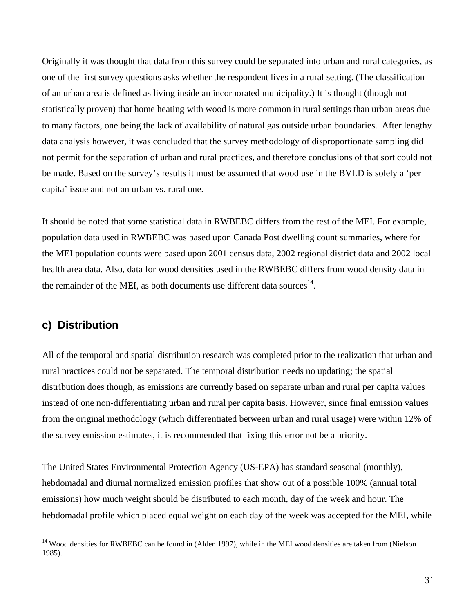Originally it was thought that data from this survey could be separated into urban and rural categories, as one of the first survey questions asks whether the respondent lives in a rural setting. (The classification of an urban area is defined as living inside an incorporated municipality.) It is thought (though not statistically proven) that home heating with wood is more common in rural settings than urban areas due to many factors, one being the lack of availability of natural gas outside urban boundaries. After lengthy data analysis however, it was concluded that the survey methodology of disproportionate sampling did not permit for the separation of urban and rural practices, and therefore conclusions of that sort could not be made. Based on the survey's results it must be assumed that wood use in the BVLD is solely a 'per capita' issue and not an urban vs. rural one.

It should be noted that some statistical data in RWBEBC differs from the rest of the MEI. For example, population data used in RWBEBC was based upon Canada Post dwelling count summaries, where for the MEI population counts were based upon 2001 census data, 2002 regional district data and 2002 local health area data. Also, data for wood densities used in the RWBEBC differs from wood density data in the remainder of the MEI, as both documents use different data sources $^{14}$ .

### **c) Distribution**

 $\overline{a}$ 

All of the temporal and spatial distribution research was completed prior to the realization that urban and rural practices could not be separated. The temporal distribution needs no updating; the spatial distribution does though, as emissions are currently based on separate urban and rural per capita values instead of one non-differentiating urban and rural per capita basis. However, since final emission values from the original methodology (which differentiated between urban and rural usage) were within 12% of the survey emission estimates, it is recommended that fixing this error not be a priority.

The United States Environmental Protection Agency (US-EPA) has standard seasonal (monthly), hebdomadal and diurnal normalized emission profiles that show out of a possible 100% (annual total emissions) how much weight should be distributed to each month, day of the week and hour. The hebdomadal profile which placed equal weight on each day of the week was accepted for the MEI, while

<sup>&</sup>lt;sup>14</sup> Wood densities for RWBEBC can be found in (Alden 1997), while in the MEI wood densities are taken from (Nielson 1985).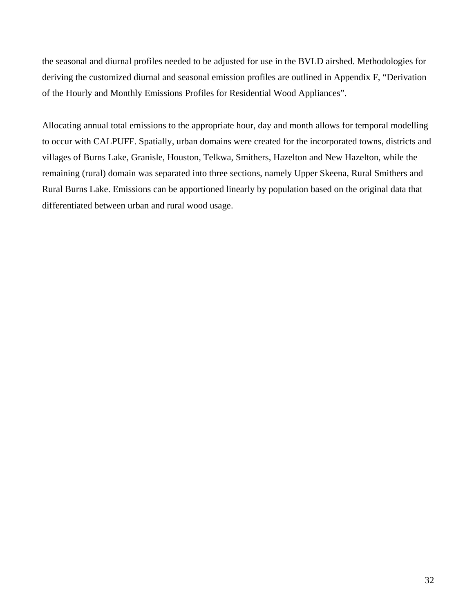the seasonal and diurnal profiles needed to be adjusted for use in the BVLD airshed. Methodologies for deriving the customized diurnal and seasonal emission profiles are outlined in Appendix F, "Derivation of the Hourly and Monthly Emissions Profiles for Residential Wood Appliances".

Allocating annual total emissions to the appropriate hour, day and month allows for temporal modelling to occur with CALPUFF. Spatially, urban domains were created for the incorporated towns, districts and villages of Burns Lake, Granisle, Houston, Telkwa, Smithers, Hazelton and New Hazelton, while the remaining (rural) domain was separated into three sections, namely Upper Skeena, Rural Smithers and Rural Burns Lake. Emissions can be apportioned linearly by population based on the original data that differentiated between urban and rural wood usage.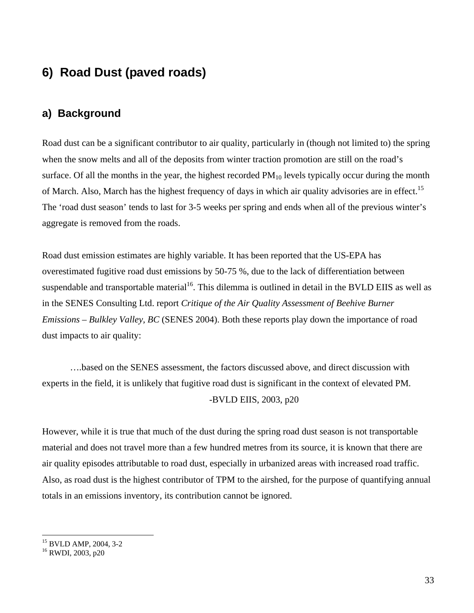# **6) Road Dust (paved roads)**

### **a) Background**

Road dust can be a significant contributor to air quality, particularly in (though not limited to) the spring when the snow melts and all of the deposits from winter traction promotion are still on the road's surface. Of all the months in the year, the highest recorded  $PM_{10}$  levels typically occur during the month of March. Also, March has the highest frequency of days in which air quality advisories are in effect.<sup>15</sup> The 'road dust season' tends to last for 3-5 weeks per spring and ends when all of the previous winter's aggregate is removed from the roads.

Road dust emission estimates are highly variable. It has been reported that the US-EPA has overestimated fugitive road dust emissions by 50-75 %, due to the lack of differentiation between suspendable and transportable material<sup>16</sup>. This dilemma is outlined in detail in the BVLD EIIS as well as in the SENES Consulting Ltd. report *Critique of the Air Quality Assessment of Beehive Burner Emissions – Bulkley Valley, BC* (SENES 2004). Both these reports play down the importance of road dust impacts to air quality:

 ….based on the SENES assessment, the factors discussed above, and direct discussion with experts in the field, it is unlikely that fugitive road dust is significant in the context of elevated PM. -BVLD EIIS, 2003, p20

However, while it is true that much of the dust during the spring road dust season is not transportable material and does not travel more than a few hundred metres from its source, it is known that there are air quality episodes attributable to road dust, especially in urbanized areas with increased road traffic. Also, as road dust is the highest contributor of TPM to the airshed, for the purpose of quantifying annual totals in an emissions inventory, its contribution cannot be ignored.

 $\overline{a}$ 

<sup>15</sup> BVLD AMP, 2004, 3-2

<sup>16</sup> RWDI, 2003, p20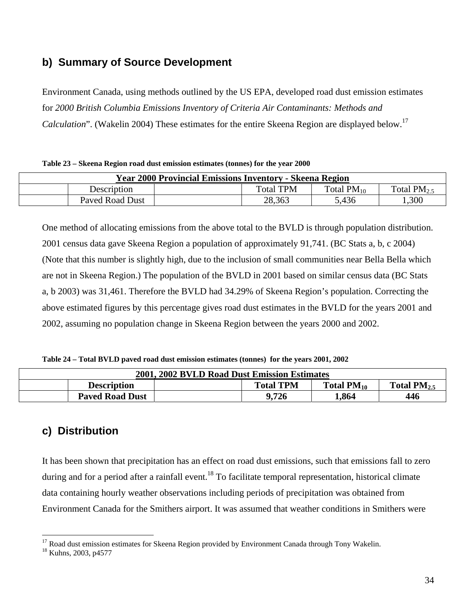## **b) Summary of Source Development**

Environment Canada, using methods outlined by the US EPA, developed road dust emission estimates for *2000 British Columbia Emissions Inventory of Criteria Air Contaminants: Methods and Calculation*". (Wakelin 2004) These estimates for the entire Skeena Region are displayed below.<sup>17</sup>

|  |  | Table 23 – Skeena Region road dust emission estimates (tonnes) for the year 2000 |
|--|--|----------------------------------------------------------------------------------|
|  |  |                                                                                  |

|                 | <b>Year 2000 Provincial Emissions Inventory - Skeena Region</b> |        |       |      |  |  |  |  |  |  |
|-----------------|-----------------------------------------------------------------|--------|-------|------|--|--|--|--|--|--|
| Description     | <b>Total TPM</b><br>Total $PM_{10}$<br>Total PM <sub>2</sub> ,  |        |       |      |  |  |  |  |  |  |
| Paved Road Dust |                                                                 | 28,363 | 5,436 | .300 |  |  |  |  |  |  |

One method of allocating emissions from the above total to the BVLD is through population distribution. 2001 census data gave Skeena Region a population of approximately 91,741. (BC Stats a, b, c 2004) (Note that this number is slightly high, due to the inclusion of small communities near Bella Bella which are not in Skeena Region.) The population of the BVLD in 2001 based on similar census data (BC Stats a, b 2003) was 31,461. Therefore the BVLD had 34.29% of Skeena Region's population. Correcting the above estimated figures by this percentage gives road dust estimates in the BVLD for the years 2001 and 2002, assuming no population change in Skeena Region between the years 2000 and 2002.

**Table 24 – Total BVLD paved road dust emission estimates (tonnes) for the years 2001, 2002** 

|                        | 2001, 2002 BVLD Road Dust Emission Estimates |                  |                 |                  |
|------------------------|----------------------------------------------|------------------|-----------------|------------------|
| <b>Description</b>     |                                              | <b>Total TPM</b> | Total $PM_{10}$ | Total $PM_{2.5}$ |
| <b>Paved Road Dust</b> |                                              | 9,726            | 1,864           | 446              |

## **c) Distribution**

It has been shown that precipitation has an effect on road dust emissions, such that emissions fall to zero during and for a period after a rainfall event.<sup>18</sup> To facilitate temporal representation, historical climate data containing hourly weather observations including periods of precipitation was obtained from Environment Canada for the Smithers airport. It was assumed that weather conditions in Smithers were

 $\overline{a}$ 

<sup>&</sup>lt;sup>17</sup> Road dust emission estimates for Skeena Region provided by Environment Canada through Tony Wakelin.

<sup>18</sup> Kuhns, 2003, p4577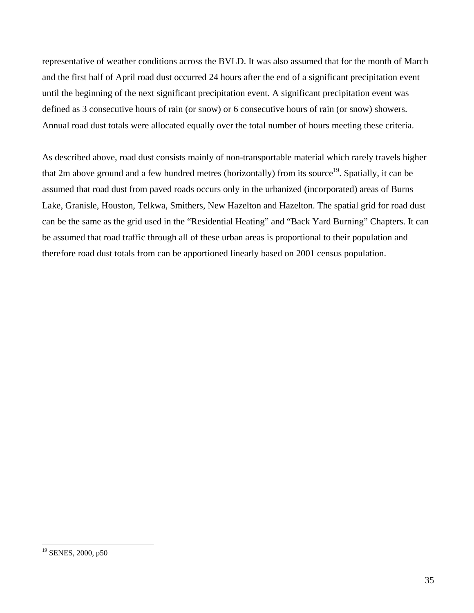representative of weather conditions across the BVLD. It was also assumed that for the month of March and the first half of April road dust occurred 24 hours after the end of a significant precipitation event until the beginning of the next significant precipitation event. A significant precipitation event was defined as 3 consecutive hours of rain (or snow) or 6 consecutive hours of rain (or snow) showers. Annual road dust totals were allocated equally over the total number of hours meeting these criteria.

As described above, road dust consists mainly of non-transportable material which rarely travels higher that 2m above ground and a few hundred metres (horizontally) from its source<sup>19</sup>. Spatially, it can be assumed that road dust from paved roads occurs only in the urbanized (incorporated) areas of Burns Lake, Granisle, Houston, Telkwa, Smithers, New Hazelton and Hazelton. The spatial grid for road dust can be the same as the grid used in the "Residential Heating" and "Back Yard Burning" Chapters. It can be assumed that road traffic through all of these urban areas is proportional to their population and therefore road dust totals from can be apportioned linearly based on 2001 census population.

 $\overline{a}$ 

<sup>&</sup>lt;sup>19</sup> SENES, 2000, p50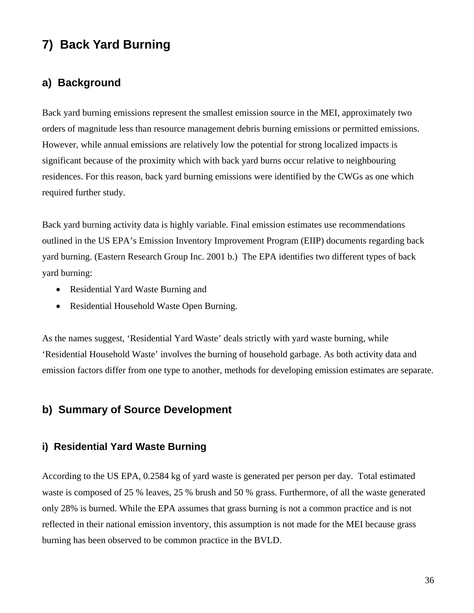# **7) Back Yard Burning**

### **a) Background**

Back yard burning emissions represent the smallest emission source in the MEI, approximately two orders of magnitude less than resource management debris burning emissions or permitted emissions. However, while annual emissions are relatively low the potential for strong localized impacts is significant because of the proximity which with back yard burns occur relative to neighbouring residences. For this reason, back yard burning emissions were identified by the CWGs as one which required further study.

Back yard burning activity data is highly variable. Final emission estimates use recommendations outlined in the US EPA's Emission Inventory Improvement Program (EIIP) documents regarding back yard burning. (Eastern Research Group Inc. 2001 b.) The EPA identifies two different types of back yard burning:

- Residential Yard Waste Burning and
- Residential Household Waste Open Burning.

As the names suggest, 'Residential Yard Waste' deals strictly with yard waste burning, while 'Residential Household Waste' involves the burning of household garbage. As both activity data and emission factors differ from one type to another, methods for developing emission estimates are separate.

### **b) Summary of Source Development**

### **i) Residential Yard Waste Burning**

According to the US EPA, 0.2584 kg of yard waste is generated per person per day. Total estimated waste is composed of 25 % leaves, 25 % brush and 50 % grass. Furthermore, of all the waste generated only 28% is burned. While the EPA assumes that grass burning is not a common practice and is not reflected in their national emission inventory, this assumption is not made for the MEI because grass burning has been observed to be common practice in the BVLD.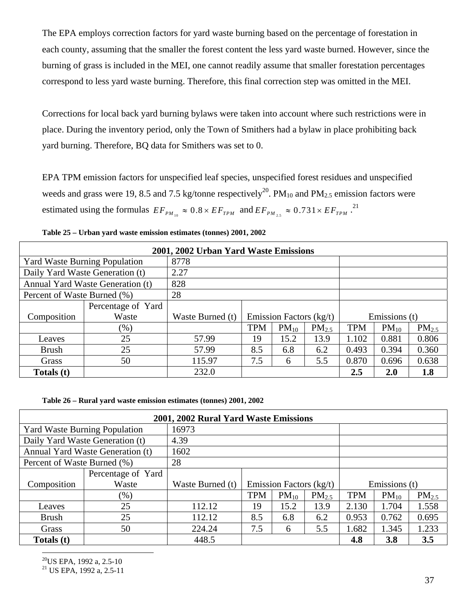The EPA employs correction factors for yard waste burning based on the percentage of forestation in each county, assuming that the smaller the forest content the less yard waste burned. However, since the burning of grass is included in the MEI, one cannot readily assume that smaller forestation percentages correspond to less yard waste burning. Therefore, this final correction step was omitted in the MEI.

Corrections for local back yard burning bylaws were taken into account where such restrictions were in place. During the inventory period, only the Town of Smithers had a bylaw in place prohibiting back yard burning. Therefore, BQ data for Smithers was set to 0.

EPA TPM emission factors for unspecified leaf species, unspecified forest residues and unspecified weeds and grass were 19, 8.5 and 7.5 kg/tonne respectively<sup>20</sup>. PM<sub>10</sub> and PM<sub>2.5</sub> emission factors were estimated using the formulas  $EF_{PM_{10}} \approx 0.8 \times EF_{TPM}$  and  $EF_{PM_{2.5}} \approx 0.731 \times EF_{TPM}$ <sup>21</sup>

|                             |                                      | 2001, 2002 Urban Yard Waste Emissions |            |                         |            |            |               |            |
|-----------------------------|--------------------------------------|---------------------------------------|------------|-------------------------|------------|------------|---------------|------------|
|                             | <b>Yard Waste Burning Population</b> | 8778                                  |            |                         |            |            |               |            |
|                             | Daily Yard Waste Generation (t)      | 2.27                                  |            |                         |            |            |               |            |
|                             | Annual Yard Waste Generation (t)     | 828                                   |            |                         |            |            |               |            |
| Percent of Waste Burned (%) |                                      | 28                                    |            |                         |            |            |               |            |
|                             | Percentage of Yard                   |                                       |            |                         |            |            |               |            |
| Composition                 | Waste                                | Waste Burned (t)                      |            | Emission Factors (kg/t) |            |            | Emissions (t) |            |
|                             | $(\%)$                               |                                       | <b>TPM</b> | $PM_{10}$               | $PM_{2.5}$ | <b>TPM</b> | $PM_{10}$     | $PM_{2.5}$ |
| Leaves                      | 25                                   | 57.99                                 | 19         | 15.2                    | 13.9       | 1.102      | 0.881         | 0.806      |
| <b>Brush</b>                | 25                                   | 57.99                                 | 8.5        | 6.8                     | 6.2        | 0.493      | 0.394         | 0.360      |
| Grass                       | 50                                   | 115.97                                | 7.5        | 6                       | 5.5        | 0.870      | 0.696         | 0.638      |
| Totals (t)                  |                                      | 232.0                                 |            |                         |            | $2.5\,$    | 2.0           | 1.8        |

**Table 25 – Urban yard waste emission estimates (tonnes) 2001, 2002** 

#### **Table 26 – Rural yard waste emission estimates (tonnes) 2001, 2002**

|                                      |                                  | 2001, 2002 Rural Yard Waste Emissions |            |                           |            |            |               |            |  |
|--------------------------------------|----------------------------------|---------------------------------------|------------|---------------------------|------------|------------|---------------|------------|--|
| <b>Yard Waste Burning Population</b> |                                  | 16973                                 |            |                           |            |            |               |            |  |
|                                      | Daily Yard Waste Generation (t)  | 4.39                                  |            |                           |            |            |               |            |  |
|                                      | Annual Yard Waste Generation (t) | 1602                                  |            |                           |            |            |               |            |  |
| Percent of Waste Burned (%)          |                                  | 28                                    |            |                           |            |            |               |            |  |
|                                      | Percentage of Yard               |                                       |            |                           |            |            |               |            |  |
| Composition                          | Waste                            | Waste Burned (t)                      |            | Emission Factors $(kg/t)$ |            |            | Emissions (t) |            |  |
|                                      | $(\%)$                           |                                       | <b>TPM</b> | $PM_{10}$                 | $PM_{2.5}$ | <b>TPM</b> | $PM_{10}$     | $PM_{2.5}$ |  |
| Leaves                               | 25                               | 112.12                                | 19         | 15.2                      | 13.9       | 2.130      | 1.704         | 1.558      |  |
| <b>Brush</b>                         | 25                               | 112.12                                | 8.5        | 6.8                       | 6.2        | 0.953      | 0.762         | 0.695      |  |
| Grass                                | 50                               | 224.24                                | 7.5        | 6                         | 5.5        | 1.682      | 1.345         | 1.233      |  |
| Totals (t)                           |                                  | 448.5                                 |            |                           |            | 4.8        | 3.8           | 3.5        |  |

 $20$ US EPA, 1992 a, 2.5-10

 $\overline{a}$ 

21 US EPA, 1992 a, 2.5-11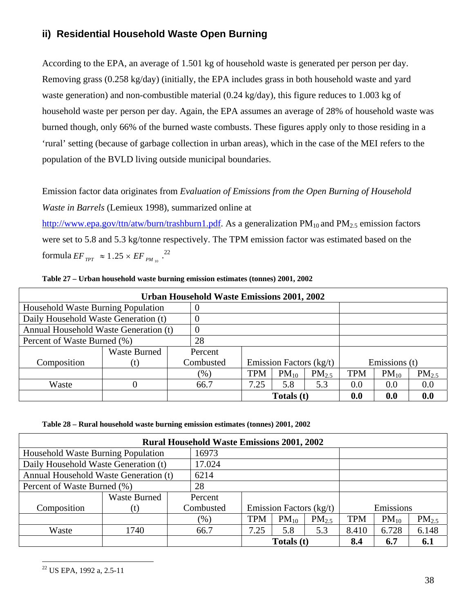### **ii) Residential Household Waste Open Burning**

According to the EPA, an average of 1.501 kg of household waste is generated per person per day. Removing grass (0.258 kg/day) (initially, the EPA includes grass in both household waste and yard waste generation) and non-combustible material (0.24 kg/day), this figure reduces to 1.003 kg of household waste per person per day. Again, the EPA assumes an average of 28% of household waste was burned though, only 66% of the burned waste combusts. These figures apply only to those residing in a 'rural' setting (because of garbage collection in urban areas), which in the case of the MEI refers to the population of the BVLD living outside municipal boundaries.

Emission factor data originates from *Evaluation of Emissions from the Open Burning of Household Waste in Barrels* (Lemieux 1998), summarized online at

http://www.epa.gov/ttn/atw/burn/trashburn1.pdf. As a generalization  $PM_{10}$  and  $PM_{2.5}$  emission factors were set to 5.8 and 5.3 kg/tonne respectively. The TPM emission factor was estimated based on the  $\text{formula } EF_{TPT} \approx 1.25 \times EF_{PM_{10}} \stackrel{22}{\ldots}$ 

| Table 27 – Urban household waste burning emission estimates (tonnes) 2001, 2002 |  |  |  |
|---------------------------------------------------------------------------------|--|--|--|
|                                                                                 |  |  |  |

| Urban Household Waste Emissions 2001, 2002 |                     |  |           |      |                           |            |            |               |            |  |  |
|--------------------------------------------|---------------------|--|-----------|------|---------------------------|------------|------------|---------------|------------|--|--|
| Household Waste Burning Population         |                     |  | O         |      |                           |            |            |               |            |  |  |
| Daily Household Waste Generation (t)       |                     |  | $\theta$  |      |                           |            |            |               |            |  |  |
| Annual Household Waste Generation (t)      |                     |  | $\theta$  |      |                           |            |            |               |            |  |  |
| Percent of Waste Burned (%)                |                     |  | 28        |      |                           |            |            |               |            |  |  |
|                                            | <b>Waste Burned</b> |  | Percent   |      |                           |            |            |               |            |  |  |
| Composition                                | (t)                 |  | Combusted |      | Emission Factors $(kg/t)$ |            |            | Emissions (t) |            |  |  |
|                                            |                     |  | $(\%)$    | TPM  | $PM_{10}$                 | $PM_{2.5}$ | <b>TPM</b> | $PM_{10}$     | $PM_{2.5}$ |  |  |
| Waste                                      |                     |  | 66.7      | 7.25 | 5.8                       | 5.3        | 0.0        | 0.0           | 0.0        |  |  |
|                                            |                     |  |           |      | Totals (t)                |            | 0.0        | 0.0           | 0.0        |  |  |

**Table 28 – Rural household waste burning emission estimates (tonnes) 2001, 2002** 

| <b>Rural Household Waste Emissions 2001, 2002</b> |                     |  |           |            |                         |                   |            |           |            |  |  |
|---------------------------------------------------|---------------------|--|-----------|------------|-------------------------|-------------------|------------|-----------|------------|--|--|
| Household Waste Burning Population                | 16973               |  |           |            |                         |                   |            |           |            |  |  |
| Daily Household Waste Generation (t)              |                     |  | 17.024    |            |                         |                   |            |           |            |  |  |
| Annual Household Waste Generation (t)             |                     |  | 6214      |            |                         |                   |            |           |            |  |  |
| Percent of Waste Burned (%)                       |                     |  | 28        |            |                         |                   |            |           |            |  |  |
|                                                   | <b>Waste Burned</b> |  | Percent   |            |                         |                   |            |           |            |  |  |
| Composition                                       | (t)                 |  | Combusted |            | Emission Factors (kg/t) |                   |            | Emissions |            |  |  |
|                                                   |                     |  | $(\%)$    | <b>TPM</b> | $PM_{10}$               | PM <sub>2.5</sub> | <b>TPM</b> | $PM_{10}$ | $PM_{2.5}$ |  |  |
| Waste                                             | 1740                |  | 66.7      | 7.25       | 5.8                     | 5.3               | 8.410      | 6.728     | 6.148      |  |  |
|                                                   |                     |  |           | Totals (t) |                         | 8.4               | 6.7        | 6.1       |            |  |  |

 $\overline{a}$ 22 US EPA, 1992 a, 2.5-11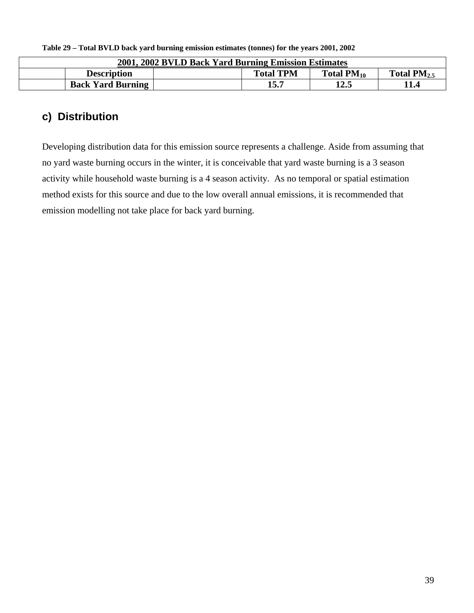| 2001, 2002 BVLD Back Yard Burning Emission Estimates |                                                         |      |  |  |  |  |  |  |  |
|------------------------------------------------------|---------------------------------------------------------|------|--|--|--|--|--|--|--|
| <b>Description</b>                                   | <b>Total TPM</b><br>Total $PM_{10}$<br>Total $PM_{2.5}$ |      |  |  |  |  |  |  |  |
| <b>Back Yard Burning</b>                             | 15.7                                                    | 12.5 |  |  |  |  |  |  |  |

**Table 29 – Total BVLD back yard burning emission estimates (tonnes) for the years 2001, 2002** 

# **c) Distribution**

Developing distribution data for this emission source represents a challenge. Aside from assuming that no yard waste burning occurs in the winter, it is conceivable that yard waste burning is a 3 season activity while household waste burning is a 4 season activity. As no temporal or spatial estimation method exists for this source and due to the low overall annual emissions, it is recommended that emission modelling not take place for back yard burning.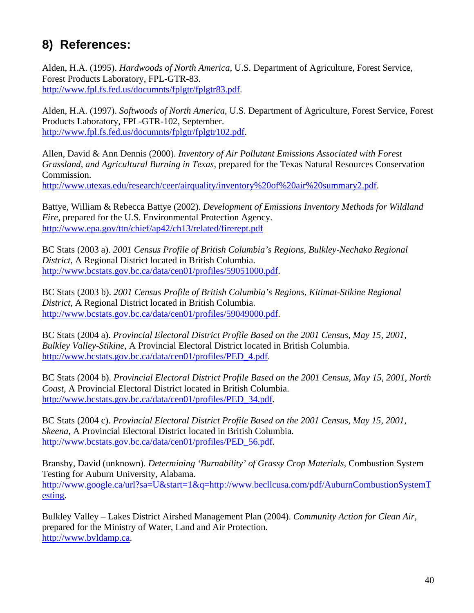# **8) References:**

Alden, H.A. (1995). *Hardwoods of North America*, U.S. Department of Agriculture, Forest Service, Forest Products Laboratory, FPL-GTR-83. http://www.fpl.fs.fed.us/documnts/fplgtr/fplgtr83.pdf.

Alden, H.A. (1997). *Softwoods of North America*, U.S. Department of Agriculture, Forest Service, Forest Products Laboratory, FPL-GTR-102, September. http://www.fpl.fs.fed.us/documnts/fplgtr/fplgtr102.pdf.

Allen, David & Ann Dennis (2000). *Inventory of Air Pollutant Emissions Associated with Forest Grassland, and Agricultural Burning in Texas*, prepared for the Texas Natural Resources Conservation Commission.

http://www.utexas.edu/research/ceer/airquality/inventory%20of%20air%20summary2.pdf.

Battye, William & Rebecca Battye (2002). *Development of Emissions Inventory Methods for Wildland Fire*, prepared for the U.S. Environmental Protection Agency. http://www.epa.gov/ttn/chief/ap42/ch13/related/firerept.pdf

BC Stats (2003 a). *2001 Census Profile of British Columbia's Regions, Bulkley-Nechako Regional District*, A Regional District located in British Columbia. http://www.bcstats.gov.bc.ca/data/cen01/profiles/59051000.pdf.

BC Stats (2003 b). *2001 Census Profile of British Columbia's Regions, Kitimat-Stikine Regional District*, A Regional District located in British Columbia. http://www.bcstats.gov.bc.ca/data/cen01/profiles/59049000.pdf.

BC Stats (2004 a). *Provincial Electoral District Profile Based on the 2001 Census, May 15, 2001, Bulkley Valley-Stikine*, A Provincial Electoral District located in British Columbia. http://www.bcstats.gov.bc.ca/data/cen01/profiles/PED\_4.pdf.

BC Stats (2004 b). *Provincial Electoral District Profile Based on the 2001 Census, May 15, 2001, North Coast*, A Provincial Electoral District located in British Columbia. http://www.bcstats.gov.bc.ca/data/cen01/profiles/PED\_34.pdf.

BC Stats (2004 c). *Provincial Electoral District Profile Based on the 2001 Census, May 15, 2001, Skeena*, A Provincial Electoral District located in British Columbia. http://www.bcstats.gov.bc.ca/data/cen01/profiles/PED\_56.pdf.

Bransby, David (unknown). *Determining 'Burnability' of Grassy Crop Materials*, Combustion System Testing for Auburn University, Alabama. http://www.google.ca/url?sa=U&start=1&q=http://www.becllcusa.com/pdf/AuburnCombustionSystemT esting.

Bulkley Valley – Lakes District Airshed Management Plan (2004). *Community Action for Clean Air*, prepared for the Ministry of Water, Land and Air Protection. http://www.bvldamp.ca.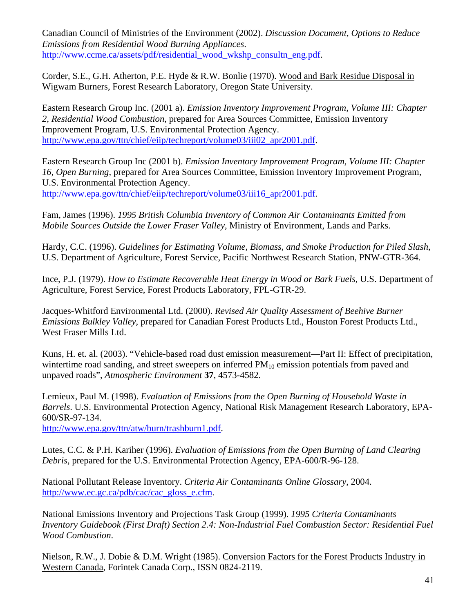Canadian Council of Ministries of the Environment (2002). *Discussion Document, Options to Reduce Emissions from Residential Wood Burning Appliances*. http://www.ccme.ca/assets/pdf/residential\_wood\_wkshp\_consultn\_eng.pdf.

Corder, S.E., G.H. Atherton, P.E. Hyde & R.W. Bonlie (1970). Wood and Bark Residue Disposal in Wigwam Burners, Forest Research Laboratory, Oregon State University.

Eastern Research Group Inc. (2001 a). *Emission Inventory Improvement Program, Volume III: Chapter 2, Residential Wood Combustion*, prepared for Area Sources Committee, Emission Inventory Improvement Program, U.S. Environmental Protection Agency. http://www.epa.gov/ttn/chief/eiip/techreport/volume03/iii02\_apr2001.pdf.

Eastern Research Group Inc (2001 b). *Emission Inventory Improvement Program, Volume III: Chapter 16, Open Burning*, prepared for Area Sources Committee, Emission Inventory Improvement Program, U.S. Environmental Protection Agency. http://www.epa.gov/ttn/chief/eiip/techreport/volume03/iii16\_apr2001.pdf.

Fam, James (1996). *1995 British Columbia Inventory of Common Air Contaminants Emitted from* 

*Mobile Sources Outside the Lower Fraser Valley*, Ministry of Environment, Lands and Parks.

Hardy, C.C. (1996). *Guidelines for Estimating Volume, Biomass, and Smoke Production for Piled Slash*, U.S. Department of Agriculture, Forest Service, Pacific Northwest Research Station, PNW-GTR-364.

Ince, P.J. (1979). *How to Estimate Recoverable Heat Energy in Wood or Bark Fuels*, U.S. Department of Agriculture, Forest Service, Forest Products Laboratory, FPL-GTR-29.

Jacques-Whitford Environmental Ltd. (2000). *Revised Air Quality Assessment of Beehive Burner Emissions Bulkley Valley*, prepared for Canadian Forest Products Ltd., Houston Forest Products Ltd., West Fraser Mills Ltd.

Kuns, H. et. al. (2003). "Vehicle-based road dust emission measurement—Part II: Effect of precipitation, wintertime road sanding, and street sweepers on inferred  $PM_{10}$  emission potentials from paved and unpaved roads", *Atmospheric Environment* **37**, 4573-4582.

Lemieux, Paul M. (1998). *Evaluation of Emissions from the Open Burning of Household Waste in Barrels*. U.S. Environmental Protection Agency, National Risk Management Research Laboratory, EPA-600/SR-97-134.

http://www.epa.gov/ttn/atw/burn/trashburn1.pdf.

Lutes, C.C. & P.H. Kariher (1996). *Evaluation of Emissions from the Open Burning of Land Clearing Debris*, prepared for the U.S. Environmental Protection Agency, EPA-600/R-96-128.

National Pollutant Release Inventory. *Criteria Air Contaminants Online Glossary*, 2004. http://www.ec.gc.ca/pdb/cac/cac\_gloss\_e.cfm.

National Emissions Inventory and Projections Task Group (1999). *1995 Criteria Contaminants Inventory Guidebook (First Draft) Section 2.4: Non-Industrial Fuel Combustion Sector: Residential Fuel Wood Combustion*.

Nielson, R.W., J. Dobie & D.M. Wright (1985). Conversion Factors for the Forest Products Industry in Western Canada, Forintek Canada Corp., ISSN 0824-2119.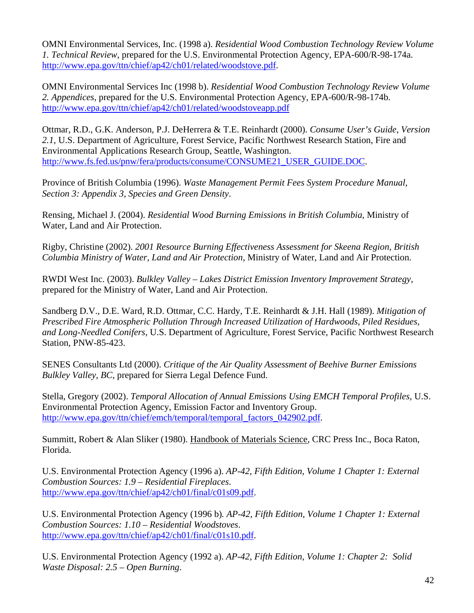OMNI Environmental Services, Inc. (1998 a). *Residential Wood Combustion Technology Review Volume 1. Technical Review*, prepared for the U.S. Environmental Protection Agency, EPA-600/R-98-174a. http://www.epa.gov/ttn/chief/ap42/ch01/related/woodstove.pdf.

OMNI Environmental Services Inc (1998 b). *Residential Wood Combustion Technology Review Volume 2. Appendices*, prepared for the U.S. Environmental Protection Agency, EPA-600/R-98-174b. http://www.epa.gov/ttn/chief/ap42/ch01/related/woodstoveapp.pdf

Ottmar, R.D., G.K. Anderson, P.J. DeHerrera & T.E. Reinhardt (2000). *Consume User's Guide, Version 2.1*, U.S. Department of Agriculture, Forest Service, Pacific Northwest Research Station, Fire and Environmental Applications Research Group, Seattle, Washington. http://www.fs.fed.us/pnw/fera/products/consume/CONSUME21\_USER\_GUIDE.DOC.

Province of British Columbia (1996). *Waste Management Permit Fees System Procedure Manual, Section 3: Appendix 3, Species and Green Density*.

Rensing, Michael J. (2004). *Residential Wood Burning Emissions in British Columbia*, Ministry of Water, Land and Air Protection.

Rigby, Christine (2002). *2001 Resource Burning Effectiveness Assessment for Skeena Region, British Columbia Ministry of Water, Land and Air Protection*, Ministry of Water, Land and Air Protection.

RWDI West Inc. (2003). *Bulkley Valley – Lakes District Emission Inventory Improvement Strategy*, prepared for the Ministry of Water, Land and Air Protection.

Sandberg D.V., D.E. Ward, R.D. Ottmar, C.C. Hardy, T.E. Reinhardt & J.H. Hall (1989). *Mitigation of Prescribed Fire Atmospheric Pollution Through Increased Utilization of Hardwoods, Piled Residues, and Long-Needled Conifers*, U.S. Department of Agriculture, Forest Service, Pacific Northwest Research Station, PNW-85-423.

SENES Consultants Ltd (2000). *Critique of the Air Quality Assessment of Beehive Burner Emissions Bulkley Valley, BC*, prepared for Sierra Legal Defence Fund.

Stella, Gregory (2002). *Temporal Allocation of Annual Emissions Using EMCH Temporal Profiles*, U.S. Environmental Protection Agency, Emission Factor and Inventory Group. http://www.epa.gov/ttn/chief/emch/temporal/temporal\_factors\_042902.pdf.

Summitt, Robert & Alan Sliker (1980). Handbook of Materials Science, CRC Press Inc., Boca Raton, Florida.

U.S. Environmental Protection Agency (1996 a). *AP-42, Fifth Edition, Volume 1 Chapter 1: External Combustion Sources: 1.9 – Residential Fireplaces*. http://www.epa.gov/ttn/chief/ap42/ch01/final/c01s09.pdf.

U.S. Environmental Protection Agency (1996 b)*. AP-42, Fifth Edition, Volume 1 Chapter 1: External Combustion Sources: 1.10 – Residential Woodstoves*. http://www.epa.gov/ttn/chief/ap42/ch01/final/c01s10.pdf.

U.S. Environmental Protection Agency (1992 a). *AP-42, Fifth Edition, Volume 1: Chapter 2: Solid Waste Disposal: 2.5 – Open Burning*.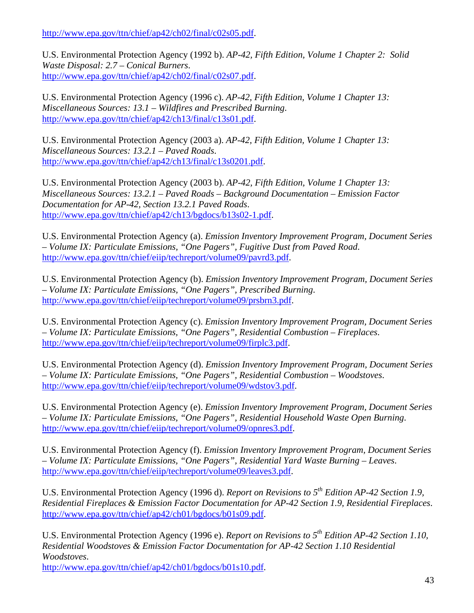http://www.epa.gov/ttn/chief/ap42/ch02/final/c02s05.pdf.

U.S. Environmental Protection Agency (1992 b). *AP-42, Fifth Edition, Volume 1 Chapter 2: Solid Waste Disposal: 2.7 – Conical Burners*. http://www.epa.gov/ttn/chief/ap42/ch02/final/c02s07.pdf.

U.S. Environmental Protection Agency (1996 c). *AP-42, Fifth Edition, Volume 1 Chapter 13: Miscellaneous Sources: 13.1 – Wildfires and Prescribed Burning*. http://www.epa.gov/ttn/chief/ap42/ch13/final/c13s01.pdf.

U.S. Environmental Protection Agency (2003 a). *AP-42, Fifth Edition, Volume 1 Chapter 13: Miscellaneous Sources: 13.2.1 – Paved Roads*. http://www.epa.gov/ttn/chief/ap42/ch13/final/c13s0201.pdf.

U.S. Environmental Protection Agency (2003 b). *AP-42, Fifth Edition, Volume 1 Chapter 13: Miscellaneous Sources: 13.2.1 – Paved Roads – Background Documentation – Emission Factor Documentation for AP-42, Section 13.2.1 Paved Roads*. http://www.epa.gov/ttn/chief/ap42/ch13/bgdocs/b13s02-1.pdf.

U.S. Environmental Protection Agency (a). *Emission Inventory Improvement Program, Document Series – Volume IX: Particulate Emissions, "One Pagers", Fugitive Dust from Paved Road*. http://www.epa.gov/ttn/chief/eiip/techreport/volume09/pavrd3.pdf.

U.S. Environmental Protection Agency (b). *Emission Inventory Improvement Program, Document Series – Volume IX: Particulate Emissions, "One Pagers", Prescribed Burning*. http://www.epa.gov/ttn/chief/eiip/techreport/volume09/prsbrn3.pdf.

U.S. Environmental Protection Agency (c). *Emission Inventory Improvement Program, Document Series – Volume IX: Particulate Emissions, "One Pagers", Residential Combustion – Fireplaces*. http://www.epa.gov/ttn/chief/eiip/techreport/volume09/firplc3.pdf.

U.S. Environmental Protection Agency (d). *Emission Inventory Improvement Program, Document Series – Volume IX: Particulate Emissions, "One Pagers", Residential Combustion – Woodstoves*. http://www.epa.gov/ttn/chief/eiip/techreport/volume09/wdstov3.pdf.

U.S. Environmental Protection Agency (e). *Emission Inventory Improvement Program, Document Series – Volume IX: Particulate Emissions, "One Pagers", Residential Household Waste Open Burning*. http://www.epa.gov/ttn/chief/eiip/techreport/volume09/opnres3.pdf.

U.S. Environmental Protection Agency (f). *Emission Inventory Improvement Program, Document Series – Volume IX: Particulate Emissions, "One Pagers", Residential Yard Waste Burning – Leaves*. http://www.epa.gov/ttn/chief/eiip/techreport/volume09/leaves3.pdf.

U.S. Environmental Protection Agency (1996 d). *Report on Revisions to 5th Edition AP-42 Section 1.9, Residential Fireplaces & Emission Factor Documentation for AP-42 Section 1.9, Residential Fireplaces*. http://www.epa.gov/ttn/chief/ap42/ch01/bgdocs/b01s09.pdf.

U.S. Environmental Protection Agency (1996 e). *Report on Revisions to 5th Edition AP-42 Section 1.10, Residential Woodstoves & Emission Factor Documentation for AP-42 Section 1.10 Residential Woodstoves*.

http://www.epa.gov/ttn/chief/ap42/ch01/bgdocs/b01s10.pdf.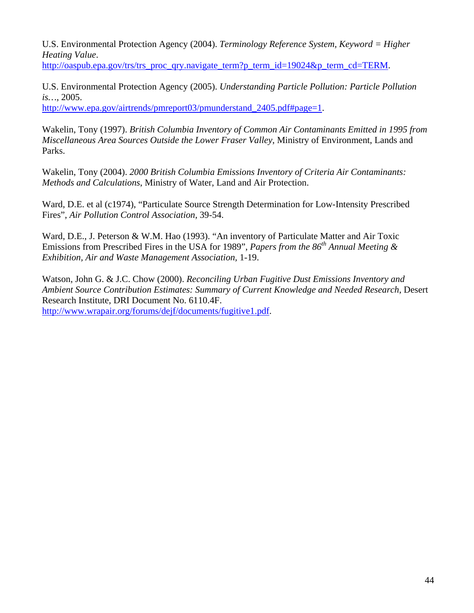U.S. Environmental Protection Agency (2004). *Terminology Reference System, Keyword = Higher Heating Value*.

http://oaspub.epa.gov/trs/trs\_proc\_qry.navigate\_term?p\_term\_id=19024&p\_term\_cd=TERM.

U.S. Environmental Protection Agency (2005). *Understanding Particle Pollution: Particle Pollution is…*, 2005.

http://www.epa.gov/airtrends/pmreport03/pmunderstand\_2405.pdf#page=1.

Wakelin, Tony (1997). *British Columbia Inventory of Common Air Contaminants Emitted in 1995 from Miscellaneous Area Sources Outside the Lower Fraser Valley*, Ministry of Environment, Lands and Parks.

Wakelin, Tony (2004). *2000 British Columbia Emissions Inventory of Criteria Air Contaminants: Methods and Calculations*, Ministry of Water, Land and Air Protection.

Ward, D.E. et al (c1974), "Particulate Source Strength Determination for Low-Intensity Prescribed Fires", *Air Pollution Control Association*, 39-54.

Ward, D.E., J. Peterson & W.M. Hao (1993). "An inventory of Particulate Matter and Air Toxic Emissions from Prescribed Fires in the USA for 1989", *Papers from the 86<sup>th</sup> Annual Meeting & Exhibition, Air and Waste Management Association,* 1-19.

Watson, John G. & J.C. Chow (2000). *Reconciling Urban Fugitive Dust Emissions Inventory and Ambient Source Contribution Estimates: Summary of Current Knowledge and Needed Research*, Desert Research Institute, DRI Document No. 6110.4F. http://www.wrapair.org/forums/dejf/documents/fugitive1.pdf.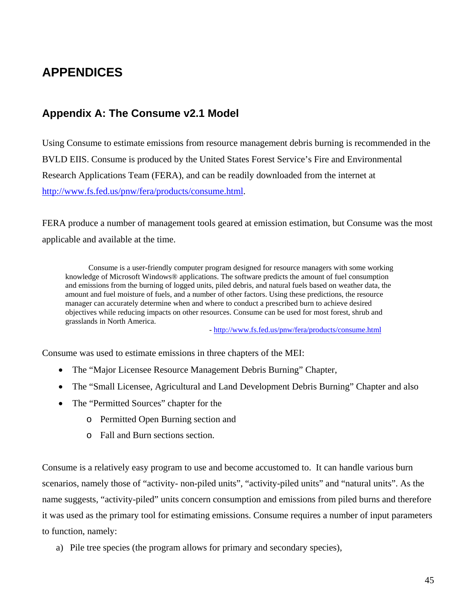# **APPENDICES**

## **Appendix A: The Consume v2.1 Model**

Using Consume to estimate emissions from resource management debris burning is recommended in the BVLD EIIS. Consume is produced by the United States Forest Service's Fire and Environmental Research Applications Team (FERA), and can be readily downloaded from the internet at http://www.fs.fed.us/pnw/fera/products/consume.html.

FERA produce a number of management tools geared at emission estimation, but Consume was the most applicable and available at the time.

Consume is a user-friendly computer program designed for resource managers with some working knowledge of Microsoft Windows® applications. The software predicts the amount of fuel consumption and emissions from the burning of logged units, piled debris, and natural fuels based on weather data, the amount and fuel moisture of fuels, and a number of other factors. Using these predictions, the resource manager can accurately determine when and where to conduct a prescribed burn to achieve desired objectives while reducing impacts on other resources. Consume can be used for most forest, shrub and grasslands in North America.

- http://www.fs.fed.us/pnw/fera/products/consume.html

Consume was used to estimate emissions in three chapters of the MEI:

- The "Major Licensee Resource Management Debris Burning" Chapter,
- The "Small Licensee, Agricultural and Land Development Debris Burning" Chapter and also
- The "Permitted Sources" chapter for the
	- o Permitted Open Burning section and
	- o Fall and Burn sections section.

Consume is a relatively easy program to use and become accustomed to. It can handle various burn scenarios, namely those of "activity- non-piled units", "activity-piled units" and "natural units". As the name suggests, "activity-piled" units concern consumption and emissions from piled burns and therefore it was used as the primary tool for estimating emissions. Consume requires a number of input parameters to function, namely:

a) Pile tree species (the program allows for primary and secondary species),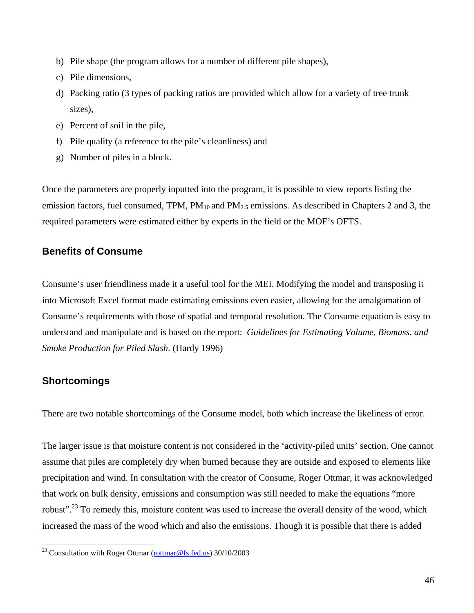- b) Pile shape (the program allows for a number of different pile shapes),
- c) Pile dimensions,
- d) Packing ratio (3 types of packing ratios are provided which allow for a variety of tree trunk sizes),
- e) Percent of soil in the pile,
- f) Pile quality (a reference to the pile's cleanliness) and
- g) Number of piles in a block.

Once the parameters are properly inputted into the program, it is possible to view reports listing the emission factors, fuel consumed, TPM,  $PM_{10}$  and  $PM_{2.5}$  emissions. As described in Chapters 2 and 3, the required parameters were estimated either by experts in the field or the MOF's OFTS.

### **Benefits of Consume**

Consume's user friendliness made it a useful tool for the MEI. Modifying the model and transposing it into Microsoft Excel format made estimating emissions even easier, allowing for the amalgamation of Consume's requirements with those of spatial and temporal resolution. The Consume equation is easy to understand and manipulate and is based on the report: *Guidelines for Estimating Volume, Biomass, and Smoke Production for Piled Slash*. (Hardy 1996)

### **Shortcomings**

 $\overline{a}$ 

There are two notable shortcomings of the Consume model, both which increase the likeliness of error.

The larger issue is that moisture content is not considered in the 'activity-piled units' section. One cannot assume that piles are completely dry when burned because they are outside and exposed to elements like precipitation and wind. In consultation with the creator of Consume, Roger Ottmar, it was acknowledged that work on bulk density, emissions and consumption was still needed to make the equations "more robust".23 To remedy this, moisture content was used to increase the overall density of the wood, which increased the mass of the wood which and also the emissions. Though it is possible that there is added

<sup>&</sup>lt;sup>23</sup> Consultation with Roger Ottmar (rottmar@fs.fed.us) 30/10/2003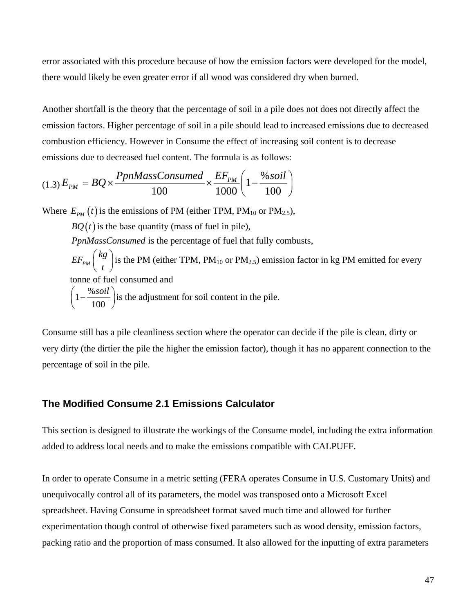error associated with this procedure because of how the emission factors were developed for the model, there would likely be even greater error if all wood was considered dry when burned.

Another shortfall is the theory that the percentage of soil in a pile does not does not directly affect the emission factors. Higher percentage of soil in a pile should lead to increased emissions due to decreased combustion efficiency. However in Consume the effect of increasing soil content is to decrease emissions due to decreased fuel content. The formula is as follows:

$$
(1.3) E_{PM} = BQ \times \frac{PpnMassConsumed}{100} \times \frac{EF_{PM}}{1000} \left(1 - \frac{\% \, soil}{100}\right)
$$

Where  $E_{pM}(t)$  is the emissions of PM (either TPM, PM<sub>10</sub> or PM<sub>2.5</sub>),

 $BQ(t)$  is the base quantity (mass of fuel in pile),

*PpnMassConsumed* is the percentage of fuel that fully combusts,

$$
EF_{PM}\left(\frac{kg}{t}\right)
$$
 is the PM (either TPM, PM<sub>10</sub> or PM<sub>2.5</sub>) emission factor in kg PM emitted for every  
tonne of fuel consumed and  

$$
\left(1-\frac{\% soil}{100}\right)
$$
 is the adjustment for soil content in the pile.

Consume still has a pile cleanliness section where the operator can decide if the pile is clean, dirty or very dirty (the dirtier the pile the higher the emission factor), though it has no apparent connection to the percentage of soil in the pile.

### **The Modified Consume 2.1 Emissions Calculator**

This section is designed to illustrate the workings of the Consume model, including the extra information added to address local needs and to make the emissions compatible with CALPUFF.

In order to operate Consume in a metric setting (FERA operates Consume in U.S. Customary Units) and unequivocally control all of its parameters, the model was transposed onto a Microsoft Excel spreadsheet. Having Consume in spreadsheet format saved much time and allowed for further experimentation though control of otherwise fixed parameters such as wood density, emission factors, packing ratio and the proportion of mass consumed. It also allowed for the inputting of extra parameters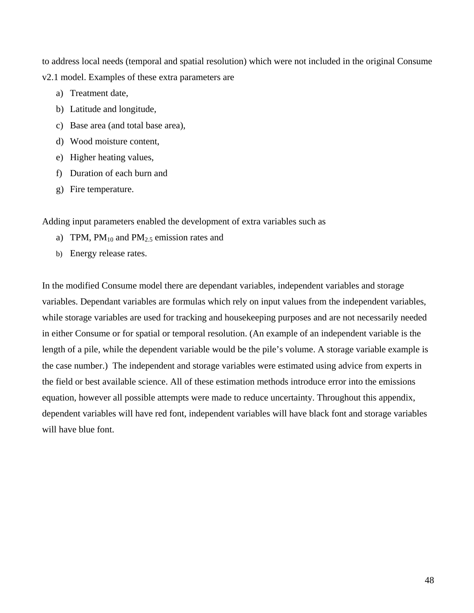to address local needs (temporal and spatial resolution) which were not included in the original Consume v2.1 model. Examples of these extra parameters are

- a) Treatment date,
- b) Latitude and longitude,
- c) Base area (and total base area),
- d) Wood moisture content,
- e) Higher heating values,
- f) Duration of each burn and
- g) Fire temperature.

Adding input parameters enabled the development of extra variables such as

- a) TPM,  $PM_{10}$  and  $PM_{2.5}$  emission rates and
- b) Energy release rates.

In the modified Consume model there are dependant variables, independent variables and storage variables. Dependant variables are formulas which rely on input values from the independent variables, while storage variables are used for tracking and housekeeping purposes and are not necessarily needed in either Consume or for spatial or temporal resolution. (An example of an independent variable is the length of a pile, while the dependent variable would be the pile's volume. A storage variable example is the case number.) The independent and storage variables were estimated using advice from experts in the field or best available science. All of these estimation methods introduce error into the emissions equation, however all possible attempts were made to reduce uncertainty. Throughout this appendix, dependent variables will have red font, independent variables will have black font and storage variables will have blue font.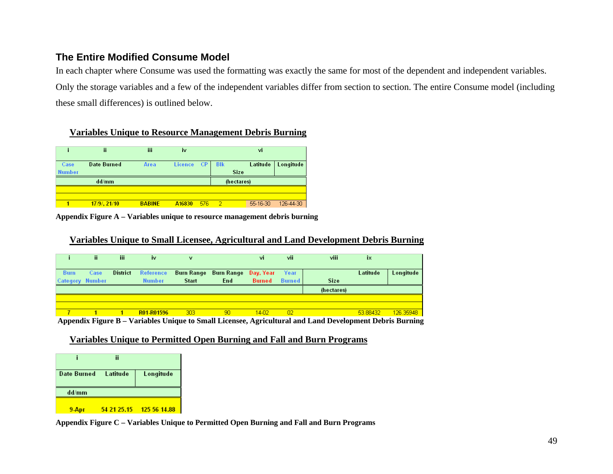### **The Entire Modified Consume Model**

In each chapter where Consume was used the formatting was exactly the same for most of the dependent and independent variables. Only the storage variables and a few of the independent variables differ from section to section. The entire Consume model (including these small differences) is outlined below.

### **Variables Unique to Resource Management Debris Burning**

|                       | ii                 | iii  | iv             |           |                           | vi       |           |
|-----------------------|--------------------|------|----------------|-----------|---------------------------|----------|-----------|
| Case<br><b>Number</b> | <b>Date Burned</b> | Area | <b>Licence</b> | <b>CP</b> | <b>BIK</b><br><b>Size</b> | Latitude | Longitude |
|                       |                    |      |                |           |                           |          |           |
|                       | dd/mm              |      |                |           | (hectares)                |          |           |
|                       |                    |      |                |           |                           |          |           |

**Appendix Figure A – Variables unique to resource management debris burning**

#### **Variables Unique to Small Licensee, Agricultural and Land Development Debris Burning**

|                        | ii.  | iii. | iv                                  | $\mathbf v$                           |      | vi      | vii           | viii        | iх       |           |
|------------------------|------|------|-------------------------------------|---------------------------------------|------|---------|---------------|-------------|----------|-----------|
| <b>Burn</b>            | Case |      | District Reference                  | - Burn Range - Burn Range - Day, Year |      |         | <b>Year</b>   |             | Latitude | Longitude |
| <b>Category Number</b> |      |      | <b>Number</b>                       | <b>Start</b>                          | End: | Burned  | <b>Burned</b> | <b>Size</b> |          |           |
|                        |      |      |                                     |                                       |      |         |               | (hectares)  |          |           |
|                        |      |      |                                     |                                       |      |         |               |             |          |           |
|                        |      |      |                                     |                                       |      |         |               |             |          |           |
|                        |      |      | R <sub>01</sub> -R <sub>01596</sub> | 303 <sub>1</sub>                      | 90   | $14-02$ | 02            |             | 53.88432 | 126,35948 |

 **Appendix Figure B – Variables Unique to Small Licensee, Agricultural and Land Development Debris Burning** 

#### **Variables Unique to Permitted Open Burning and Fall and Burn Programs**

|                      | ij |                          |
|----------------------|----|--------------------------|
| Date Burned Latitude |    | Longitude                |
| dd/mm                |    |                          |
| 9-Apr                |    | 54 21 25.15 125 56 14.88 |

**Appendix Figure C – Variables Unique to Permitted Open Burning and Fall and Burn Programs**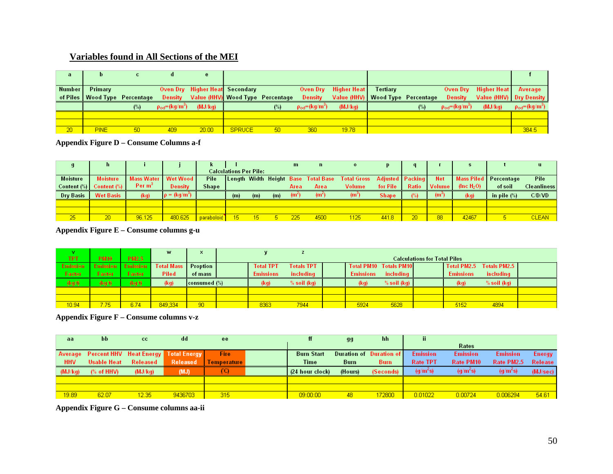### **Variables found in All Sections of the MEI**

| a      | Þ                               | c   |                               |                                |                                          |     |                                        |                                    |          |      |                               |                                |                               |
|--------|---------------------------------|-----|-------------------------------|--------------------------------|------------------------------------------|-----|----------------------------------------|------------------------------------|----------|------|-------------------------------|--------------------------------|-------------------------------|
| Number | Primary                         |     |                               | Oven Dry Higher Heat Secondary |                                          |     |                                        | <b>Oven Dry</b> Higher Heat        | Tertiary |      |                               | Oven Dry Higher Heat   Average |                               |
|        | of Piles   Wood Type Percentage |     |                               |                                | Density Value (HHV) Wood Type Percentage |     | Density                                | Value (HHV)   Wood Type Percentage |          |      | Density                       | Value (HHV) Dry Density        |                               |
|        |                                 | (%) | $\rho_{\text{od}} = (kg/m^3)$ | (MJ/kg)                        |                                          | (%) | $\rho_{\text{od}}$ =(kg/m $^{\circ}$ ) | (MJ/kg)                            |          | (% ) | $\rho_{\text{od}} = (kg/m^3)$ | (MJ/kg)                        | $\rho_{\text{od}} = (kg/m^3)$ |
|        |                                 |     |                               |                                |                                          |     |                                        |                                    |          |      |                               |                                |                               |
|        |                                 |     |                               |                                |                                          |     |                                        |                                    |          |      |                               |                                |                               |
| 20     | <b>PINE</b>                     | 50  | 409                           | 20.00                          | <b>SPRUCE</b>                            | -50 | 360                                    | 19.78                              |          |      |                               |                                | 384.5                         |

**Appendix Figure D – Consume Columns a-f**

|                 | h                |                 |                         |              |                               |     |     | m                 |                                     |                    |                         |              |               |               |                         | u.           |
|-----------------|------------------|-----------------|-------------------------|--------------|-------------------------------|-----|-----|-------------------|-------------------------------------|--------------------|-------------------------|--------------|---------------|---------------|-------------------------|--------------|
|                 |                  |                 |                         |              | <b>Calculations Per Pile:</b> |     |     |                   |                                     |                    |                         |              |               |               |                         |              |
| <b>Moisture</b> | <b>Moisture</b>  | Mass Water I    | <b>Wet Wood</b>         | Pile         |                               |     |     |                   | Length Width Height Base Total Base | <b>Total Gross</b> | <b>Adjusted Packing</b> |              | <b>Net</b>    |               | Mass Piled   Percentage | Pile         |
| Content (%)     | )   Content (%)  | Per $m^{\circ}$ | Density                 | <b>Shape</b> |                               |     |     | Area              | Area                                | Volume             | for Pile                | <b>Ratio</b> | ■ Volume      | (Inc $H_2O$ ) | of soil                 | Cleanliness  |
| Dry Basis       | <b>Wet Basis</b> | (kg)            | $\rho = (kg/m^{\circ})$ |              | (m)                           | (m) | (m) | (m <sup>2</sup> ) | (m*)                                | (m~                | <b>Shape</b>            |              | $(m^{\circ})$ | (kq)          | in pile $(\%)$          | C/D/VD       |
|                 |                  |                 |                         |              |                               |     |     |                   |                                     |                    |                         |              |               |               |                         |              |
|                 |                  |                 |                         |              |                               |     |     |                   |                                     |                    |                         |              |               |               |                         |              |
| 25              | 20               | 96.125          | 480.625                 | paraboloid   | 15                            | 15  |     | 225               | 4500                                | 1125               | 441.8                   | $_{20}$      | 88            | 42467         |                         | <b>CLEAN</b> |

**Appendix Figure E – Consume columns g-u** 

|                 |                 |                 | W                 |                 |                                     |                   |  |                        |             |  |                  |                          |  |
|-----------------|-----------------|-----------------|-------------------|-----------------|-------------------------------------|-------------------|--|------------------------|-------------|--|------------------|--------------------------|--|
| <b>TPT</b>      | <b>PM10</b>     | <b>PM2.5</b>    |                   |                 | <b>Calculations for Total Piles</b> |                   |  |                        |             |  |                  |                          |  |
| <b>Emission</b> | <b>Emission</b> | <b>Emission</b> | <b>Total Mass</b> | <b>Proption</b> | <b>Total TPT</b>                    | <b>Totals TPT</b> |  | Total PM10 Totals PM10 |             |  |                  | Total PM2.5 Totals PM2.5 |  |
| <b>Factor</b>   | <b>Factor</b>   | <b>Factor</b>   | Piled             | of mass         | <b>Emissions</b>                    | including         |  | <b>Emissions</b>       | including   |  | <b>Emissions</b> | including                |  |
| (kg/t)          | (kg/t)          | (kg/t)          | (kq)              | consumed (%)    | (kg)                                | % soil (kg)       |  | (kq)                   | % soil (kg) |  | (kq)             | % soil (kg)              |  |
|                 |                 |                 |                   |                 |                                     |                   |  |                        |             |  |                  |                          |  |
|                 |                 |                 |                   |                 |                                     |                   |  |                        |             |  |                  |                          |  |
| 10.94           | 7.75            | 6.74            | 849,334           | 90              | 8363                                | 7944              |  | 5924                   | 5628        |  | 5152             | 4894                     |  |

**Appendix Figure F – Consume columns v-z** 

| aa         | bb          | cc                                           | dd       | ee              | ff                | gg          | hh.                     | ii.             |                 |                      |                |
|------------|-------------|----------------------------------------------|----------|-----------------|-------------------|-------------|-------------------------|-----------------|-----------------|----------------------|----------------|
|            |             |                                              |          |                 |                   |             |                         |                 | Rates           |                      |                |
|            |             | Average Percent HHV Heat Energy Total Energy |          | Fire:           | <b>Burn Start</b> |             | Duration of Duration of | <b>Emission</b> | <b>Emission</b> | <b>Emission</b>      | Energy         |
| <b>HHV</b> | Usable Heat | Released                                     | Released | – I Temperature | <b>Time</b>       | <b>Burn</b> | <b>Burn</b>             | <b>Rate TPT</b> | Rate PM10       | Rate PM2.5           | <b>Release</b> |
| (MJ/kg)    | % of HHV    | (MJ/kg)                                      | (MJ)     | (C)             | (24 hour clock)   | (Hours)     | (Seconds)               | $(g/m^2s)$      | $(g/m^2s)$      | (q/m <sup>2</sup> s) | (MJ/sec)       |
|            |             |                                              |          |                 |                   |             |                         |                 |                 |                      |                |
|            |             |                                              |          |                 |                   |             |                         |                 |                 |                      |                |
| 19.89      | 62.07       | 12.35                                        | 9436703  | 315             | 09:00:00          | 48.         | 172800                  | 0.01022         | 0.00724         | 0.006294             | 54.61          |

**Appendix Figure G – Consume columns aa-ii**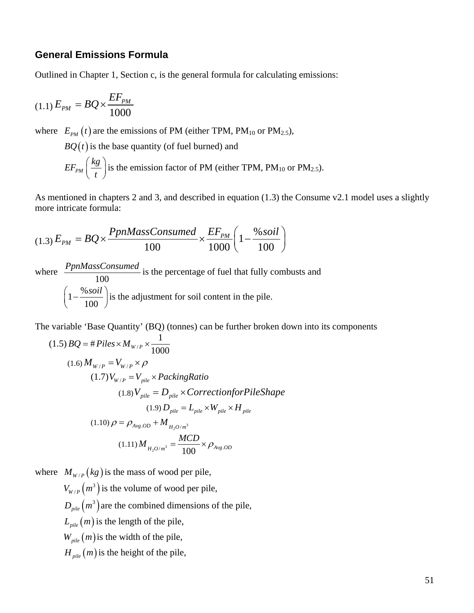### **General Emissions Formula**

Outlined in Chapter 1, Section c, is the general formula for calculating emissions:

$$
(1.1) E_{PM} = BQ \times \frac{EF_{PM}}{1000}
$$

where  $E_{PM}(t)$  are the emissions of PM (either TPM, PM<sub>10</sub> or PM<sub>2.5</sub>),

 $BQ(t)$  is the base quantity (of fuel burned) and

 $EF_{PM}$   $\Big(\frac{kg}{4}\Big)$  $\left(\frac{kg}{t}\right)$  is the emission factor of PM (either TPM, PM<sub>10</sub> or PM<sub>2.5</sub>).

As mentioned in chapters 2 and 3, and described in equation (1.3) the Consume v2.1 model uses a slightly more intricate formula:

$$
(1.3) E_{PM} = BQ \times \frac{PpnMassConsumed}{100} \times \frac{EF_{PM}}{1000} \left(1 - \frac{\% \, soil}{100}\right)
$$

where 100 *PpnMassConsumed* is the percentage of fuel that fully combusts and  $1-\frac{\%}{\phantom{0}}$  $\left(1-\frac{\% soil}{100}\right)$  is the adjustment for soil content in the pile.

The variable 'Base Quantity' (BQ) (tonnes) can be further broken down into its components

$$
(1.5) BQ = #Piles \times M_{W/P} \times \frac{1}{1000}
$$
  
\n
$$
(1.6) M_{W/P} = V_{W/P} \times \rho
$$
  
\n
$$
(1.7) V_{W/P} = V_{pile} \times PackingRatio
$$
  
\n
$$
(1.8) V_{pile} = D_{pile} \times Correction for Pileshape
$$
  
\n
$$
(1.9) D_{pile} = L_{pile} \times W_{pile} \times H_{pile}
$$
  
\n
$$
(1.10) \rho = \rho_{Avg.0D} + M_{H_2O/m^3}
$$
  
\n
$$
(1.11) M_{H_2O/m^3} = \frac{MCD}{100} \times \rho_{Avg.0D}
$$

where  $M_{W/P}(kg)$  is the mass of wood per pile,

 $V_{W/P}(m^3)$  is the volume of wood per pile,

 $D_{\text{pile}}(m^3)$  are the combined dimensions of the pile,

 $L_{\text{pile}}(m)$  is the length of the pile,

 $W_{\text{pile}}(m)$  is the width of the pile,

 $H_{\textit{pile}}(m)$  is the height of the pile,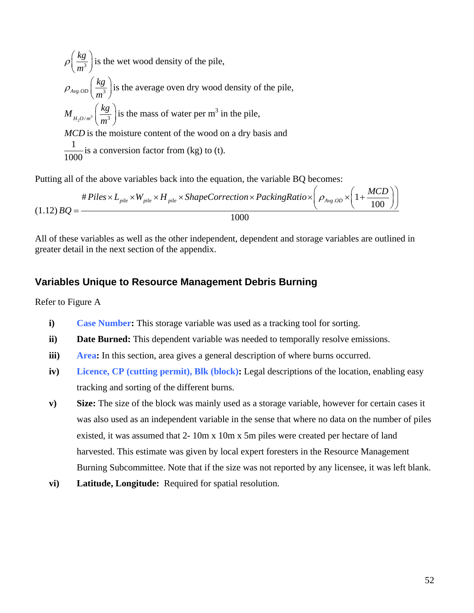$$
\rho \left(\frac{kg}{m^3}\right)
$$
 is the wet wood density of the pile,  
\n
$$
\rho_{Avg,OD} \left(\frac{kg}{m^3}\right)
$$
 is the average oven dry wood density of the pile,  
\n
$$
M_{H_2O/m^3} \left(\frac{kg}{m^3}\right)
$$
 is the mass of water per m<sup>3</sup> in the pile,  
\nMCD is the moisture content of the wood on a dry basis and  
\n
$$
\frac{1}{1000}
$$
 is a conversion factor from (kg) to (t).

Putting all of the above variables back into the equation, the variable BQ becomes:

$$
\#Piles \times L_{pile} \times W_{pile} \times H_{pile} \times ShapeCorrection \times PackingRatio \times \left(\rho_{Avg.OD} \times \left(1 + \frac{MCD}{100}\right)\right)
$$
\n
$$
(1.12) \, BQ = \frac{1000}{1000}
$$

All of these variables as well as the other independent, dependent and storage variables are outlined in greater detail in the next section of the appendix.

### **Variables Unique to Resource Management Debris Burning**

Refer to Figure A

- **i) Case Number:** This storage variable was used as a tracking tool for sorting.
- **ii) Date Burned:** This dependent variable was needed to temporally resolve emissions.
- **iii) Area:** In this section, area gives a general description of where burns occurred.
- **iv) Licence, CP (cutting permit), Blk (block):** Legal descriptions of the location, enabling easy tracking and sorting of the different burns.
- **v) Size:** The size of the block was mainly used as a storage variable, however for certain cases it was also used as an independent variable in the sense that where no data on the number of piles existed, it was assumed that 2- 10m x 10m x 5m piles were created per hectare of land harvested. This estimate was given by local expert foresters in the Resource Management Burning Subcommittee. Note that if the size was not reported by any licensee, it was left blank.
- **vi) Latitude, Longitude:** Required for spatial resolution.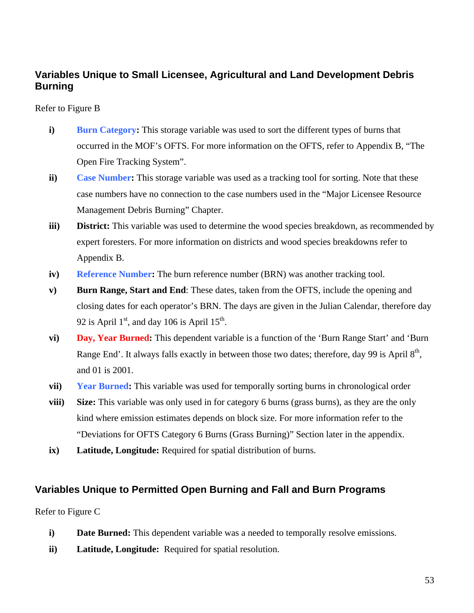## **Variables Unique to Small Licensee, Agricultural and Land Development Debris Burning**

### Refer to Figure B

- **i) Burn Category:** This storage variable was used to sort the different types of burns that occurred in the MOF's OFTS. For more information on the OFTS, refer to Appendix B, "The Open Fire Tracking System".
- **ii) Case Number:** This storage variable was used as a tracking tool for sorting. Note that these case numbers have no connection to the case numbers used in the "Major Licensee Resource Management Debris Burning" Chapter.
- **iii) District:** This variable was used to determine the wood species breakdown, as recommended by expert foresters. For more information on districts and wood species breakdowns refer to Appendix B.
- **iv) Reference Number:** The burn reference number (BRN) was another tracking tool.
- **v) Burn Range, Start and End**: These dates, taken from the OFTS, include the opening and closing dates for each operator's BRN. The days are given in the Julian Calendar, therefore day 92 is April  $1<sup>st</sup>$ , and day 106 is April  $15<sup>th</sup>$ .
- **vi) Day, Year Burned:** This dependent variable is a function of the 'Burn Range Start' and 'Burn Range End'. It always falls exactly in between those two dates; therefore, day 99 is April  $8<sup>th</sup>$ , and 01 is 2001.
- **vii) Year Burned:** This variable was used for temporally sorting burns in chronological order
- **viii) Size:** This variable was only used in for category 6 burns (grass burns), as they are the only kind where emission estimates depends on block size. For more information refer to the "Deviations for OFTS Category 6 Burns (Grass Burning)" Section later in the appendix.
- **ix) Latitude, Longitude:** Required for spatial distribution of burns.

### **Variables Unique to Permitted Open Burning and Fall and Burn Programs**

Refer to Figure C

- **i) Date Burned:** This dependent variable was a needed to temporally resolve emissions.
- **ii) Latitude, Longitude:** Required for spatial resolution.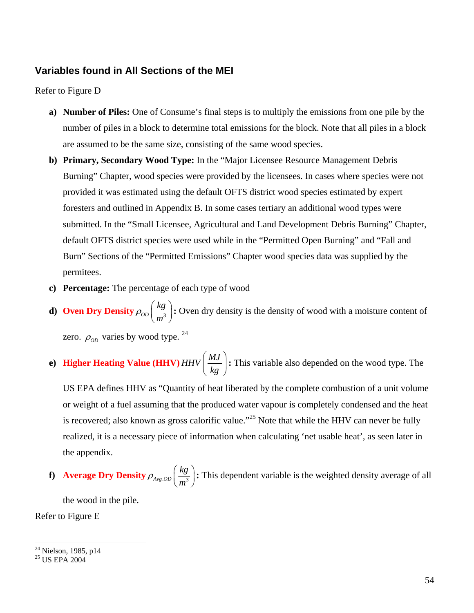### **Variables found in All Sections of the MEI**

#### Refer to Figure D

- **a) Number of Piles:** One of Consume's final steps is to multiply the emissions from one pile by the number of piles in a block to determine total emissions for the block. Note that all piles in a block are assumed to be the same size, consisting of the same wood species.
- **b) Primary, Secondary Wood Type:** In the "Major Licensee Resource Management Debris Burning" Chapter, wood species were provided by the licensees. In cases where species were not provided it was estimated using the default OFTS district wood species estimated by expert foresters and outlined in Appendix B. In some cases tertiary an additional wood types were submitted. In the "Small Licensee, Agricultural and Land Development Debris Burning" Chapter, default OFTS district species were used while in the "Permitted Open Burning" and "Fall and Burn" Sections of the "Permitted Emissions" Chapter wood species data was supplied by the permitees.
- **c) Percentage:** The percentage of each type of wood
- **d**) **Oven Dry Density**  $\rho_{OD} \left( \frac{kg}{m^3} \right)$  $\rho_{op}$   $\left(\frac{-}{m}\right)$  $\left(\frac{kg}{m^3}\right)$ : Oven dry density is the density of wood with a moisture content of zero.  $\rho_{op}$  varies by wood type. <sup>24</sup>
- **e) Higher Heating Value (HHV)** *MJ HHV*  $\left(\frac{MJ}{kg}\right)$ **:** This variable also depended on the wood type. The

US EPA defines HHV as "Quantity of heat liberated by the complete combustion of a unit volume or weight of a fuel assuming that the produced water vapour is completely condensed and the heat is recovered; also known as gross calorific value."<sup>25</sup> Note that while the HHV can never be fully realized, it is a necessary piece of information when calculating 'net usable heat', as seen later in the appendix.

**f**) **Average Dry Density**  $\rho_{Avg,OD} \left( \frac{kg}{m^3} \right)$  $\rho_{\text{Avg.OD}}\left(\frac{m}{m}\right)$  $\left(\frac{kg}{m^3}\right)$ : This dependent variable is the weighted density average of all

the wood in the pile.

Refer to Figure E

1

<sup>&</sup>lt;sup>24</sup> Nielson, 1985, p14

<sup>25</sup> US EPA 2004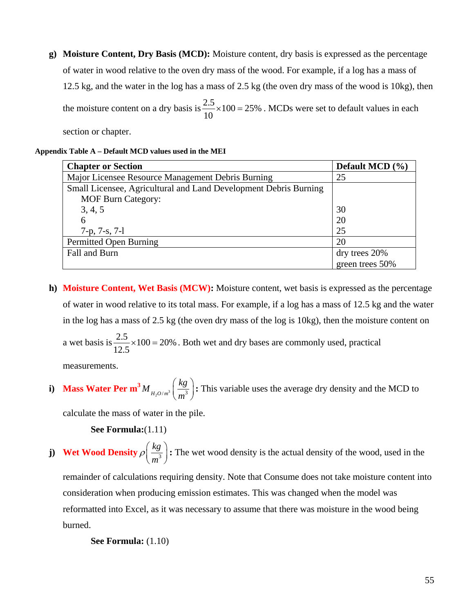**g) Moisture Content, Dry Basis (MCD):** Moisture content, dry basis is expressed as the percentage of water in wood relative to the oven dry mass of the wood. For example, if a log has a mass of 12.5 kg, and the water in the log has a mass of 2.5 kg (the oven dry mass of the wood is 10kg), then the moisture content on a dry basis is  $\frac{2.5}{10} \times 100 = 25\%$ 10  $\times 100 = 25\%$ . MCDs were set to default values in each

section or chapter.

#### **Appendix Table A – Default MCD values used in the MEI**

| <b>Chapter or Section</b>                                        | Default MCD $(\% )$ |
|------------------------------------------------------------------|---------------------|
| Major Licensee Resource Management Debris Burning                | 25                  |
| Small Licensee, Agricultural and Land Development Debris Burning |                     |
| <b>MOF Burn Category:</b>                                        |                     |
| 3, 4, 5                                                          | 30                  |
| 6                                                                | 20                  |
| $7-p, 7-s, 7-l$                                                  | 25                  |
| Permitted Open Burning                                           | 20                  |
| Fall and Burn                                                    | dry trees 20%       |
|                                                                  | green trees 50%     |

**h) Moisture Content, Wet Basis (MCW):** Moisture content, wet basis is expressed as the percentage of water in wood relative to its total mass. For example, if a log has a mass of 12.5 kg and the water in the log has a mass of 2.5 kg (the oven dry mass of the log is 10kg), then the moisture content on a wet basis is  $\frac{2.5}{1.5} \times 100 = 20\%$ 12.5  $\times 100 = 20\%$ . Both wet and dry bases are commonly used, practical

measurements.

i) **Mass Water Per m<sup>3</sup>** 
$$
M_{H_2O/m^3}
$$
  $\left(\frac{kg}{m^3}\right)$ : This variable uses the average dry density and the MCD to

calculate the mass of water in the pile.

 **See Formula:**(1.11)

**j**) **Wet Wood Density**  $\rho \left( \frac{kg}{m^3} \right)$  $\rho\left(\frac{m}{m}\right)$  $\left(\frac{kg}{m^3}\right)$ : The wet wood density is the actual density of the wood, used in the

remainder of calculations requiring density. Note that Consume does not take moisture content into consideration when producing emission estimates. This was changed when the model was reformatted into Excel, as it was necessary to assume that there was moisture in the wood being burned.

 **See Formula:** (1.10)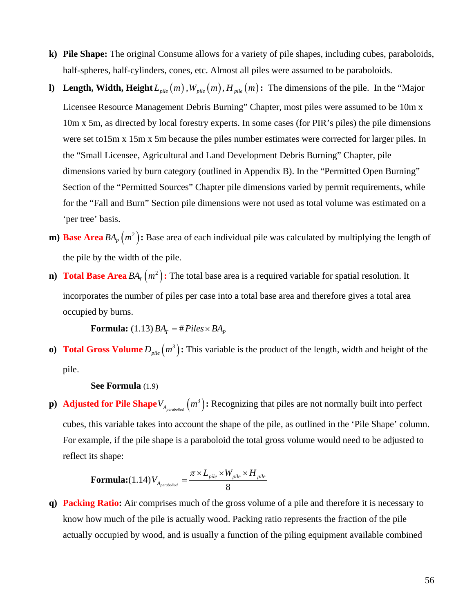- **k) Pile Shape:** The original Consume allows for a variety of pile shapes, including cubes, paraboloids, half-spheres, half-cylinders, cones, etc. Almost all piles were assumed to be paraboloids.
- **l)** Length, Width, Height  $L_{pile}(m)$ ,  $W_{pile}(m)$ ,  $H_{pile}(m)$ : The dimensions of the pile. In the "Major Licensee Resource Management Debris Burning" Chapter, most piles were assumed to be 10m x 10m x 5m, as directed by local forestry experts. In some cases (for PIR's piles) the pile dimensions were set to15m x 15m x 5m because the piles number estimates were corrected for larger piles. In the "Small Licensee, Agricultural and Land Development Debris Burning" Chapter, pile dimensions varied by burn category (outlined in Appendix B). In the "Permitted Open Burning" Section of the "Permitted Sources" Chapter pile dimensions varied by permit requirements, while for the "Fall and Burn" Section pile dimensions were not used as total volume was estimated on a 'per tree' basis.
- **m) Base Area**  $BA<sub>p</sub>(m<sup>2</sup>)$ : Base area of each individual pile was calculated by multiplying the length of the pile by the width of the pile.
- **n) Total Base Area**  $BA_T(m^2)$ : The total base area is a required variable for spatial resolution. It incorporates the number of piles per case into a total base area and therefore gives a total area occupied by burns.

**Formula:** (1.13)  $BA_r = \# \text{Piles} \times BA_p$ 

**o) Total Gross Volume**  $D_{\text{pile}}(m^3)$ : This variable is the product of the length, width and height of the pile.

#### **See Formula** (1.9)

**p**) **Adjusted for Pile Shape**  $V_{A_{parabolic}}(m^3)$ : Recognizing that piles are not normally built into perfect cubes, this variable takes into account the shape of the pile, as outlined in the 'Pile Shape' column. For example, if the pile shape is a paraboloid the total gross volume would need to be adjusted to reflect its shape:

$$
\textbf{Formula:} (1.14) \, V_{A_{parabolic}} = \frac{\pi \times L_{pile} \times W_{pile} \times H_{pile}}{8}
$$

**q) Packing Ratio:** Air comprises much of the gross volume of a pile and therefore it is necessary to know how much of the pile is actually wood. Packing ratio represents the fraction of the pile actually occupied by wood, and is usually a function of the piling equipment available combined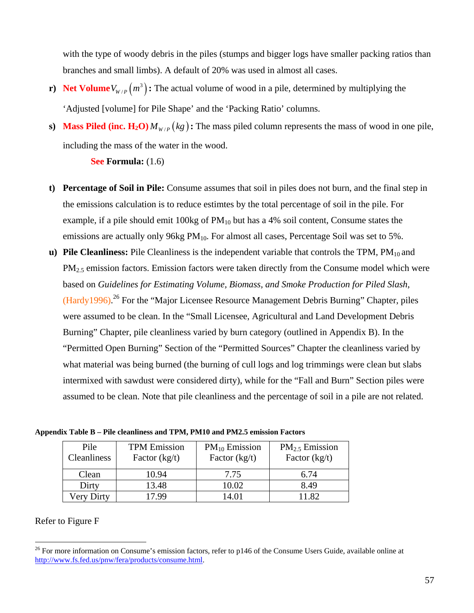with the type of woody debris in the piles (stumps and bigger logs have smaller packing ratios than branches and small limbs). A default of 20% was used in almost all cases.

- **r) Net Volume**  $V_{W/P}(m^3)$ : The actual volume of wood in a pile, determined by multiplying the 'Adjusted [volume] for Pile Shape' and the 'Packing Ratio' columns.
- **s) Mass Piled (inc. H<sub>2</sub>O)**  $M_{W/P}(kg)$ **: The mass piled column represents the mass of wood in one pile,** including the mass of the water in the wood.

#### **See Formula:** (1.6)

- **t) Percentage of Soil in Pile:** Consume assumes that soil in piles does not burn, and the final step in the emissions calculation is to reduce estimtes by the total percentage of soil in the pile. For example, if a pile should emit 100kg of  $PM_{10}$  but has a 4% soil content, Consume states the emissions are actually only 96kg PM<sub>10</sub>. For almost all cases, Percentage Soil was set to 5%.
- **u) Pile Cleanliness:** Pile Cleanliness is the independent variable that controls the TPM, PM<sub>10</sub> and  $PM<sub>2.5</sub>$  emission factors. Emission factors were taken directly from the Consume model which were based on *Guidelines for Estimating Volume, Biomass, and Smoke Production for Piled Slash*, (Hardy1996).<sup>26</sup> For the "Major Licensee Resource Management Debris Burning" Chapter, piles were assumed to be clean. In the "Small Licensee, Agricultural and Land Development Debris Burning" Chapter, pile cleanliness varied by burn category (outlined in Appendix B). In the "Permitted Open Burning" Section of the "Permitted Sources" Chapter the cleanliness varied by what material was being burned (the burning of cull logs and log trimmings were clean but slabs intermixed with sawdust were considered dirty), while for the "Fall and Burn" Section piles were assumed to be clean. Note that pile cleanliness and the percentage of soil in a pile are not related.

**Appendix Table B – Pile cleanliness and TPM, PM10 and PM2.5 emission Factors**

| Pile<br>Cleanliness | <b>TPM</b> Emission<br>Factor $(kg/t)$ | $PM_{10}$ Emission<br>Factor $(kg/t)$ | $PM_{2.5}$ Emission<br>Factor $(kg/t)$ |
|---------------------|----------------------------------------|---------------------------------------|----------------------------------------|
| Clean               | 10.94                                  | 7.75                                  | 6.74                                   |
| Dirty               | 13.48                                  | 10.02                                 | 8.49                                   |
| Very Dirty          | 799                                    | 4.01                                  | 1.82                                   |

### Refer to Figure F

1

<sup>&</sup>lt;sup>26</sup> For more information on Consume's emission factors, refer to p146 of the Consume Users Guide, available online at http://www.fs.fed.us/pnw/fera/products/consume.html.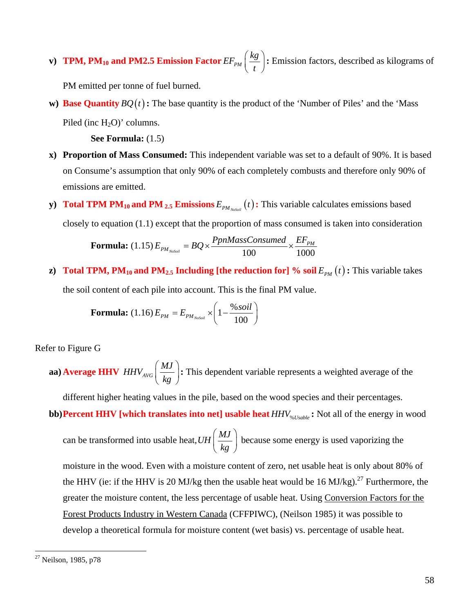**v**) **TPM, PM<sub>10</sub> and PM2.5 Emission Factor**  $EF_{PM}$   $\Big(\frac{kg}{r}\Big)$  $\left(\frac{kg}{t}\right)$ : Emission factors, described as kilograms of

PM emitted per tonne of fuel burned.

**w) Base Quantity**  $BQ(t)$ : The base quantity is the product of the 'Number of Piles' and the 'Mass Piled (inc  $H_2O$ )' columns.

 **See Formula:** (1.5)

- **x) Proportion of Mass Consumed:** This independent variable was set to a default of 90%. It is based on Consume's assumption that only 90% of each completely combusts and therefore only 90% of emissions are emitted.
- **y**) **Total TPM PM<sub>10</sub> and PM <sub>2.5</sub> Emissions**  $E_{PM_{NoSoll}}(t)$ **: This variable calculates emissions based** closely to equation (1.1) except that the proportion of mass consumed is taken into consideration

**Formula:** (1.15) 
$$
E_{PM_{NoSol}} = BQ \times \frac{PpnMassConsumed}{100} \times \frac{EF_{PM}}{1000}
$$

**z) Total TPM, PM<sub>10</sub> and PM<sub>2.5</sub> Including [the reduction for] % soil**  $E_{PM}(t)$ **: This variable takes** the soil content of each pile into account. This is the final PM value.

**Formula:** (1.16) 
$$
E_{PM} = E_{PM_{NoSoll}} \times \left(1 - \frac{\% soil}{100}\right)
$$

Refer to Figure G

aa) Average HHV  $\mathit{HHV}_{\mathit{AVG}}\Big[\frac{\mathit{MJ}}{\mathit{Hz}}\Big]$  $\left(\frac{MJ}{kg}\right)$ **:** This dependent variable represents a weighted average of the

different higher heating values in the pile, based on the wood species and their percentages.

**bb)Percent HHV [which translates into net] usable heat**  $HHV$ **<sub>%***Usable***</sub>: Not all of the energy in wood** 

can be transformed into usable heat,  $UH\left(\frac{MJ}{J}\right)$  $\left(\frac{MJ}{kg}\right)$ because some energy is used vaporizing the

moisture in the wood. Even with a moisture content of zero, net usable heat is only about 80% of the HHV (ie: if the HHV is 20 MJ/kg then the usable heat would be 16 MJ/kg).<sup>27</sup> Furthermore, the greater the moisture content, the less percentage of usable heat. Using Conversion Factors for the Forest Products Industry in Western Canada (CFFPIWC), (Neilson 1985) it was possible to develop a theoretical formula for moisture content (wet basis) vs. percentage of usable heat.

1

<sup>&</sup>lt;sup>27</sup> Neilson, 1985, p78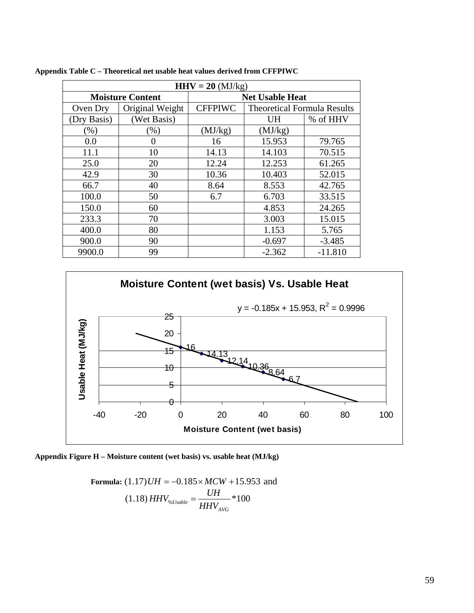| $HHV = 20$ (MJ/kg)      |                 |                        |                                    |           |  |  |  |
|-------------------------|-----------------|------------------------|------------------------------------|-----------|--|--|--|
| <b>Moisture Content</b> |                 | <b>Net Usable Heat</b> |                                    |           |  |  |  |
| Oven Dry                | Original Weight | <b>CFFPIWC</b>         | <b>Theoretical Formula Results</b> |           |  |  |  |
| (Dry Basis)             | (Wet Basis)     |                        | <b>UH</b>                          | % of HHV  |  |  |  |
| $(\% )$                 | $(\%)$          | (MJ/kg)                | (MJ/kg)                            |           |  |  |  |
| 0.0                     | 0               | 16                     | 15.953                             | 79.765    |  |  |  |
| 11.1                    | 10              | 14.13                  | 14.103                             | 70.515    |  |  |  |
| 25.0                    | 20              | 12.24                  | 12.253                             | 61.265    |  |  |  |
| 42.9                    | 30              | 10.36                  | 10.403                             | 52.015    |  |  |  |
| 66.7                    | 40              | 8.64                   | 8.553                              | 42.765    |  |  |  |
| 100.0                   | 50              | 6.7                    | 6.703                              | 33.515    |  |  |  |
| 150.0                   | 60              |                        | 4.853                              | 24.265    |  |  |  |
| 233.3                   | 70              |                        | 3.003                              | 15.015    |  |  |  |
| 400.0                   | 80              |                        | 1.153                              | 5.765     |  |  |  |
| 900.0                   | 90              |                        | $-0.697$                           | $-3.485$  |  |  |  |
| 9900.0                  | 99              |                        | $-2.362$                           | $-11.810$ |  |  |  |

**Appendix Table C – Theoretical net usable heat values derived from CFFPIWC**



**Appendix Figure H – Moisture content (wet basis) vs. usable heat (MJ/kg)**

**Formula:** (1.17) *UH* = -0.185×*MCW* +15.953 and  
(1.18) *HHV*<sub>%*Usable*</sub> = 
$$
\frac{UH}{HHV_{AVG}}
$$
 \*100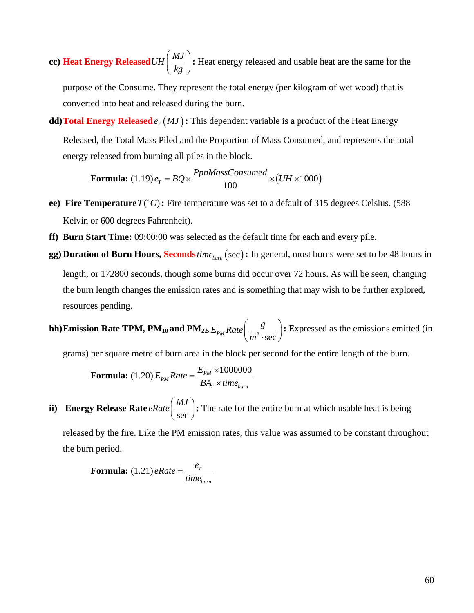**cc) Heat Energy Released** *MJ UH*  $\left(\frac{MJ}{kg}\right)$ **:** Heat energy released and usable heat are the same for the

purpose of the Consume. They represent the total energy (per kilogram of wet wood) that is converted into heat and released during the burn.

**dd) Total Energy Released**  $e_T(MJ)$ : This dependent variable is a product of the Heat Energy Released, the Total Mass Piled and the Proportion of Mass Consumed, and represents the total energy released from burning all piles in the block.

**Formula:**  $(1.19) e_T = BQ \times \frac{1 \text{ pmmass} \times 1000}{100} \times (UH \times 1000)$  $e_r = BQ \times \frac{PpnMassConsumed}{P} \times (UH \times$ 

- **ee) Fire Temperature**  $T(^{\circ}C)$ : Fire temperature was set to a default of 315 degrees Celsius. (588) Kelvin or 600 degrees Fahrenheit).
- **ff) Burn Start Time:** 09:00:00 was selected as the default time for each and every pile.
- **gg)** Duration of Burn Hours, Seconds *time*<sub>burn</sub> (sec): In general, most burns were set to be 48 hours in length, or 172800 seconds, though some burns did occur over 72 hours. As will be seen, changing the burn length changes the emission rates and is something that may wish to be further explored, resources pending.

**hh)Emission Rate TPM, PM<sub>10</sub> and PM<sub>2.5</sub>**  $E_{_{PM}}$ **Rate** $\left(\frac{g}{m^2 \cdot \text{sec}}\right)$  $\left(\frac{g}{m^2 \cdot \text{sec}}\right)$ : Expressed as the emissions emitted (in

grams) per square metre of burn area in the block per second for the entire length of the burn.

**Formula:** (1.20) 
$$
E_{PM}
$$
 Rate =  $\frac{E_{PM} \times 1000000}{BA_T \times time_{burn}}$ 

**ii) Energy Release Rate**  $\text{eRate} \left( \frac{MJ}{\text{sec}} \right)$ : The rate for the entire burn at which usable heat is being

released by the fire. Like the PM emission rates, this value was assumed to be constant throughout the burn period.

**Formula:**  $(1.21)$  *eRate* =  $\frac{e_T}{e_T}$ *burn*  $e$ *Rate* =  $\frac{e_T}{time}$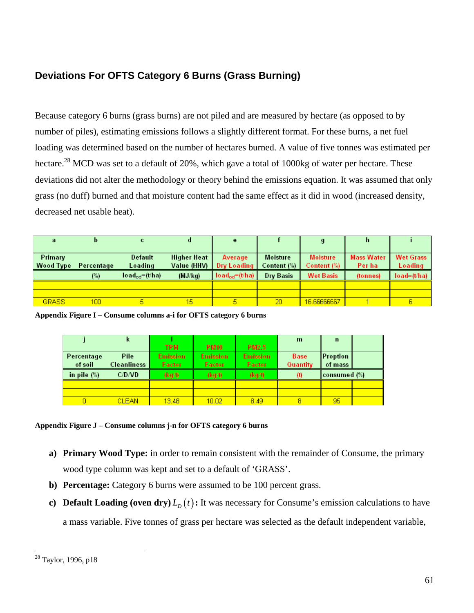## **Deviations For OFTS Category 6 Burns (Grass Burning)**

Because category 6 burns (grass burns) are not piled and are measured by hectare (as opposed to by number of piles), estimating emissions follows a slightly different format. For these burns, a net fuel loading was determined based on the number of hectares burned. A value of five tonnes was estimated per hectare.<sup>28</sup> MCD was set to a default of 20%, which gave a total of 1000kg of water per hectare. These deviations did not alter the methodology or theory behind the emissions equation. It was assumed that only grass (no duff) burned and that moisture content had the same effect as it did in wood (increased density, decreased net usable heat).

| a                           |                  | с                            | d                                 | e                                    |                         | $\mathbf{g}$                   | n.                          |                             |
|-----------------------------|------------------|------------------------------|-----------------------------------|--------------------------------------|-------------------------|--------------------------------|-----------------------------|-----------------------------|
| Primary<br><b>Wood Type</b> | Percentage       | Default<br>Loading           | <b>Higher Heat</b><br>Value (HHV) | <b>Average</b><br><b>Dry Loading</b> | Moisture<br>Content (%) | <b>Moisture</b><br>Content (%) | <b>Mass Water</b><br>Per ha | <b>Wet Grass</b><br>Loading |
|                             | (%)              | $load_{\text{odd}} = (t/ha)$ | (MJ/kg)                           | $load_{\text{od}} = (t/ha)$          | Dry Basis               | <b>Wet Basis</b>               | (tonnes)                    | $load=(t/ha)$               |
|                             |                  |                              |                                   |                                      |                         |                                |                             |                             |
|                             |                  |                              |                                   |                                      |                         |                                |                             |                             |
| <b>GRASS</b>                | 100 <sup>°</sup> | д                            | 15                                | 5.                                   | 20                      | 16.66666667                    |                             |                             |

**Appendix Figure I – Consume columns a-i for OFTS category 6 burns**

|                | ĸ                  |                 |                 |                 | $\mathbf{m}$ | n               |  |
|----------------|--------------------|-----------------|-----------------|-----------------|--------------|-----------------|--|
|                |                    | <b>TPM</b>      | <b>PM10</b>     | <b>PM2.5</b>    |              |                 |  |
| Percentage     | Pile               | <b>Emission</b> | <b>Emission</b> | <b>Emission</b> | <b>Base</b>  | <b>Proption</b> |  |
| of soil        | <b>Cleanliness</b> | Factor          | <b>Factor</b>   | <b>Factor</b>   | Quantity     | of mass         |  |
| in pile $(\%)$ | C/D/VD             | (kg/t)          | (kg/t)          | (kg/t)          | (1)          | consumed (%)    |  |
|                |                    |                 |                 |                 |              |                 |  |
|                |                    |                 |                 |                 |              |                 |  |
|                | <b>CLEAN</b>       | 13.48           | 10.02           | 8.49            | 8            | 95              |  |

#### **Appendix Figure J – Consume columns j-n for OFTS category 6 burns**

- **a) Primary Wood Type:** in order to remain consistent with the remainder of Consume, the primary wood type column was kept and set to a default of 'GRASS'.
- **b) Percentage:** Category 6 burns were assumed to be 100 percent grass.
- **c) Default Loading (oven dry)**  $L_p(t)$ : It was necessary for Consume's emission calculations to have a mass variable. Five tonnes of grass per hectare was selected as the default independent variable,

1

<sup>&</sup>lt;sup>28</sup> Taylor, 1996, p18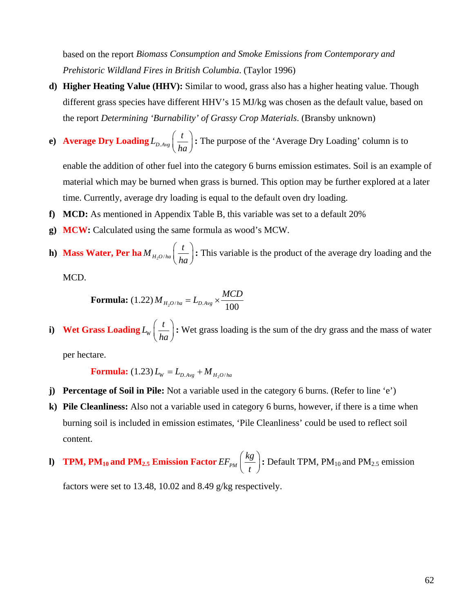based on the report *Biomass Consumption and Smoke Emissions from Contemporary and Prehistoric Wildland Fires in British Columbia*. (Taylor 1996)

- **d) Higher Heating Value (HHV):** Similar to wood, grass also has a higher heating value. Though different grass species have different HHV's 15 MJ/kg was chosen as the default value, based on the report *Determining 'Burnability' of Grassy Crop Materials*. (Bransby unknown)
- **e**) **Average Dry Loading**  $L_{D.Avg} \left( \frac{t}{L} \right)$  $\left(\frac{t}{ha}\right)$ : The purpose of the 'Average Dry Loading' column is to

enable the addition of other fuel into the category 6 burns emission estimates. Soil is an example of material which may be burned when grass is burned. This option may be further explored at a later time. Currently, average dry loading is equal to the default oven dry loading.

- **f) MCD:** As mentioned in Appendix Table B, this variable was set to a default 20%
- **g) MCW:** Calculated using the same formula as wood's MCW.
- **h**) Mass Water, Per ha $M_{H_2O/ha} \left( \frac{t}{h} \right)$  $\left(\frac{t}{ha}\right)$ : This variable is the product of the average dry loading and the

MCD.

**Formula:** (1.22) 
$$
M_{H_2O/ha} = L_{D.Avg} \times \frac{MCD}{100}
$$

**i**) **Wet Grass Loading**  $L_w \left( \frac{t}{L_w} \right)$  $\left(\frac{t}{ha}\right)$ : Wet grass loading is the sum of the dry grass and the mass of water

per hectare.

**Formula:** (1.23) 
$$
L_W = L_{D.Avg} + M_{H_2O/ha}
$$

- **j) Percentage of Soil in Pile:** Not a variable used in the category 6 burns. (Refer to line 'e')
- **k) Pile Cleanliness:** Also not a variable used in category 6 burns, however, if there is a time when burning soil is included in emission estimates, 'Pile Cleanliness' could be used to reflect soil content.
- **l) TPM, PM<sub>10</sub> and PM<sub>2.5</sub> Emission Factor**  $EF_{PM}$   $\Big(\frac{kg}{4}$  $\left(\frac{kg}{t}\right)$ : Default TPM, PM<sub>10</sub> and PM<sub>2.5</sub> emission

factors were set to 13.48, 10.02 and 8.49 g/kg respectively.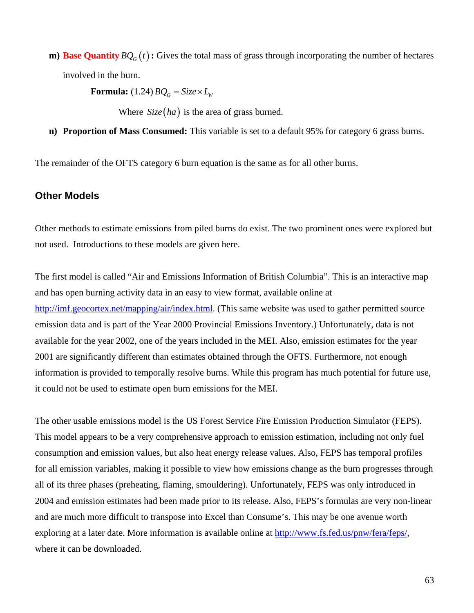**m) Base Quantity**  $BQ_G(t)$ : Gives the total mass of grass through incorporating the number of hectares involved in the burn.

**Formula:** (1.24)  $BQ_G = Size \times L_W$ 

Where  $Size(ha)$  is the area of grass burned.

**n) Proportion of Mass Consumed:** This variable is set to a default 95% for category 6 grass burns.

The remainder of the OFTS category 6 burn equation is the same as for all other burns.

#### **Other Models**

Other methods to estimate emissions from piled burns do exist. The two prominent ones were explored but not used. Introductions to these models are given here.

The first model is called "Air and Emissions Information of British Columbia". This is an interactive map and has open burning activity data in an easy to view format, available online at http://imf.geocortex.net/mapping/air/index.html. (This same website was used to gather permitted source emission data and is part of the Year 2000 Provincial Emissions Inventory.) Unfortunately, data is not available for the year 2002, one of the years included in the MEI. Also, emission estimates for the year 2001 are significantly different than estimates obtained through the OFTS. Furthermore, not enough information is provided to temporally resolve burns. While this program has much potential for future use, it could not be used to estimate open burn emissions for the MEI.

The other usable emissions model is the US Forest Service Fire Emission Production Simulator (FEPS). This model appears to be a very comprehensive approach to emission estimation, including not only fuel consumption and emission values, but also heat energy release values. Also, FEPS has temporal profiles for all emission variables, making it possible to view how emissions change as the burn progresses through all of its three phases (preheating, flaming, smouldering). Unfortunately, FEPS was only introduced in 2004 and emission estimates had been made prior to its release. Also, FEPS's formulas are very non-linear and are much more difficult to transpose into Excel than Consume's. This may be one avenue worth exploring at a later date. More information is available online at http://www.fs.fed.us/pnw/fera/feps/, where it can be downloaded.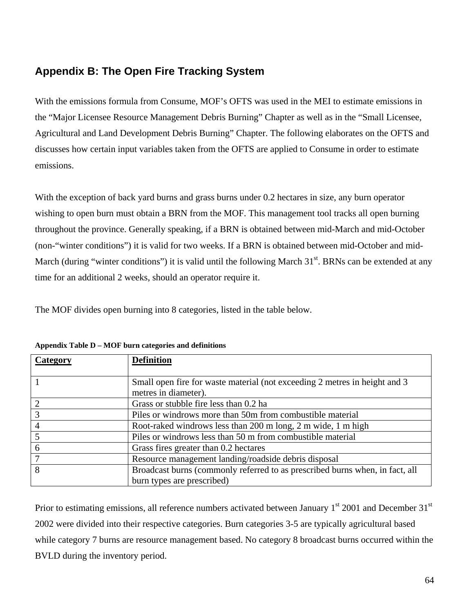# **Appendix B: The Open Fire Tracking System**

With the emissions formula from Consume, MOF's OFTS was used in the MEI to estimate emissions in the "Major Licensee Resource Management Debris Burning" Chapter as well as in the "Small Licensee, Agricultural and Land Development Debris Burning" Chapter. The following elaborates on the OFTS and discusses how certain input variables taken from the OFTS are applied to Consume in order to estimate emissions.

With the exception of back yard burns and grass burns under 0.2 hectares in size, any burn operator wishing to open burn must obtain a BRN from the MOF. This management tool tracks all open burning throughout the province. Generally speaking, if a BRN is obtained between mid-March and mid-October (non-"winter conditions") it is valid for two weeks. If a BRN is obtained between mid-October and mid-March (during "winter conditions") it is valid until the following March  $31<sup>st</sup>$ . BRNs can be extended at any time for an additional 2 weeks, should an operator require it.

The MOF divides open burning into 8 categories, listed in the table below.

| Category | <b>Definition</b>                                                            |
|----------|------------------------------------------------------------------------------|
|          |                                                                              |
|          | Small open fire for waste material (not exceeding 2 metres in height and 3   |
|          | metres in diameter).                                                         |
| 2        | Grass or stubble fire less than 0.2 ha                                       |
| 3        | Piles or windrows more than 50m from combustible material                    |
|          | Root-raked windrows less than 200 m long, 2 m wide, 1 m high                 |
|          | Piles or windrows less than 50 m from combustible material                   |
| 6        | Grass fires greater than 0.2 hectares                                        |
| 7        | Resource management landing/roadside debris disposal                         |
| 8        | Broadcast burns (commonly referred to as prescribed burns when, in fact, all |
|          | burn types are prescribed)                                                   |

**Appendix Table D – MOF burn categories and definitions**

Prior to estimating emissions, all reference numbers activated between January  $1<sup>st</sup>$  2001 and December  $31<sup>st</sup>$ 2002 were divided into their respective categories. Burn categories 3-5 are typically agricultural based while category 7 burns are resource management based. No category 8 broadcast burns occurred within the BVLD during the inventory period.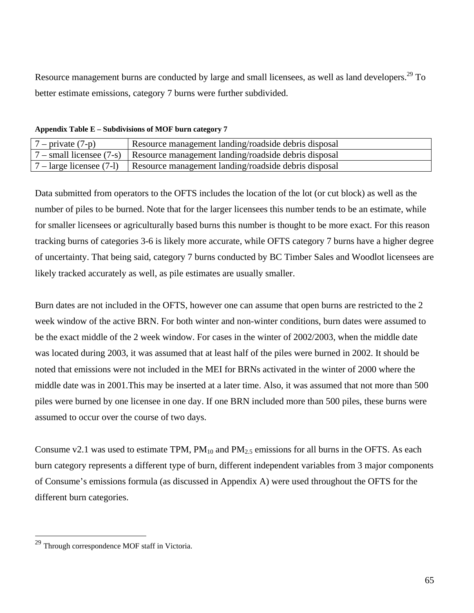Resource management burns are conducted by large and small licensees, as well as land developers.<sup>29</sup> To better estimate emissions, category 7 burns were further subdivided.

**Appendix Table E – Subdivisions of MOF burn category 7**

| $7$ – private $(7-p)$ | Resource management landing/roadside debris disposal                                   |
|-----------------------|----------------------------------------------------------------------------------------|
|                       | $7$ – small licensee (7-s) Resource management landing/roadside debris disposal        |
|                       | $7 - \text{large}$ licensee (7-1) Resource management landing/roadside debris disposal |

Data submitted from operators to the OFTS includes the location of the lot (or cut block) as well as the number of piles to be burned. Note that for the larger licensees this number tends to be an estimate, while for smaller licensees or agriculturally based burns this number is thought to be more exact. For this reason tracking burns of categories 3-6 is likely more accurate, while OFTS category 7 burns have a higher degree of uncertainty. That being said, category 7 burns conducted by BC Timber Sales and Woodlot licensees are likely tracked accurately as well, as pile estimates are usually smaller.

Burn dates are not included in the OFTS, however one can assume that open burns are restricted to the 2 week window of the active BRN. For both winter and non-winter conditions, burn dates were assumed to be the exact middle of the 2 week window. For cases in the winter of 2002/2003, when the middle date was located during 2003, it was assumed that at least half of the piles were burned in 2002. It should be noted that emissions were not included in the MEI for BRNs activated in the winter of 2000 where the middle date was in 2001.This may be inserted at a later time. Also, it was assumed that not more than 500 piles were burned by one licensee in one day. If one BRN included more than 500 piles, these burns were assumed to occur over the course of two days.

Consume v2.1 was used to estimate TPM,  $PM_{10}$  and  $PM_{2.5}$  emissions for all burns in the OFTS. As each burn category represents a different type of burn, different independent variables from 3 major components of Consume's emissions formula (as discussed in Appendix A) were used throughout the OFTS for the different burn categories.

1

 $29$  Through correspondence MOF staff in Victoria.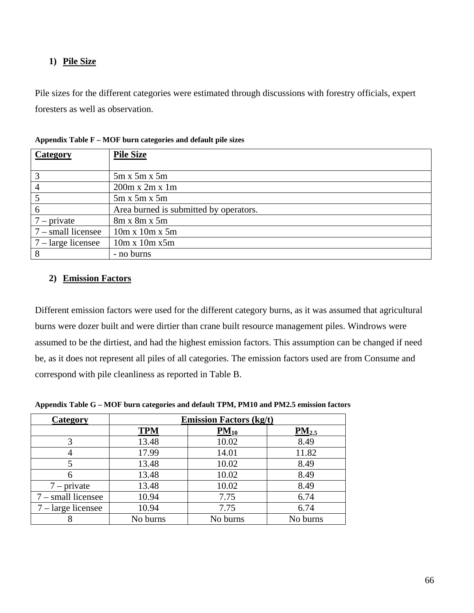## **1) Pile Size**

Pile sizes for the different categories were estimated through discussions with forestry officials, expert foresters as well as observation.

| Category                    | <b>Pile Size</b>                       |
|-----------------------------|----------------------------------------|
|                             |                                        |
| 3                           | $5m \times 5m \times 5m$               |
| 4                           | $200m \times 2m \times 1m$             |
|                             | $5m \times 5m \times 5m$               |
| 6                           | Area burned is submitted by operators. |
| $7$ – private               | $8m \times 8m \times 5m$               |
| $7$ – small licensee        | $10m \times 10m \times 5m$             |
| $7 - \text{large}$ licensee | $10m \times 10m \times 5m$             |
| 8                           | - no burns                             |

**Appendix Table F – MOF burn categories and default pile sizes**

### **2) Emission Factors**

Different emission factors were used for the different category burns, as it was assumed that agricultural burns were dozer built and were dirtier than crane built resource management piles. Windrows were assumed to be the dirtiest, and had the highest emission factors. This assumption can be changed if need be, as it does not represent all piles of all categories. The emission factors used are from Consume and correspond with pile cleanliness as reported in Table B.

| Category             |            | <b>Emission Factors (kg/t)</b> |            |
|----------------------|------------|--------------------------------|------------|
|                      | <b>TPM</b> | $PM_{10}$                      | $PM_{2.5}$ |
| 3                    | 13.48      | 10.02                          | 8.49       |
|                      | 17.99      | 14.01                          | 11.82      |
|                      | 13.48      | 10.02                          | 8.49       |
|                      | 13.48      | 10.02                          | 8.49       |
| $7$ – private        | 13.48      | 10.02                          | 8.49       |
| $7$ – small licensee | 10.94      | 7.75                           | 6.74       |
| 7 – large licensee   | 10.94      | 7.75                           | 6.74       |
|                      | No burns   | No burns                       | No burns   |

**Appendix Table G – MOF burn categories and default TPM, PM10 and PM2.5 emission factors**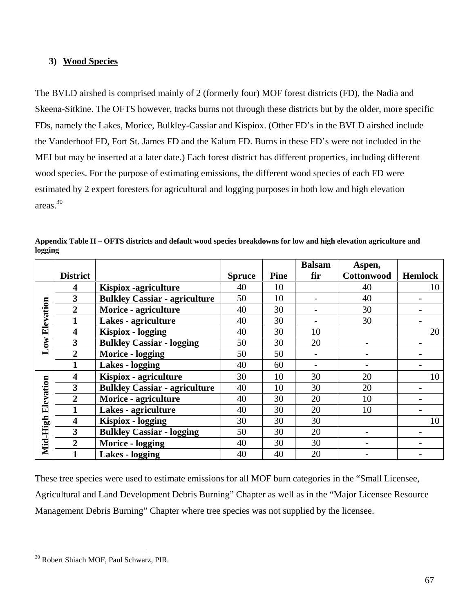### **3) Wood Species**

The BVLD airshed is comprised mainly of 2 (formerly four) MOF forest districts (FD), the Nadia and Skeena-Sitkine. The OFTS however, tracks burns not through these districts but by the older, more specific FDs, namely the Lakes, Morice, Bulkley-Cassiar and Kispiox. (Other FD's in the BVLD airshed include the Vanderhoof FD, Fort St. James FD and the Kalum FD. Burns in these FD's were not included in the MEI but may be inserted at a later date.) Each forest district has different properties, including different wood species. For the purpose of estimating emissions, the different wood species of each FD were estimated by 2 expert foresters for agricultural and logging purposes in both low and high elevation areas.30

|           |                 |                                      |               |             | <b>Balsam</b> | Aspen,     |                |
|-----------|-----------------|--------------------------------------|---------------|-------------|---------------|------------|----------------|
|           | <b>District</b> |                                      | <b>Spruce</b> | <b>Pine</b> | fir           | Cottonwood | <b>Hemlock</b> |
|           | 4               | <b>Kispiox</b> -agriculture          | 40            | 10          |               | 40         | 10             |
|           | 3               | <b>Bulkley Cassiar - agriculture</b> | 50            | 10          |               | 40         |                |
|           | $\overline{2}$  | Morice - agriculture                 | 40            | 30          |               | 30         |                |
| Elevation |                 | Lakes - agriculture                  | 40            | 30          |               | 30         |                |
|           | 4               | <b>Kispiox</b> - logging             | 40            | 30          | 10            |            | 20             |
| Low       | 3               | <b>Bulkley Cassiar - logging</b>     | 50            | 30          | 20            |            |                |
|           | $\overline{2}$  | Morice - logging                     | 50            | 50          |               |            |                |
|           |                 | <b>Lakes - logging</b>               | 40            | 60          |               |            |                |
|           | 4               | Kispiox - agriculture                | 30            | 10          | 30            | 20         | 10             |
| Elevation | 3               | <b>Bulkley Cassiar - agriculture</b> | 40            | 10          | 30            | 20         |                |
|           | $\overline{2}$  | Morice - agriculture                 | 40            | 30          | 20            | 10         |                |
|           |                 | Lakes - agriculture                  | 40            | 30          | 20            | 10         |                |
|           | 4               | <b>Kispiox</b> - logging             | 30            | 30          | 30            |            | 10             |
|           | 3               | <b>Bulkley Cassiar - logging</b>     | 50            | 30          | 20            |            |                |
| Mid-High  | $\overline{2}$  | Morice - logging                     | 40            | 30          | 30            |            |                |
|           |                 | <b>Lakes - logging</b>               | 40            | 40          | 20            |            |                |

**Appendix Table H – OFTS districts and default wood species breakdowns for low and high elevation agriculture and logging** 

These tree species were used to estimate emissions for all MOF burn categories in the "Small Licensee, Agricultural and Land Development Debris Burning" Chapter as well as in the "Major Licensee Resource Management Debris Burning" Chapter where tree species was not supplied by the licensee.

1

<sup>30</sup> Robert Shiach MOF, Paul Schwarz, PIR.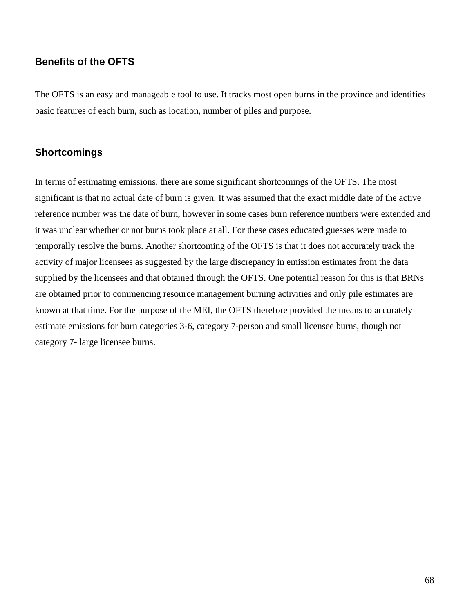## **Benefits of the OFTS**

The OFTS is an easy and manageable tool to use. It tracks most open burns in the province and identifies basic features of each burn, such as location, number of piles and purpose.

## **Shortcomings**

In terms of estimating emissions, there are some significant shortcomings of the OFTS. The most significant is that no actual date of burn is given. It was assumed that the exact middle date of the active reference number was the date of burn, however in some cases burn reference numbers were extended and it was unclear whether or not burns took place at all. For these cases educated guesses were made to temporally resolve the burns. Another shortcoming of the OFTS is that it does not accurately track the activity of major licensees as suggested by the large discrepancy in emission estimates from the data supplied by the licensees and that obtained through the OFTS. One potential reason for this is that BRNs are obtained prior to commencing resource management burning activities and only pile estimates are known at that time. For the purpose of the MEI, the OFTS therefore provided the means to accurately estimate emissions for burn categories 3-6, category 7-person and small licensee burns, though not category 7- large licensee burns.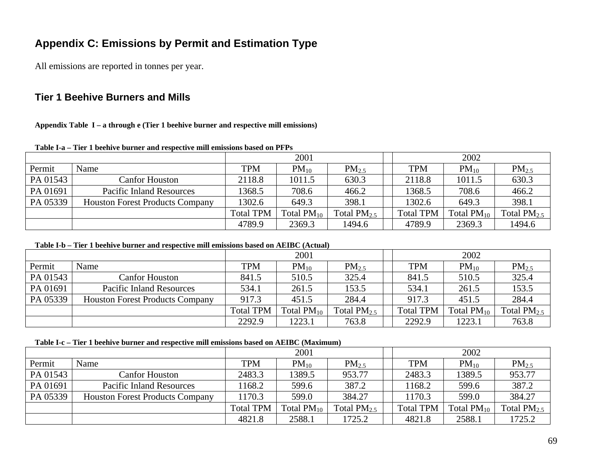# **Appendix C: Emissions by Permit and Estimation Type**

All emissions are reported in tonnes per year.

## **Tier 1 Beehive Burners and Mills**

**Appendix Table I – a through e (Tier 1 beehive burner and respective mill emissions)** 

|          |                                        | 2001             |                 |                   |  | 2002             |                 |                  |
|----------|----------------------------------------|------------------|-----------------|-------------------|--|------------------|-----------------|------------------|
| Permit   | Name                                   | <b>TPM</b>       | $PM_{10}$       | PM <sub>2.5</sub> |  | <b>TPM</b>       | $PM_{10}$       | $PM_{2.5}$       |
| PA 01543 | Canfor Houston                         | 2118.8           | 1011.5          | 630.3             |  | 2118.8           | 1011.5          | 630.3            |
| PA 01691 | <b>Pacific Inland Resources</b>        | 1368.5           | 708.6           | 466.2             |  | 1368.5           | 708.6           | 466.2            |
| PA 05339 | <b>Houston Forest Products Company</b> | 1302.6           | 649.3           | 398.1             |  | 1302.6           | 649.3           | 398.1            |
|          |                                        | <b>Total TPM</b> | Total $PM_{10}$ | Total $PM_{2.5}$  |  | <b>Total TPM</b> | Total $PM_{10}$ | Total $PM_{2.5}$ |
|          |                                        | 4789.9           | 2369.3          | 1494.6            |  | 4789.9           | 2369.3          | 1494.6           |

#### **Table I-a – Tier 1 beehive burner and respective mill emissions based on PFPs**

#### **Table I-b – Tier 1 beehive burner and respective mill emissions based on AEIBC (Actual)**

|          |                                        | 2001             |                 |                   | 2002             |                 |                  |  |
|----------|----------------------------------------|------------------|-----------------|-------------------|------------------|-----------------|------------------|--|
| Permit   | Name                                   | TPM              | $PM_{10}$       | PM <sub>2.5</sub> | <b>TPM</b>       | $PM_{10}$       | $PM_{2.5}$       |  |
| PA 01543 | Canfor Houston                         | 841.5            | 510.5           | 325.4             | 841.5            | 510.5           | 325.4            |  |
| PA 01691 | <b>Pacific Inland Resources</b>        | 534.1            | 261.5           | 153.5             | 534.1            | 261.5           | 153.5            |  |
| PA 05339 | <b>Houston Forest Products Company</b> | 917.3            | 451.5           | 284.4             | 917.3            | 451.5           | 284.4            |  |
|          |                                        | <b>Total TPM</b> | Total $PM_{10}$ | Total $PM_{2.5}$  | <b>Total TPM</b> | Total $PM_{10}$ | Total $PM_{2.5}$ |  |
|          |                                        | 2292.9           | 1223.1          | 763.8             | 2292.9           | 1223.1          | 763.8            |  |

### **Table I-c – Tier 1 beehive burner and respective mill emissions based on AEIBC (Maximum)**

|          |                                        | 2001             |                 |                  |  | 2002             |                 |                  |
|----------|----------------------------------------|------------------|-----------------|------------------|--|------------------|-----------------|------------------|
| Permit   | Name                                   | <b>TPM</b>       | $PM_{10}$       | $PM_{2.5}$       |  | <b>TPM</b>       | $PM_{10}$       | $PM_{2.5}$       |
| PA 01543 | <b>Canfor Houston</b>                  | 2483.3           | 1389.5          | 953.77           |  | 2483.3           | 1389.5          | 953.77           |
| PA 01691 | <b>Pacific Inland Resources</b>        | 168.2            | 599.6           | 387.2            |  | 168.2            | 599.6           | 387.2            |
| PA 05339 | <b>Houston Forest Products Company</b> | 170.3            | 599.0           | 384.27           |  | 1170.3           | 599.0           | 384.27           |
|          |                                        | <b>Total TPM</b> | Total $PM_{10}$ | Total $PM_{2.5}$ |  | <b>Total TPM</b> | Total $PM_{10}$ | Total $PM_{2.5}$ |
|          |                                        | 4821.8           | 2588.1          | 1725.2           |  | 4821.8           | 2588.1          | 1725.2           |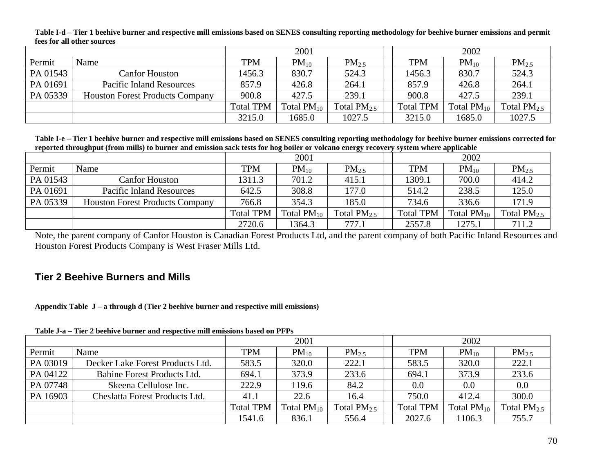|          | TOOD TOT WAS OVERED DOME OOD           |                  |                 |                  |                  |                 |                  |
|----------|----------------------------------------|------------------|-----------------|------------------|------------------|-----------------|------------------|
|          |                                        |                  | 2001            |                  |                  | 2002            |                  |
| Permit   | Name                                   | <b>TPM</b>       | $PM_{10}$       | $PM_{2.5}$       | <b>TPM</b>       | $PM_{10}$       | $PM_{2.5}$       |
| PA 01543 | Canfor Houston                         | 1456.3           | 830.7           | 524.3            | 1456.3           | 830.7           | 524.3            |
| PA 01691 | <b>Pacific Inland Resources</b>        | 857.9            | 426.8           | 264.1            | 857.9            | 426.8           | 264.1            |
| PA 05339 | <b>Houston Forest Products Company</b> | 900.8            | 427.5           | 239.1            | 900.8            | 427.5           | 239.1            |
|          |                                        | <b>Total TPM</b> | Total $PM_{10}$ | Total $PM_{2.5}$ | <b>Total TPM</b> | Total $PM_{10}$ | Total $PM_{2.5}$ |
|          |                                        | 3215.0           | 1685.0          | 1027.5           | 3215.0           | 1685.0          | 1027.5           |

**Table I-d – Tier 1 beehive burner and respective mill emissions based on SENES consulting reporting methodology for beehive burner emissions and permit fees for all other sources**

**Table I-e – Tier 1 beehive burner and respective mill emissions based on SENES consulting reporting methodology for beehive burner emissions corrected for reported throughput (from mills) to burner and emission sack tests for hog boiler or volcano energy recovery system where applicable**

|          |                                        | 2001             |                 |                  |  | 2002             |                 |                  |
|----------|----------------------------------------|------------------|-----------------|------------------|--|------------------|-----------------|------------------|
| Permit   | Name                                   | <b>TPM</b>       | $PM_{10}$       | $PM_{2.5}$       |  | <b>TPM</b>       | $PM_{10}$       | $PM_{2.5}$       |
| PA 01543 | Canfor Houston                         | 1311.3           | 701.2           | 415.1            |  | 1309.1           | 700.0           | 414.2            |
| PA 01691 | <b>Pacific Inland Resources</b>        | 642.5            | 308.8           | 177.0            |  | 514.2            | 238.5           | 125.0            |
| PA 05339 | <b>Houston Forest Products Company</b> | 766.8            | 354.3           | 185.0            |  | 734.6            | 336.6           | 171.9            |
|          |                                        | <b>Total TPM</b> | Total $PM_{10}$ | Total $PM_{2.5}$ |  | <b>Total TPM</b> | Total $PM_{10}$ | Total $PM_{2.5}$ |
|          |                                        | 2720.6           | 1364.3          | 777.1            |  | 2557.8           | 1275.1          | 711.2            |

Note, the parent company of Canfor Houston is Canadian Forest Products Ltd, and the parent company of both Pacific Inland Resources and Houston Forest Products Company is West Fraser Mills Ltd.

## **Tier 2 Beehive Burners and Mills**

**Appendix Table J – a through d (Tier 2 beehive burner and respective mill emissions)** 

| Table J-a – Tier 2 beehive burner and respective mill emissions based on PFPs |                                  |
|-------------------------------------------------------------------------------|----------------------------------|
|                                                                               | $\mathbf{A}\mathbf{A}\mathbf{A}$ |

|          |                                  | 2001             |                 |                   |  | 2002             |                 |                   |  |
|----------|----------------------------------|------------------|-----------------|-------------------|--|------------------|-----------------|-------------------|--|
| Permit   | Name                             | <b>TPM</b>       | $PM_{10}$       | PM <sub>2.5</sub> |  | <b>TPM</b>       | $PM_{10}$       | PM <sub>2.5</sub> |  |
| PA 03019 | Decker Lake Forest Products Ltd. | 583.5            | 320.0           | 222.1             |  | 583.5            | 320.0           | 222.1             |  |
| PA 04122 | Babine Forest Products Ltd.      | 694.1            | 373.9           | 233.6             |  | 694.1            | 373.9           | 233.6             |  |
| PA 07748 | Skeena Cellulose Inc.            | 222.9            | 119.6           | 84.2              |  | 0.0              | 0.0             | 0.0               |  |
| PA 16903 | Cheslatta Forest Products Ltd.   | 41.1             | 22.6            | 16.4              |  | 750.0            | 412.4           | 300.0             |  |
|          |                                  | <b>Total TPM</b> | Total $PM_{10}$ | Total $PM_{2.5}$  |  | <b>Total TPM</b> | Total $PM_{10}$ | Total $PM_{2.5}$  |  |
|          |                                  | 1541.6           | 836.1           | 556.4             |  | 2027.6           | 1106.3          | 755.7             |  |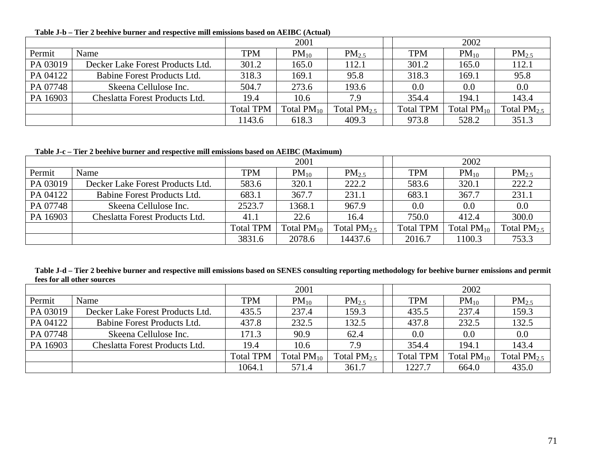| Table J-b – Tier 2 beehive burner and respective mill emissions based on AEIBC (Actual) |  |
|-----------------------------------------------------------------------------------------|--|
|                                                                                         |  |

|          |                                  |                  | 2001            |                  |                  | 2002            |                  |
|----------|----------------------------------|------------------|-----------------|------------------|------------------|-----------------|------------------|
| Permit   | Name                             | <b>TPM</b>       | $PM_{10}$       | $PM_{2.5}$       | <b>TPM</b>       | $PM_{10}$       | $PM_{2.5}$       |
| PA 03019 | Decker Lake Forest Products Ltd. | 301.2            | 165.0           | 112.1            | 301.2            | 165.0           | 112.1            |
| PA 04122 | Babine Forest Products Ltd.      | 318.3            | 169.1           | 95.8             | 318.3            | 169.1           | 95.8             |
| PA 07748 | Skeena Cellulose Inc.            | 504.7            | 273.6           | 193.6            | $0.0\,$          | 0.0             | 0.0              |
| PA 16903 | Cheslatta Forest Products Ltd.   | 19.4             | 10.6            | 7.9              | 354.4            | 194.1           | 143.4            |
|          |                                  | <b>Total TPM</b> | Total $PM_{10}$ | Total $PM_{2.5}$ | <b>Total TPM</b> | Total $PM_{10}$ | Total $PM_{2.5}$ |
|          |                                  | 1143.6           | 618.3           | 409.3            | 973.8            | 528.2           | 351.3            |

**Table J-c – Tier 2 beehive burner and respective mill emissions based on AEIBC (Maximum)**

|          |                                  |                  | 2001            |                   |                  | 2002            |                  |
|----------|----------------------------------|------------------|-----------------|-------------------|------------------|-----------------|------------------|
| Permit   | Name                             | <b>TPM</b>       | $PM_{10}$       | PM <sub>2.5</sub> | <b>TPM</b>       | $PM_{10}$       | $PM_{2.5}$       |
| PA 03019 | Decker Lake Forest Products Ltd. | 583.6            | 320.1           | 222.2             | 583.6            | 320.1           | 222.2            |
| PA 04122 | Babine Forest Products Ltd.      | 683.1            | 367.7           | 231.1             | 683.1            | 367.7           | 231.1            |
| PA 07748 | Skeena Cellulose Inc.            | 2523.7           | 1368.1          | 967.9             | 0.0              | $0.0\,$         | 0.0              |
| PA 16903 | Cheslatta Forest Products Ltd.   | 41.1             | 22.6            | 16.4              | 750.0            | 412.4           | 300.0            |
|          |                                  | <b>Total TPM</b> | Total $PM_{10}$ | Total $PM_{2.5}$  | <b>Total TPM</b> | Total $PM_{10}$ | Total $PM_{2.5}$ |
|          |                                  | 3831.6           | 2078.6          | 14437.6           | 2016.7           | 1100.3          | 753.3            |

**Table J-d – Tier 2 beehive burner and respective mill emissions based on SENES consulting reporting methodology for beehive burner emissions and permit fees for all other sources**

|          |                                  |                  | 2001            |                   |                  | 2002            |                  |
|----------|----------------------------------|------------------|-----------------|-------------------|------------------|-----------------|------------------|
| Permit   | Name                             | <b>TPM</b>       | $PM_{10}$       | PM <sub>2.5</sub> | <b>TPM</b>       | $PM_{10}$       | $PM_{2.5}$       |
| PA 03019 | Decker Lake Forest Products Ltd. | 435.5            | 237.4           | 159.3             | 435.5            | 237.4           | 159.3            |
| PA 04122 | Babine Forest Products Ltd.      | 437.8            | 232.5           | 132.5             | 437.8            | 232.5           | 132.5            |
| PA 07748 | Skeena Cellulose Inc.            | 171.3            | 90.9            | 62.4              | $0.0\,$          | 0.0             | 0.0              |
| PA 16903 | Cheslatta Forest Products Ltd.   | 19.4             | 10.6            | 7.9               | 354.4            | 194.1           | 143.4            |
|          |                                  | <b>Total TPM</b> | Total $PM_{10}$ | Total $PM_{2.5}$  | <b>Total TPM</b> | Total $PM_{10}$ | Total $PM_{2.5}$ |
|          |                                  | 1064.1           | 571.4           | 361.7             | 1227.7           | 664.0           | 435.0            |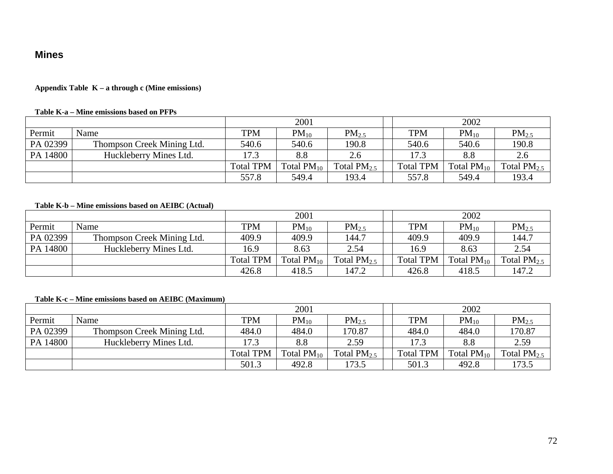### **Mines**

### **Appendix Table K – a through c (Mine emissions)**

#### **Table K-a – Mine emissions based on PFPs**

|          |                            |                  | 2001            |                   |                  | 2002            |                  |
|----------|----------------------------|------------------|-----------------|-------------------|------------------|-----------------|------------------|
| Permit   | Name                       | TPM              | $PM_{10}$       | PM <sub>2.5</sub> | <b>TPM</b>       | $PM_{10}$       | $PM_{2.5}$       |
| PA 02399 | Thompson Creek Mining Ltd. | 540.6            | 540.6           | 190.8             | 540.6            | 540.6           | 190.8            |
| PA 14800 | Huckleberry Mines Ltd.     | 17.3             | 8.8             | 2.6               | 17.3             | 8.8             | 2.6              |
|          |                            | <b>Total TPM</b> | Total $PM_{10}$ | Total $PM_{2.5}$  | <b>Total TPM</b> | Total $PM_{10}$ | Total $PM_{2.5}$ |
|          |                            | 557.8            | 549.4           | 193.4             | 557.8            | 549.4           | 193.4            |

### **Table K-b – Mine emissions based on AEIBC (Actual)**

|          |                            |                  | 2001            |                  |                  | 2002            |                   |
|----------|----------------------------|------------------|-----------------|------------------|------------------|-----------------|-------------------|
| Permit   | Name                       | <b>TPM</b>       | $PM_{10}$       | $PM_{2.5}$       | <b>TPM</b>       | $PM_{10}$       | PM <sub>2.5</sub> |
| PA 02399 | Thompson Creek Mining Ltd. | 409.9            | 409.9           | 144.7            | 409.9            | 409.9           | 144.7             |
| PA 14800 | Huckleberry Mines Ltd.     | 16.9             | 8.63            | 2.54             | 16.9             | 8.63            | 2.54              |
|          |                            | <b>Total TPM</b> | Total $PM_{10}$ | Total $PM_{2.5}$ | <b>Total TPM</b> | Total $PM_{10}$ | Total $PM_{2.5}$  |
|          |                            | 426.8            | 418.5           | 147.2            | 426.8            | 418.5           | 147.2             |

### **Table K-c – Mine emissions based on AEIBC (Maximum)**

|          |                            |                  | 2001            |                  |                  | 2002            |                   |
|----------|----------------------------|------------------|-----------------|------------------|------------------|-----------------|-------------------|
| Permit   | Name                       | <b>TPM</b>       | $PM_{10}$       | $PM_{2.5}$       | <b>TPM</b>       | $PM_{10}$       | PM <sub>2.5</sub> |
| PA 02399 | Thompson Creek Mining Ltd. | 484.0            | 484.0           | 170.87           | 484.0            | 484.0           | 170.87            |
| PA 14800 | Huckleberry Mines Ltd.     | 17.3             | 8.8             | 2.59             | 17.3             | 8.8             | 2.59              |
|          |                            | <b>Total TPM</b> | Total $PM_{10}$ | Total $PM_{2.5}$ | <b>Total TPM</b> | Total $PM_{10}$ | Total $PM_{2.5}$  |
|          |                            | 501.3            | 492.8           | 173.5            | 501.3            | 492.8           | 173.5             |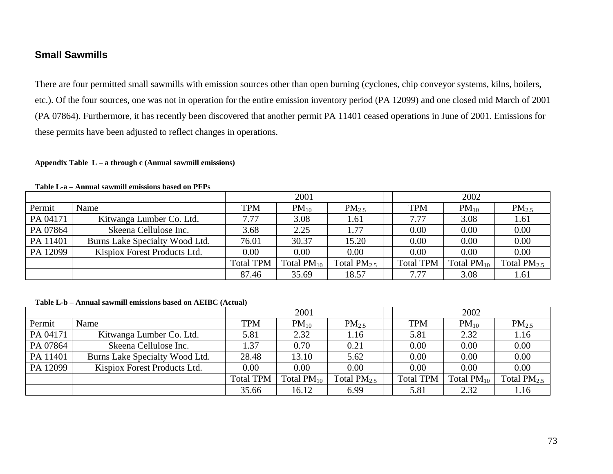## **Small Sawmills**

There are four permitted small sawmills with emission sources other than open burning (cyclones, chip conveyor systems, kilns, boilers, etc.). Of the four sources, one was not in operation for the entire emission inventory period (PA 12099) and one closed mid March of 2001 (PA 07864). Furthermore, it has recently been discovered that another permit PA 11401 ceased operations in June of 2001. Emissions for these permits have been adjusted to reflect changes in operations.

#### **Appendix Table L – a through c (Annual sawmill emissions)**

|          | $\mathbf{1}$ and the contraction of $\mathbf{1}$ . The contraction of $\mathbf{1}$ and $\mathbf{1}$ and $\mathbf{1}$ |                  |                 |                  |  |                  |                 |                  |
|----------|----------------------------------------------------------------------------------------------------------------------|------------------|-----------------|------------------|--|------------------|-----------------|------------------|
|          |                                                                                                                      |                  | 2001            |                  |  |                  | 2002            |                  |
| Permit   | Name                                                                                                                 | <b>TPM</b>       | $PM_{10}$       | $PM_{2.5}$       |  | <b>TPM</b>       | $PM_{10}$       | $PM_{2.5}$       |
| PA 04171 | Kitwanga Lumber Co. Ltd.                                                                                             | 7.77             | 3.08            | 1.61             |  | 7.77             | 3.08            | 1.61             |
| PA 07864 | Skeena Cellulose Inc.                                                                                                | 3.68             | 2.25            | 1.77             |  | 0.00             | 0.00            | 0.00             |
| PA 11401 | Burns Lake Specialty Wood Ltd.                                                                                       | 76.01            | 30.37           | 15.20            |  | 0.00             | 0.00            | 0.00             |
| PA 12099 | Kispiox Forest Products Ltd.                                                                                         | 0.00             | 0.00            | 0.00             |  | 0.00             | 0.00            | 0.00             |
|          |                                                                                                                      | <b>Total TPM</b> | Total $PM_{10}$ | Total $PM_{2.5}$ |  | <b>Total TPM</b> | Total $PM_{10}$ | Total $PM_{2.5}$ |
|          |                                                                                                                      | 87.46            | 35.69           | 18.57            |  | 7.77             | 3.08            | 1.61             |

#### **Table L-a – Annual sawmill emissions based on PFPs**

### **Table L-b – Annual sawmill emissions based on AEIBC (Actual)**

|          |                                |                  | 2001            |                  |                  | 2002            |                  |
|----------|--------------------------------|------------------|-----------------|------------------|------------------|-----------------|------------------|
| Permit   | Name                           | <b>TPM</b>       | $PM_{10}$       | $PM_{2.5}$       | <b>TPM</b>       | $PM_{10}$       | $PM_{2.5}$       |
| PA 04171 | Kitwanga Lumber Co. Ltd.       | 5.81             | 2.32            | 1.16             | 5.81             | 2.32            | 1.16             |
| PA 07864 | Skeena Cellulose Inc.          | 1.37             | 0.70            | 0.21             | 0.00             | 0.00            | 0.00             |
| PA 11401 | Burns Lake Specialty Wood Ltd. | 28.48            | 13.10           | 5.62             | 0.00             | 0.00            | 0.00             |
| PA 12099 | Kispiox Forest Products Ltd.   | 0.00             | 0.00            | 0.00             | 0.00             | 0.00            | 0.00             |
|          |                                | <b>Total TPM</b> | Total $PM_{10}$ | Total $PM_{2.5}$ | <b>Total TPM</b> | $Total PM_{10}$ | Total $PM_{2.5}$ |
|          |                                | 35.66            | 16.12           | 6.99             | 5.81             | 2.32            | 1.16             |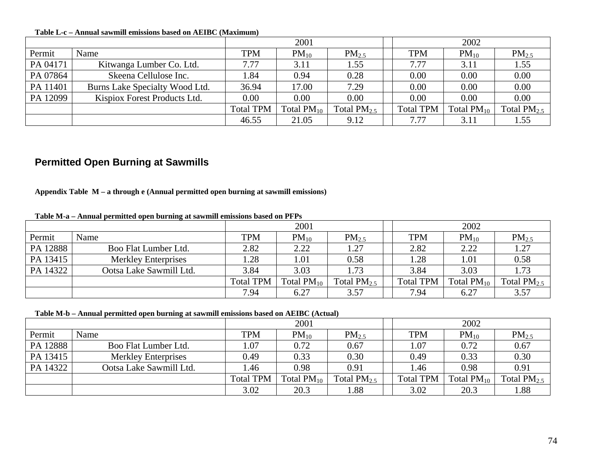**Table L-c – Annual sawmill emissions based on AEIBC (Maximum)** 

|          |                                |                  | 2001            |                  |                  | 2002            |                   |
|----------|--------------------------------|------------------|-----------------|------------------|------------------|-----------------|-------------------|
| Permit   | Name                           | <b>TPM</b>       | $PM_{10}$       | $PM_{2.5}$       | <b>TPM</b>       | $PM_{10}$       | PM <sub>2.5</sub> |
| PA 04171 | Kitwanga Lumber Co. Ltd.       | 7.77             | 3.11            | 1.55             | 7.77             | 3.11            | 1.55              |
| PA 07864 | Skeena Cellulose Inc.          | l.84             | 0.94            | 0.28             | 0.00             | 0.00            | 0.00              |
| PA 11401 | Burns Lake Specialty Wood Ltd. | 36.94            | 17.00           | 7.29             | 0.00             | 0.00            | 0.00              |
| PA 12099 | Kispiox Forest Products Ltd.   | 0.00             | 0.00            | 0.00             | 0.00             | 0.00            | 0.00              |
|          |                                | <b>Total TPM</b> | Total $PM_{10}$ | Total $PM_{2.5}$ | <b>Total TPM</b> | Total $PM_{10}$ | Total $PM_{2.5}$  |
|          |                                | 46.55            | 21.05           | 9.12             | 7.77             | 3.11            | 1.55              |

## **Permitted Open Burning at Sawmills**

**Appendix Table M – a through e (Annual permitted open burning at sawmill emissions)**

|          | $\bullet$                  |                  | 2001            |                  |                  | 2002            |                   |
|----------|----------------------------|------------------|-----------------|------------------|------------------|-----------------|-------------------|
| Permit   | Name                       | <b>TPM</b>       | $PM_{10}$       | $PM_{2.5}$       | <b>TPM</b>       | $PM_{10}$       | PM <sub>2.5</sub> |
| PA 12888 | Boo Flat Lumber Ltd.       | 2.82             | 2.22            | 1.27             | 2.82             | 2.22            | 1.27              |
| PA 13415 | <b>Merkley Enterprises</b> | .28              | .01             | 0.58             | l.28             | 1.01            | 0.58              |
| PA 14322 | Ootsa Lake Sawmill Ltd.    | 3.84             | 3.03            | 1.73             | 3.84             | 3.03            | 1.73              |
|          |                            | <b>Total TPM</b> | Total $PM_{10}$ | Total $PM_{2.5}$ | <b>Total TPM</b> | Total $PM_{10}$ | Total $PM_{2.5}$  |
|          |                            | 7.94             | 6.27            | 3.57             | 7.94             | 6.27            | 3.57              |

**Table M-a – Annual permitted open burning at sawmill emissions based on PFPs**

**Table M-b – Annual permitted open burning at sawmill emissions based on AEIBC (Actual)**

|          |                            |                  | 2001            |                   |                  | 2002            |                  |
|----------|----------------------------|------------------|-----------------|-------------------|------------------|-----------------|------------------|
| Permit   | Name                       | TPM              | $PM_{10}$       | PM <sub>2.5</sub> | <b>TPM</b>       | $PM_{10}$       | $PM_{2.5}$       |
| PA 12888 | Boo Flat Lumber Ltd.       | .07              | 0.72            | 0.67              | 1.07             | 0.72            | 0.67             |
| PA 13415 | <b>Merkley Enterprises</b> | 0.49             | 0.33            | 0.30              | 0.49             | 0.33            | 0.30             |
| PA 14322 | Ootsa Lake Sawmill Ltd.    | l.46             | 0.98            | 0.91              | l.46             | 0.98            | 0.91             |
|          |                            | <b>Total TPM</b> | Total $PM_{10}$ | Total $PM_{2.5}$  | <b>Total TPM</b> | Total $PM_{10}$ | Total $PM_{2.5}$ |
|          |                            | 3.02             | 20.3            | . 88              | 3.02             | 20.3            | 1.88             |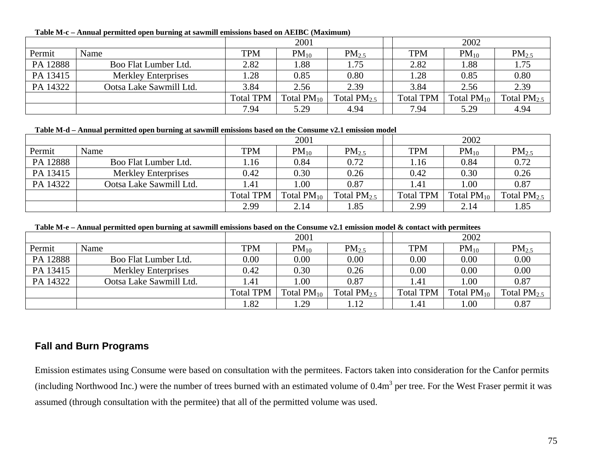**Table M-c – Annual permitted open burning at sawmill emissions based on AEIBC (Maximum)**

|          | $\sim$                     | 2001             |                 |                  |  | 2002             |                 |                   |  |
|----------|----------------------------|------------------|-----------------|------------------|--|------------------|-----------------|-------------------|--|
| Permit   | Name                       | <b>TPM</b>       | $PM_{10}$       | $PM_{2.5}$       |  | <b>TPM</b>       | $PM_{10}$       | PM <sub>2.5</sub> |  |
| PA 12888 | Boo Flat Lumber Ltd.       | 2.82             | .88             | 1.75             |  | 2.82             | l.88            | 1.75              |  |
| PA 13415 | <b>Merkley Enterprises</b> | 1.28             | 0.85            | 0.80             |  | 1.28             | 0.85            | 0.80              |  |
| PA 14322 | Ootsa Lake Sawmill Ltd.    | 3.84             | 2.56            | 2.39             |  | 3.84             | 2.56            | 2.39              |  |
|          |                            | <b>Total TPM</b> | Total $PM_{10}$ | Total $PM_{2.5}$ |  | <b>Total TPM</b> | Total $PM_{10}$ | Total $PM_{2.5}$  |  |
|          |                            | 7.94             | 5.29            | 4.94             |  | 7.94             | 5.29            | 4.94              |  |

### **Table M-d – Annual permitted open burning at sawmill emissions based on the Consume v2.1 emission model**

|          |                            | 2001             |                 |                   |  | 2002             |                 |                  |  |
|----------|----------------------------|------------------|-----------------|-------------------|--|------------------|-----------------|------------------|--|
| Permit   | Name                       | <b>TPM</b>       | $PM_{10}$       | PM <sub>2.5</sub> |  | <b>TPM</b>       | $PM_{10}$       | $PM_{2.5}$       |  |
| PA 12888 | Boo Flat Lumber Ltd.       | l.16             | 0.84            | 0.72              |  | 1.16             | 0.84            | 0.72             |  |
| PA 13415 | <b>Merkley Enterprises</b> | 0.42             | 0.30            | 0.26              |  | 0.42             | 0.30            | 0.26             |  |
| PA 14322 | Ootsa Lake Sawmill Ltd.    | .41              | 00.1            | 0.87              |  | 1.41             | 1.00            | 0.87             |  |
|          |                            | <b>Total TPM</b> | Total $PM_{10}$ | Total $PM_{2.5}$  |  | <b>Total TPM</b> | Total $PM_{10}$ | Total $PM_{2.5}$ |  |
|          |                            | 2.99             | 2.14            | 1.85              |  | 2.99             | 2.14            | 1.85             |  |

**Table M-e – Annual permitted open burning at sawmill emissions based on the Consume v2.1 emission model & contact with permitees**

|          |                            | 2001             |                 |                   |  | 2002                  |                 |                  |
|----------|----------------------------|------------------|-----------------|-------------------|--|-----------------------|-----------------|------------------|
| Permit   | Name                       | <b>TPM</b>       | $PM_{10}$       | PM <sub>2.5</sub> |  | <b>TPM</b>            | $PM_{10}$       | $PM_{2.5}$       |
| PA 12888 | Boo Flat Lumber Ltd.       | 0.00             | 0.00            | 0.00              |  | $0.00\,$              | 0.00            | 0.00             |
| PA 13415 | <b>Merkley Enterprises</b> | 0.42             | 0.30            | 0.26              |  | 0.00                  | 0.00            | 0.00             |
| PA 14322 | Ootsa Lake Sawmill Ltd.    | l.41             | 00.1            | 0.87              |  | $\lfloor .41 \rfloor$ | 00.1            | 0.87             |
|          |                            | <b>Total TPM</b> | Total $PM_{10}$ | Total $PM_{2.5}$  |  | <b>Total TPM</b>      | Total $PM_{10}$ | Total $PM_{2.5}$ |
|          |                            | l.82             | .29             | 1.12              |  | l.41                  | .00.            | 0.87             |

## **Fall and Burn Programs**

Emission estimates using Consume were based on consultation with the permitees. Factors taken into consideration for the Canfor permits (including Northwood Inc.) were the number of trees burned with an estimated volume of  $0.4\text{m}^3$  per tree. For the West Fraser permit it was assumed (through consultation with the permitee) that all of the permitted volume was used.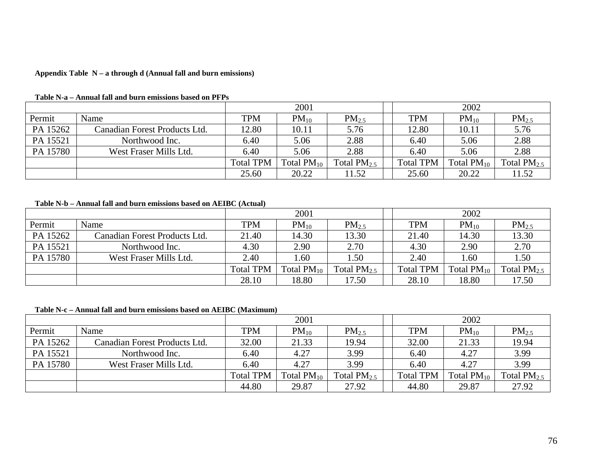#### **Appendix Table N – a through d (Annual fall and burn emissions)**

|          |                               | 2001             |                 |                   |  | 2002             |                 |                   |  |
|----------|-------------------------------|------------------|-----------------|-------------------|--|------------------|-----------------|-------------------|--|
| Permit   | Name                          | <b>TPM</b>       | $PM_{10}$       | PM <sub>2.5</sub> |  | <b>TPM</b>       | $PM_{10}$       | PM <sub>2.5</sub> |  |
| PA 15262 | Canadian Forest Products Ltd. | 12.80            | 10.11           | 5.76              |  | 12.80            | 10.11           | 5.76              |  |
| PA 15521 | Northwood Inc.                | 6.40             | 5.06            | 2.88              |  | 6.40             | 5.06            | 2.88              |  |
| PA 15780 | West Fraser Mills Ltd.        | 6.40             | 5.06            | 2.88              |  | 6.40             | 5.06            | 2.88              |  |
|          |                               | <b>Total TPM</b> | Total $PM_{10}$ | Total $PM_{2.5}$  |  | <b>Total TPM</b> | Total $PM_{10}$ | Total $PM_{2.5}$  |  |
|          |                               | 25.60            | 20.22           | 11.52             |  | 25.60            | 20.22           | 11.52             |  |

#### **Table N-a – Annual fall and burn emissions based on PFPs**

### **Table N-b – Annual fall and burn emissions based on AEIBC (Actual)**

|          |                               | 2001             |                 |                  |  | 2002             |                 |                   |  |
|----------|-------------------------------|------------------|-----------------|------------------|--|------------------|-----------------|-------------------|--|
| Permit   | Name                          | <b>TPM</b>       | $PM_{10}$       | $PM_{2.5}$       |  | <b>TPM</b>       | $PM_{10}$       | PM <sub>2.5</sub> |  |
| PA 15262 | Canadian Forest Products Ltd. | 21.40            | 14.30           | 13.30            |  | 21.40            | 14.30           | 13.30             |  |
| PA 15521 | Northwood Inc.                | 4.30             | 2.90            | 2.70             |  | 4.30             | 2.90            | 2.70              |  |
| PA 15780 | West Fraser Mills Ltd.        | 2.40             | .60             | 1.50             |  | 2.40             | 1.60            | 1.50              |  |
|          |                               | <b>Total TPM</b> | Total $PM_{10}$ | Total $PM_{2.5}$ |  | <b>Total TPM</b> | Total $PM_{10}$ | Total $PM_{2.5}$  |  |
|          |                               | 28.10            | 18.80           | 17.50            |  | 28.10            | 18.80           | 17.50             |  |

#### **Table N-c – Annual fall and burn emissions based on AEIBC (Maximum)**

|          |                               |                  | 2001            |                  |                  | 2002            |                  |
|----------|-------------------------------|------------------|-----------------|------------------|------------------|-----------------|------------------|
| Permit   | Name                          | <b>TPM</b>       | $PM_{10}$       | $PM_{2.5}$       | <b>TPM</b>       | $PM_{10}$       | $PM_{2.5}$       |
| PA 15262 | Canadian Forest Products Ltd. | 32.00            | 21.33           | 19.94            | 32.00            | 21.33           | 19.94            |
| PA 15521 | Northwood Inc.                | 6.40             | 4.27            | 3.99             | 6.40             | 4.27            | 3.99             |
| PA 15780 | West Fraser Mills Ltd.        | 6.40             | 4.27            | 3.99             | 6.40             | 4.27            | 3.99             |
|          |                               | <b>Total TPM</b> | Total $PM_{10}$ | Total $PM_{2.5}$ | <b>Total TPM</b> | Total $PM_{10}$ | Total $PM_{2.5}$ |
|          |                               | 44.80            | 29.87           | 27.92            | 44.80            | 29.87           | 27.92            |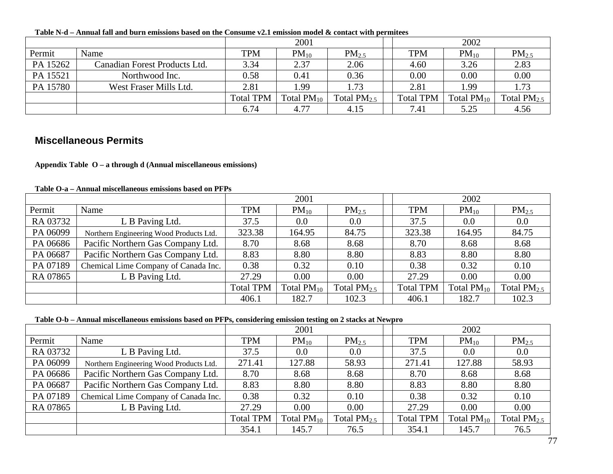|          |                               | 2001             |                 |                  |  | 2002             |                 |                   |  |  |
|----------|-------------------------------|------------------|-----------------|------------------|--|------------------|-----------------|-------------------|--|--|
| Permit   | Name                          | <b>TPM</b>       | $PM_{10}$       | $PM_{2.5}$       |  | <b>TPM</b>       | $PM_{10}$       | PM <sub>2.5</sub> |  |  |
| PA 15262 | Canadian Forest Products Ltd. | 3.34             | 2.37            | 2.06             |  | 4.60             | 3.26            | 2.83              |  |  |
| PA 15521 | Northwood Inc.                | 0.58             | 0.41            | 0.36             |  | 0.00             | 0.00            | 0.00              |  |  |
| PA 15780 | West Fraser Mills Ltd.        | 2.81             | .99             | 1.73             |  | 2.81             | .99             | 1.73              |  |  |
|          |                               | <b>Total TPM</b> | Total $PM_{10}$ | Total $PM_{2.5}$ |  | <b>Total TPM</b> | Total $PM_{10}$ | Total $PM_{2.5}$  |  |  |
|          |                               | 6.74             | 4.77            | 4.15             |  | 7.41             | 5.25            | 4.56              |  |  |

**Table N-d – Annual fall and burn emissions based on the Consume v2.1 emission model & contact with permitees**

### **Miscellaneous Permits**

**Appendix Table O – a through d (Annual miscellaneous emissions)** 

**Table O-a – Annual miscellaneous emissions based on PFPs**

|          |                                         | 2001             |                 |                  |  | 2002             |                 |                  |  |
|----------|-----------------------------------------|------------------|-----------------|------------------|--|------------------|-----------------|------------------|--|
| Permit   | Name                                    | <b>TPM</b>       | $PM_{10}$       | $PM_{2.5}$       |  | <b>TPM</b>       | $PM_{10}$       | $PM_{2.5}$       |  |
| RA 03732 | L B Paving Ltd.                         | 37.5             | $0.0\,$         | 0.0              |  | 37.5             | 0.0             | 0.0              |  |
| PA 06099 | Northern Engineering Wood Products Ltd. | 323.38           | 164.95          | 84.75            |  | 323.38           | 164.95          | 84.75            |  |
| PA 06686 | Pacific Northern Gas Company Ltd.       | 8.70             | 8.68            | 8.68             |  | 8.70             | 8.68            | 8.68             |  |
| PA 06687 | Pacific Northern Gas Company Ltd.       | 8.83             | 8.80            | 8.80             |  | 8.83             | 8.80            | 8.80             |  |
| PA 07189 | Chemical Lime Company of Canada Inc.    | 0.38             | 0.32            | 0.10             |  | 0.38             | 0.32            | 0.10             |  |
| RA 07865 | L B Paving Ltd.                         | 27.29            | 0.00            | 0.00             |  | 27.29            | 0.00            | 0.00             |  |
|          |                                         | <b>Total TPM</b> | Total $PM_{10}$ | Total $PM_{2.5}$ |  | <b>Total TPM</b> | Total $PM_{10}$ | Total $PM_{2.5}$ |  |
|          |                                         | 406.1            | 182.7           | 102.3            |  | 406.1            | 182.7           | 102.3            |  |

| Table O-b – Annual miscellaneous emissions based on PFPs, considering emission testing on 2 stacks at Newpro |  |  |  |
|--------------------------------------------------------------------------------------------------------------|--|--|--|
|                                                                                                              |  |  |  |

|          |                                         | 2001             |                 |                  |                  | 2002            |                  |
|----------|-----------------------------------------|------------------|-----------------|------------------|------------------|-----------------|------------------|
| Permit   | Name                                    | <b>TPM</b>       | $PM_{10}$       | $PM_{2.5}$       | <b>TPM</b>       | $PM_{10}$       | $PM_{2.5}$       |
| RA 03732 | L B Paving Ltd.                         | 37.5             | $0.0\,$         | 0.0              | 37.5             | 0.0             | 0.0              |
| PA 06099 | Northern Engineering Wood Products Ltd. | 271.41           | 127.88          | 58.93            | 271.41           | 127.88          | 58.93            |
| PA 06686 | Pacific Northern Gas Company Ltd.       | 8.70             | 8.68            | 8.68             | 8.70             | 8.68            | 8.68             |
| PA 06687 | Pacific Northern Gas Company Ltd.       | 8.83             | 8.80            | 8.80             | 8.83             | 8.80            | 8.80             |
| PA 07189 | Chemical Lime Company of Canada Inc.    | 0.38             | 0.32            | 0.10             | 0.38             | 0.32            | 0.10             |
| RA 07865 | L B Paving Ltd.                         | 27.29            | 0.00            | 0.00             | 27.29            | 0.00            | 0.00             |
|          |                                         | <b>Total TPM</b> | Total $PM_{10}$ | Total $PM_{2.5}$ | <b>Total TPM</b> | Total $PM_{10}$ | Total $PM_{2.5}$ |
|          |                                         | 354.1            | 145.7           | 76.5             | 354.1            | 145.7           | 76.5             |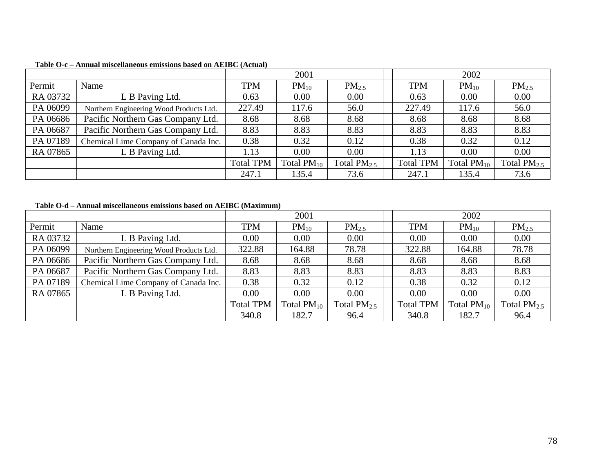|          |                                         | 2001             |                 |                  | 2002             |                 |                  |  |
|----------|-----------------------------------------|------------------|-----------------|------------------|------------------|-----------------|------------------|--|
| Permit   | Name                                    | <b>TPM</b>       | $PM_{10}$       | $PM_{2.5}$       | <b>TPM</b>       | $PM_{10}$       | $PM_{2.5}$       |  |
| RA 03732 | L B Paving Ltd.                         | 0.63             | 0.00            | 0.00             | 0.63             | 0.00            | 0.00             |  |
| PA 06099 | Northern Engineering Wood Products Ltd. | 227.49           | 117.6           | 56.0             | 227.49           | 117.6           | 56.0             |  |
| PA 06686 | Pacific Northern Gas Company Ltd.       | 8.68             | 8.68            | 8.68             | 8.68             | 8.68            | 8.68             |  |
| PA 06687 | Pacific Northern Gas Company Ltd.       | 8.83             | 8.83            | 8.83             | 8.83             | 8.83            | 8.83             |  |
| PA 07189 | Chemical Lime Company of Canada Inc.    | 0.38             | 0.32            | 0.12             | 0.38             | 0.32            | 0.12             |  |
| RA 07865 | L B Paving Ltd.                         | 1.13             | 0.00            | 0.00             | 1.13             | 0.00            | 0.00             |  |
|          |                                         | <b>Total TPM</b> | Total $PM_{10}$ | Total $PM_{2.5}$ | <b>Total TPM</b> | Total $PM_{10}$ | Total $PM_{2.5}$ |  |
|          |                                         | 247.1            | 135.4           | 73.6             | 247.1            | 135.4           | 73.6             |  |

### **Table O-c – Annual miscellaneous emissions based on AEIBC (Actual)**

### **Table O-d – Annual miscellaneous emissions based on AEIBC (Maximum)**

|          |                                         |                  | 2001            |                  |  | 2002             |                 |                  |
|----------|-----------------------------------------|------------------|-----------------|------------------|--|------------------|-----------------|------------------|
| Permit   | Name                                    | <b>TPM</b>       | $PM_{10}$       | $PM_{2.5}$       |  | <b>TPM</b>       | $PM_{10}$       | $PM_{2.5}$       |
| RA 03732 | L B Paving Ltd.                         | 0.00             | 0.00            | 0.00             |  | 0.00             | 0.00            | 0.00             |
| PA 06099 | Northern Engineering Wood Products Ltd. | 322.88           | 164.88          | 78.78            |  | 322.88           | 164.88          | 78.78            |
| PA 06686 | Pacific Northern Gas Company Ltd.       | 8.68             | 8.68            | 8.68             |  | 8.68             | 8.68            | 8.68             |
| PA 06687 | Pacific Northern Gas Company Ltd.       | 8.83             | 8.83            | 8.83             |  | 8.83             | 8.83            | 8.83             |
| PA 07189 | Chemical Lime Company of Canada Inc.    | 0.38             | 0.32            | 0.12             |  | 0.38             | 0.32            | 0.12             |
| RA 07865 | L B Paving Ltd.                         | 0.00             | 0.00            | 0.00             |  | 0.00             | 0.00            | 0.00             |
|          |                                         | <b>Total TPM</b> | Total $PM_{10}$ | Total $PM_{2.5}$ |  | <b>Total TPM</b> | Total $PM_{10}$ | Total $PM_{2.5}$ |
|          |                                         | 340.8            | 182.7           | 96.4             |  | 340.8            | 182.7           | 96.4             |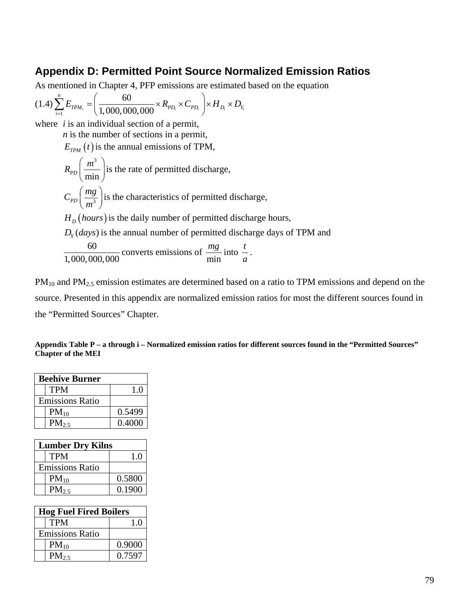## **Appendix D: Permitted Point Source Normalized Emission Ratios**

As mentioned in Chapter 4, PFP emissions are estimated based on the equation

$$
(1.4)\sum_{i=1}^{n} E_{TPM_i} = \left(\frac{60}{1,000,000,000} \times R_{PD_i} \times C_{PD_i}\right) \times H_{D_i} \times D_{Y_i}
$$

where *i* is an individual section of a permit,

*n* is the number of sections in a permit,

 $E_{TPM}(t)$  is the annual emissions of TPM,

$$
R_{PD}\left(\frac{m^3}{\min}\right)
$$
 is the rate of permitted discharge,  
\n
$$
C_{PD}\left(\frac{mg}{m^3}\right)
$$
 is the characteristics of permitted discharge,  
\n
$$
H_D\left(hours\right)
$$
 is the daily number of permitted discharge hours,  
\n
$$
D_Y(days)
$$
 is the annual number of permitted discharge days of TPM and  
\n
$$
\frac{60}{1,000,000,000}
$$
 converts emissions of  $\frac{mg}{\min}$  into  $\frac{t}{a}$ .

PM<sub>10</sub> and PM<sub>2.5</sub> emission estimates are determined based on a ratio to TPM emissions and depend on the source. Presented in this appendix are normalized emission ratios for most the different sources found in the "Permitted Sources" Chapter.

| Appendix Table P – a through i – Normalized emission ratios for different sources found in the "Permitted Sources" |  |
|--------------------------------------------------------------------------------------------------------------------|--|
| <b>Chapter of the MEI</b>                                                                                          |  |

| <b>Beehive Burner</b>  |        |  |
|------------------------|--------|--|
| TPM                    | 1.0    |  |
| <b>Emissions Ratio</b> |        |  |
| $PM_{10}$              | 0.5499 |  |
| $PM_{2.5}$             | 0.4000 |  |

| <b>Lumber Dry Kilns</b> |        |  |
|-------------------------|--------|--|
| <b>TPM</b>              | 1.0    |  |
| <b>Emissions Ratio</b>  |        |  |
| $PM_{10}$               | 0.5800 |  |
| $PM_{2.5}$              | 0.1900 |  |

| <b>Hog Fuel Fired Boilers</b> |        |  |
|-------------------------------|--------|--|
| <b>TPM</b>                    | 1.0    |  |
| <b>Emissions Ratio</b>        |        |  |
| $PM_{10}$                     | 0.9000 |  |
| $PM_{2.5}$                    | 0.7597 |  |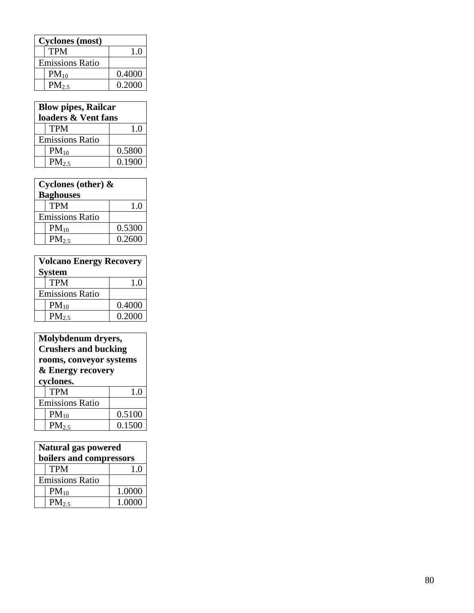| <b>Cyclones</b> (most) |                        |        |
|------------------------|------------------------|--------|
|                        | <b>TPM</b>             | 1.0    |
|                        | <b>Emissions Ratio</b> |        |
|                        | $PM_{10}$              | 0.4000 |
|                        | PM <sub>2.5</sub>      | 0.2000 |

| <b>Blow pipes, Railcar</b><br>loaders & Vent fans |                        |        |  |
|---------------------------------------------------|------------------------|--------|--|
|                                                   | <b>TPM</b>             | 1.0    |  |
|                                                   | <b>Emissions Ratio</b> |        |  |
|                                                   | $PM_{10}$              | 0.5800 |  |
|                                                   | $PM_{2.5}$             | 0.1900 |  |

| Cyclones (other) & |                        |        |  |
|--------------------|------------------------|--------|--|
| <b>Baghouses</b>   |                        |        |  |
|                    | <b>TPM</b>             | 1.0    |  |
|                    | <b>Emissions Ratio</b> |        |  |
|                    | $PM_{10}$              | 0.5300 |  |
|                    | $PM_{2.5}$             | 0.2600 |  |

| <b>Volcano Energy Recovery</b> |                        |        |  |
|--------------------------------|------------------------|--------|--|
| <b>System</b>                  |                        |        |  |
|                                | <b>TPM</b>             | 1.0    |  |
|                                | <b>Emissions Ratio</b> |        |  |
|                                | $PM_{10}$              | 0.4000 |  |
|                                | $PM_{2.5}$             | 0.2000 |  |

|                         | Molybdenum dryers,          |        |  |
|-------------------------|-----------------------------|--------|--|
|                         | <b>Crushers and bucking</b> |        |  |
| rooms, conveyor systems |                             |        |  |
| & Energy recovery       |                             |        |  |
| cyclones.               |                             |        |  |
|                         | <b>TPM</b>                  | 1.0    |  |
| <b>Emissions Ratio</b>  |                             |        |  |
|                         | $PM_{10}$                   | 0.5100 |  |
|                         | PM <sub>2.5</sub>           | 0.1500 |  |

| Natural gas powered<br>boilers and compressors |                        |        |
|------------------------------------------------|------------------------|--------|
|                                                | <b>TPM</b>             | 1.0    |
|                                                | <b>Emissions Ratio</b> |        |
|                                                | $PM_{10}$              | 1.0000 |
|                                                | $PM_{2.5}$             | 1.0000 |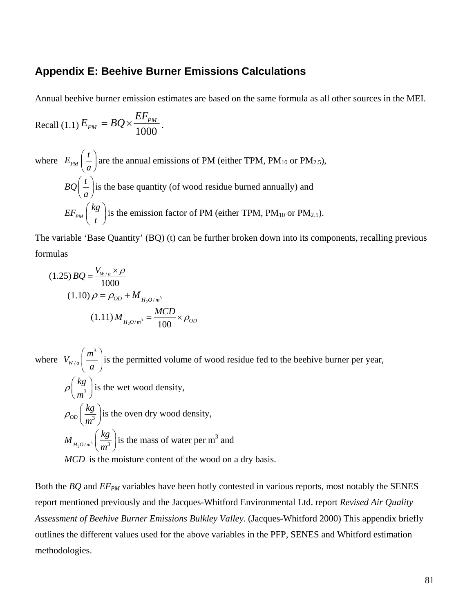## **Appendix E: Beehive Burner Emissions Calculations**

Annual beehive burner emission estimates are based on the same formula as all other sources in the MEI.

$$
Recall (1.1) E_{PM} = BQ \times \frac{EF_{PM}}{1000}.
$$

where 
$$
E_{PM}\left(\frac{t}{a}\right)
$$
 are the annual emissions of PM (either TPM, PM<sub>10</sub> or PM<sub>2.5</sub>),  
\n $BO\left(\frac{t}{a}\right)$  is the base quantity (of wood residue burned annually) and  
\n $EF_{PM}\left(\frac{kg}{t}\right)$  is the emission factor of PM (either TPM, PM<sub>10</sub> or PM<sub>2.5</sub>).

The variable 'Base Quantity' (BQ) (t) can be further broken down into its components, recalling previous formulas

$$
(1.25) BQ = \frac{V_{W/a} \times \rho}{1000}
$$
  

$$
(1.10) \rho = \rho_{OD} + M_{H_2O/m^3}
$$
  

$$
(1.11) M_{H_2O/m^3} = \frac{MCD}{100} \times \rho_{OD}
$$

where 3  $V_{W/a}$   $\left(\frac{m}{m}\right)$  $\left(\frac{m^3}{a}\right)$ is the permitted volume of wood residue fed to the beehive burner per year, 3 *kg*  $\rho_{\left(\frac{\overline{n}}{m}\right)}$  $\left(\frac{kg}{m^3}\right)$  is the wet wood density,  $OD \mid \frac{3}{\sqrt{3}}$ *kg*  $\rho_{op}$   $\left(\frac{m}{m}\right)$  $\left(\frac{kg}{m^3}\right)$  is the oven dry wood density,  $M_{H_2O/m^3} \bigg( \frac{kg}{m^3} \bigg)$  $\left(\frac{kg}{m^3}\right)$  is the mass of water per m<sup>3</sup> and

*MCD* is the moisture content of the wood on a dry basis.

Both the *BQ* and *EF<sub>PM</sub>* variables have been hotly contested in various reports, most notably the SENES report mentioned previously and the Jacques-Whitford Environmental Ltd. report *Revised Air Quality Assessment of Beehive Burner Emissions Bulkley Valley*. (Jacques-Whitford 2000) This appendix briefly outlines the different values used for the above variables in the PFP, SENES and Whitford estimation methodologies.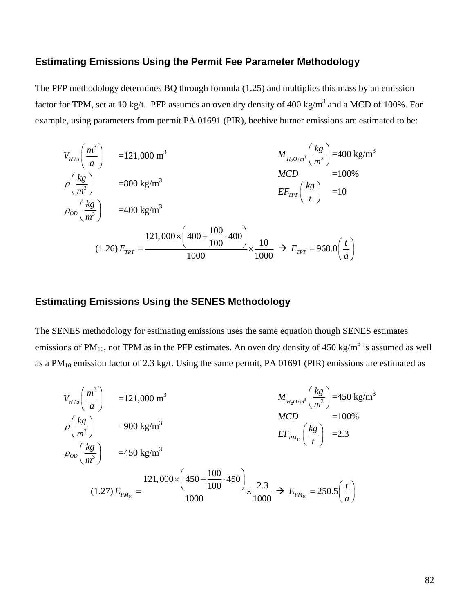## **Estimating Emissions Using the Permit Fee Parameter Methodology**

The PFP methodology determines BQ through formula (1.25) and multiplies this mass by an emission factor for TPM, set at 10 kg/t. PFP assumes an oven dry density of 400 kg/m<sup>3</sup> and a MCD of 100%. For example, using parameters from permit PA 01691 (PIR), beehive burner emissions are estimated to be:

$$
V_{W/a} \left(\frac{m^3}{a}\right) = 121,000 \text{ m}^3
$$
  
\n
$$
\rho \left(\frac{kg}{m^3}\right) = 400 \text{ kg/m}^3
$$
  
\n
$$
\rho_{OD} \left(\frac{kg}{m^3}\right) = 400 \text{ kg/m}^3
$$
  
\n
$$
\rho_{OD} \left(\frac{kg}{m^3}\right) = 400 \text{ kg/m}^3
$$
  
\n
$$
E_{TPT} \left(\frac{kg}{t}\right) = 10
$$
  
\n
$$
(1.26) E_{TPT} = \frac{121,000 \times \left(400 + \frac{100}{100} \cdot 400\right)}{1000} \times \frac{10}{1000} \rightarrow E_{TPT} = 968.0 \left(\frac{t}{a}\right)
$$

## **Estimating Emissions Using the SENES Methodology**

The SENES methodology for estimating emissions uses the same equation though SENES estimates emissions of PM<sub>10</sub>, not TPM as in the PFP estimates. An oven dry density of 450 kg/m<sup>3</sup> is assumed as well as a  $PM_{10}$  emission factor of 2.3 kg/t. Using the same permit, PA 01691 (PIR) emissions are estimated as

$$
V_{W/a} \left(\frac{m^3}{a}\right) = 121,000 \text{ m}^3
$$
  
\n
$$
\rho \left(\frac{kg}{m^3}\right) = 900 \text{ kg/m}^3
$$
  
\n
$$
\rho_{OD} \left(\frac{kg}{m^3}\right) = 450 \text{ kg/m}^3
$$
  
\n
$$
V_{H_2O/m^3} \left(\frac{kg}{m^3}\right) = 450 \text{ kg/m}^3
$$
  
\n
$$
EF_{PM_{10}} \left(\frac{kg}{t}\right) = 2.3
$$
  
\n
$$
\rho_{OD} \left(\frac{kg}{m^3}\right) = 450 \text{ kg/m}^3
$$
  
\n
$$
(1.27) E_{PM_{10}} = \frac{121,000 \times \left(450 + \frac{100}{100} \cdot 450\right)}{1000} \times \frac{2.3}{1000} \rightarrow E_{PM_{10}} = 250.5 \left(\frac{t}{a}\right)
$$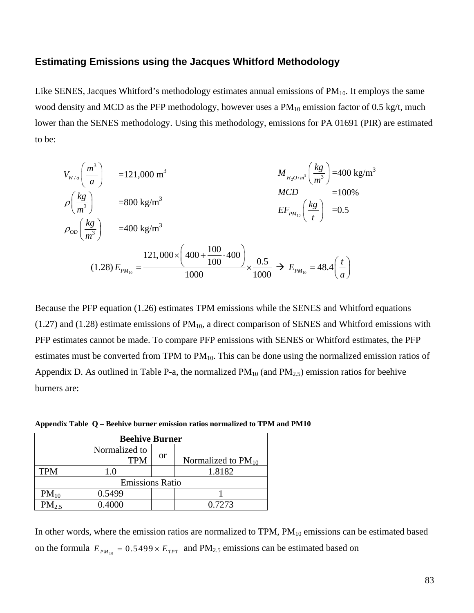## **Estimating Emissions using the Jacques Whitford Methodology**

Like SENES, Jacques Whitford's methodology estimates annual emissions of  $PM_{10}$ . It employs the same wood density and MCD as the PFP methodology, however uses a  $PM_{10}$  emission factor of 0.5 kg/t, much lower than the SENES methodology. Using this methodology, emissions for PA 01691 (PIR) are estimated to be:

$$
V_{W/a} \left(\frac{m^3}{a}\right) = 121,000 \text{ m}^3
$$
  
\n
$$
\rho \left(\frac{kg}{m^3}\right) = 400 \text{ kg/m}^3
$$
  
\n
$$
\rho_{OD} \left(\frac{kg}{m^3}\right) = 400 \text{ kg/m}^3
$$
  
\n
$$
\rho_{OD} \left(\frac{kg}{m^3}\right) = 400 \text{ kg/m}^3
$$
  
\n
$$
= 400 \text{ kg/m}^3
$$
  
\n
$$
E_{PM_{10}} \left(\frac{kg}{t}\right) = 0.5
$$
  
\n
$$
(1.28) E_{PM_{10}} = \frac{121,000 \times \left(400 + \frac{100}{100} \cdot 400\right)}{1000} \times \frac{0.5}{1000} \rightarrow E_{PM_{10}} = 48.4 \left(\frac{t}{a}\right)
$$

Because the PFP equation (1.26) estimates TPM emissions while the SENES and Whitford equations  $(1.27)$  and  $(1.28)$  estimate emissions of PM<sub>10</sub>, a direct comparison of SENES and Whitford emissions with PFP estimates cannot be made. To compare PFP emissions with SENES or Whitford estimates, the PFP estimates must be converted from TPM to  $PM_{10}$ . This can be done using the normalized emission ratios of Appendix D. As outlined in Table P-a, the normalized  $PM_{10}$  (and  $PM_{2.5}$ ) emission ratios for beehive burners are:

**Appendix Table Q – Beehive burner emission ratios normalized to TPM and PM10**

| <b>Beehive Burner</b>  |                             |    |                         |
|------------------------|-----------------------------|----|-------------------------|
|                        | Normalized to<br><b>TPM</b> | or | Normalized to $PM_{10}$ |
| <b>TPM</b>             | 1.0                         |    | 1.8182                  |
| <b>Emissions Ratio</b> |                             |    |                         |
| $PM_{10}$              | 0.5499                      |    |                         |
| $PM_{2.5}$             | 0.4000                      |    | 0.7273                  |

In other words, where the emission ratios are normalized to  $TPM$ ,  $PM_{10}$  emissions can be estimated based on the formula  $E_{PM_{10}} = 0.5499 \times E_{TPT}$  and PM<sub>2.5</sub> emissions can be estimated based on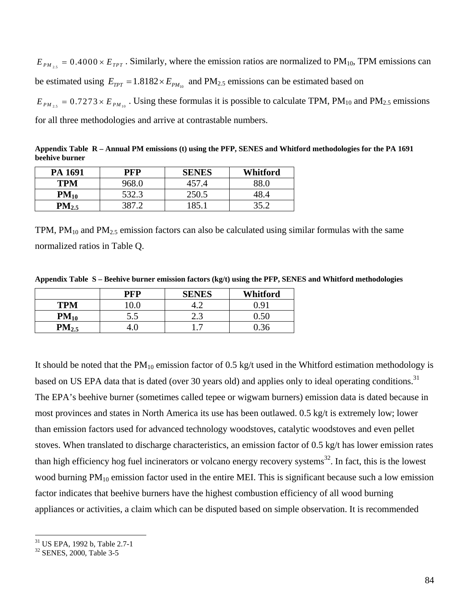$E_{PM_{25}} = 0.4000 \times E_{TPT}$ . Similarly, where the emission ratios are normalized to PM<sub>10</sub>, TPM emissions can be estimated using  $E_{TPT} = 1.8182 \times E_{PM_{10}}$  and PM<sub>2.5</sub> emissions can be estimated based on  $E_{PM_{2.5}} = 0.7273 \times E_{PM_{10}}$ . Using these formulas it is possible to calculate TPM, PM<sub>10</sub> and PM<sub>2.5</sub> emissions for all three methodologies and arrive at contrastable numbers.

**Appendix Table R – Annual PM emissions (t) using the PFP, SENES and Whitford methodologies for the PA 1691 beehive burner**

| PA 1691    | PFP     | <b>SENES</b> | Whitford |
|------------|---------|--------------|----------|
| <b>TPM</b> | 968.0   | 457.4        |          |
| $PM_{10}$  | 532.3   | 250.5        | 48.4     |
| $PM_{2.5}$ | 387 $2$ | '85'         | 35.2     |

TPM,  $PM_{10}$  and  $PM_{2.5}$  emission factors can also be calculated using similar formulas with the same normalized ratios in Table Q.

**Appendix Table S – Beehive burner emission factors (kg/t) using the PFP, SENES and Whitford methodologies**

|            | <b>PFP</b> | <b>SENES</b> | Whitford |
|------------|------------|--------------|----------|
| <b>TPM</b> | $0.0\,$    |              | .) Q1    |
| $PM_{10}$  | 5.5        | ر            |          |
| $PM_{2.5}$ |            |              |          |

It should be noted that the  $PM_{10}$  emission factor of 0.5 kg/t used in the Whitford estimation methodology is based on US EPA data that is dated (over 30 years old) and applies only to ideal operating conditions.<sup>31</sup> The EPA's beehive burner (sometimes called tepee or wigwam burners) emission data is dated because in most provinces and states in North America its use has been outlawed. 0.5 kg/t is extremely low; lower than emission factors used for advanced technology woodstoves, catalytic woodstoves and even pellet stoves. When translated to discharge characteristics, an emission factor of 0.5 kg/t has lower emission rates than high efficiency hog fuel incinerators or volcano energy recovery systems<sup>32</sup>. In fact, this is the lowest wood burning  $PM_{10}$  emission factor used in the entire MEI. This is significant because such a low emission factor indicates that beehive burners have the highest combustion efficiency of all wood burning appliances or activities, a claim which can be disputed based on simple observation. It is recommended

1

<sup>31</sup> US EPA, 1992 b, Table 2.7-1

<sup>32</sup> SENES, 2000, Table 3-5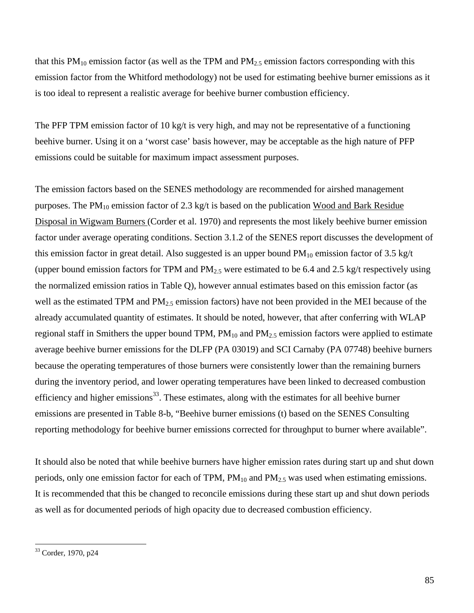that this  $PM_{10}$  emission factor (as well as the TPM and  $PM_{2.5}$  emission factors corresponding with this emission factor from the Whitford methodology) not be used for estimating beehive burner emissions as it is too ideal to represent a realistic average for beehive burner combustion efficiency.

The PFP TPM emission factor of 10 kg/t is very high, and may not be representative of a functioning beehive burner. Using it on a 'worst case' basis however, may be acceptable as the high nature of PFP emissions could be suitable for maximum impact assessment purposes.

The emission factors based on the SENES methodology are recommended for airshed management purposes. The  $PM_{10}$  emission factor of 2.3 kg/t is based on the publication Wood and Bark Residue Disposal in Wigwam Burners (Corder et al. 1970) and represents the most likely beehive burner emission factor under average operating conditions. Section 3.1.2 of the SENES report discusses the development of this emission factor in great detail. Also suggested is an upper bound  $PM_{10}$  emission factor of 3.5 kg/t (upper bound emission factors for TPM and  $PM_{2.5}$  were estimated to be 6.4 and 2.5 kg/t respectively using the normalized emission ratios in Table Q), however annual estimates based on this emission factor (as well as the estimated TPM and PM<sub>2.5</sub> emission factors) have not been provided in the MEI because of the already accumulated quantity of estimates. It should be noted, however, that after conferring with WLAP regional staff in Smithers the upper bound TPM,  $PM_{10}$  and  $PM_{2.5}$  emission factors were applied to estimate average beehive burner emissions for the DLFP (PA 03019) and SCI Carnaby (PA 07748) beehive burners because the operating temperatures of those burners were consistently lower than the remaining burners during the inventory period, and lower operating temperatures have been linked to decreased combustion efficiency and higher emissions<sup>33</sup>. These estimates, along with the estimates for all beehive burner emissions are presented in Table 8-b, "Beehive burner emissions (t) based on the SENES Consulting reporting methodology for beehive burner emissions corrected for throughput to burner where available".

It should also be noted that while beehive burners have higher emission rates during start up and shut down periods, only one emission factor for each of TPM,  $PM_{10}$  and  $PM_{2.5}$  was used when estimating emissions. It is recommended that this be changed to reconcile emissions during these start up and shut down periods as well as for documented periods of high opacity due to decreased combustion efficiency.

<u>.</u>

<sup>33</sup> Corder, 1970, p24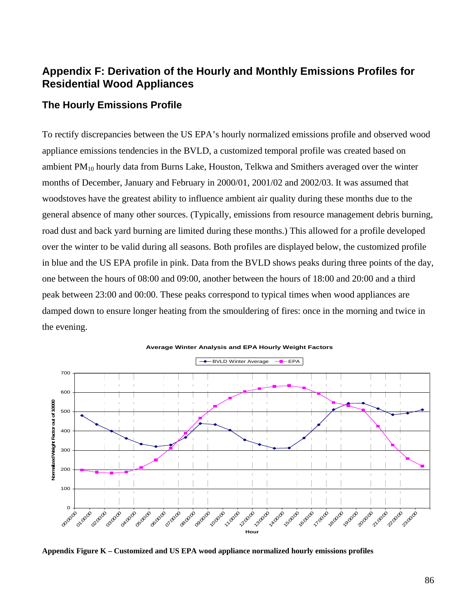# **Appendix F: Derivation of the Hourly and Monthly Emissions Profiles for Residential Wood Appliances**

## **The Hourly Emissions Profile**

To rectify discrepancies between the US EPA's hourly normalized emissions profile and observed wood appliance emissions tendencies in the BVLD, a customized temporal profile was created based on ambient  $PM_{10}$  hourly data from Burns Lake, Houston, Telkwa and Smithers averaged over the winter months of December, January and February in 2000/01, 2001/02 and 2002/03. It was assumed that woodstoves have the greatest ability to influence ambient air quality during these months due to the general absence of many other sources. (Typically, emissions from resource management debris burning, road dust and back yard burning are limited during these months.) This allowed for a profile developed over the winter to be valid during all seasons. Both profiles are displayed below, the customized profile in blue and the US EPA profile in pink. Data from the BVLD shows peaks during three points of the day, one between the hours of 08:00 and 09:00, another between the hours of 18:00 and 20:00 and a third peak between 23:00 and 00:00. These peaks correspond to typical times when wood appliances are damped down to ensure longer heating from the smouldering of fires: once in the morning and twice in the evening.



**Average Winter Analysis and EPA Hourly Weight Factors**

**Appendix Figure K – Customized and US EPA wood appliance normalized hourly emissions profiles**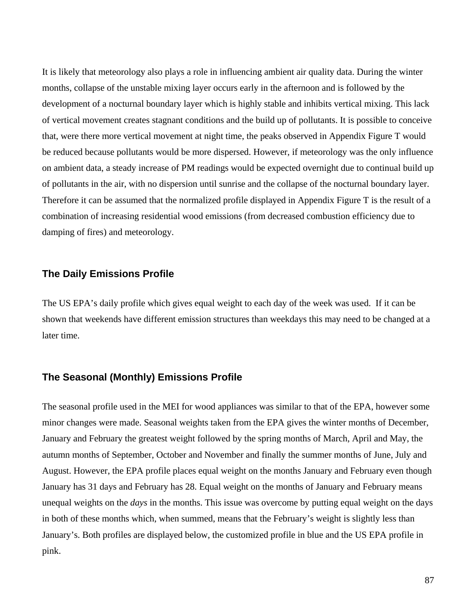It is likely that meteorology also plays a role in influencing ambient air quality data. During the winter months, collapse of the unstable mixing layer occurs early in the afternoon and is followed by the development of a nocturnal boundary layer which is highly stable and inhibits vertical mixing. This lack of vertical movement creates stagnant conditions and the build up of pollutants. It is possible to conceive that, were there more vertical movement at night time, the peaks observed in Appendix Figure T would be reduced because pollutants would be more dispersed. However, if meteorology was the only influence on ambient data, a steady increase of PM readings would be expected overnight due to continual build up of pollutants in the air, with no dispersion until sunrise and the collapse of the nocturnal boundary layer. Therefore it can be assumed that the normalized profile displayed in Appendix Figure T is the result of a combination of increasing residential wood emissions (from decreased combustion efficiency due to damping of fires) and meteorology.

### **The Daily Emissions Profile**

The US EPA's daily profile which gives equal weight to each day of the week was used. If it can be shown that weekends have different emission structures than weekdays this may need to be changed at a later time.

### **The Seasonal (Monthly) Emissions Profile**

The seasonal profile used in the MEI for wood appliances was similar to that of the EPA, however some minor changes were made. Seasonal weights taken from the EPA gives the winter months of December, January and February the greatest weight followed by the spring months of March, April and May, the autumn months of September, October and November and finally the summer months of June, July and August. However, the EPA profile places equal weight on the months January and February even though January has 31 days and February has 28. Equal weight on the months of January and February means unequal weights on the *days* in the months. This issue was overcome by putting equal weight on the days in both of these months which, when summed, means that the February's weight is slightly less than January's. Both profiles are displayed below, the customized profile in blue and the US EPA profile in pink.